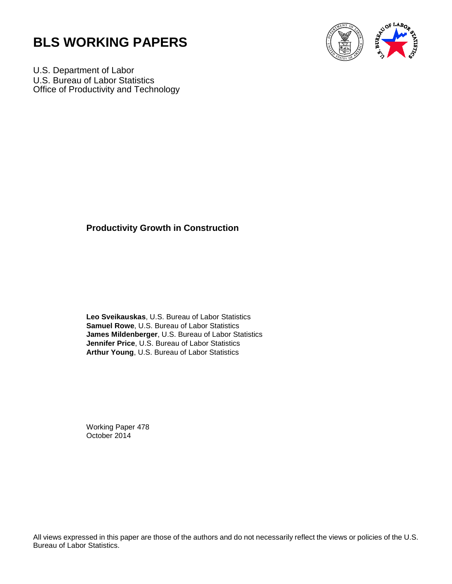



U.S. Department of Labor U.S. Bureau of Labor Statistics Office of Productivity and Technology

# **Productivity Growth in Construction**

**Leo Sveikauskas**, U.S. Bureau of Labor Statistics **Samuel Rowe**, U.S. Bureau of Labor Statistics **James Mildenberger**, U.S. Bureau of Labor Statistics **Jennifer Price**, U.S. Bureau of Labor Statistics **Arthur Young**, U.S. Bureau of Labor Statistics

Working Paper 478 October 2014

All views expressed in this paper are those of the authors and do not necessarily reflect the views or policies of the U.S. Bureau of Labor Statistics.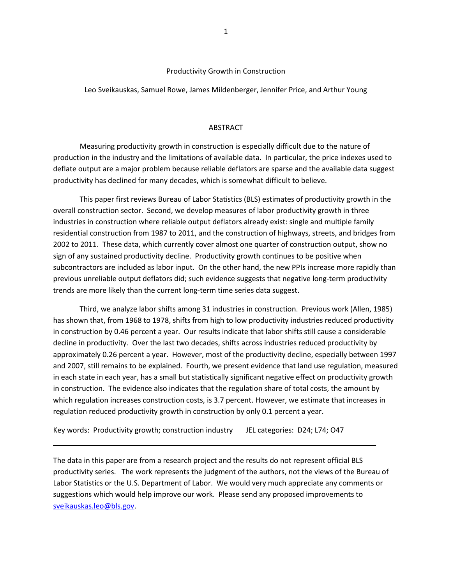### Productivity Growth in Construction

Leo Sveikauskas, Samuel Rowe, James Mildenberger, Jennifer Price, and Arthur Young

## **ABSTRACT**

Measuring productivity growth in construction is especially difficult due to the nature of production in the industry and the limitations of available data. In particular, the price indexes used to deflate output are a major problem because reliable deflators are sparse and the available data suggest productivity has declined for many decades, which is somewhat difficult to believe.

This paper first reviews Bureau of Labor Statistics (BLS) estimates of productivity growth in the overall construction sector. Second, we develop measures of labor productivity growth in three industries in construction where reliable output deflators already exist: single and multiple family residential construction from 1987 to 2011, and the construction of highways, streets, and bridges from 2002 to 2011. These data, which currently cover almost one quarter of construction output, show no sign of any sustained productivity decline. Productivity growth continues to be positive when subcontractors are included as labor input. On the other hand, the new PPIs increase more rapidly than previous unreliable output deflators did; such evidence suggests that negative long-term productivity trends are more likely than the current long-term time series data suggest.

Third, we analyze labor shifts among 31 industries in construction. Previous work (Allen, 1985) has shown that, from 1968 to 1978, shifts from high to low productivity industries reduced productivity in construction by 0.46 percent a year. Our results indicate that labor shifts still cause a considerable decline in productivity. Over the last two decades, shifts across industries reduced productivity by approximately 0.26 percent a year. However, most of the productivity decline, especially between 1997 and 2007, still remains to be explained. Fourth, we present evidence that land use regulation, measured in each state in each year, has a small but statistically significant negative effect on productivity growth in construction. The evidence also indicates that the regulation share of total costs, the amount by which regulation increases construction costs, is 3.7 percent. However, we estimate that increases in regulation reduced productivity growth in construction by only 0.1 percent a year.

Key words: Productivity growth; construction industry JEL categories: D24; L74; O47

The data in this paper are from a research project and the results do not represent official BLS productivity series. The work represents the judgment of the authors, not the views of the Bureau of Labor Statistics or the U.S. Department of Labor. We would very much appreciate any comments or suggestions which would help improve our work. Please send any proposed improvements to [sveikauskas.leo@bls.gov.](mailto:sveikauskas.leo@bls.gov)

\_\_\_\_\_\_\_\_\_\_\_\_\_\_\_\_\_\_\_\_\_\_\_ \_\_\_\_\_\_\_\_\_\_\_\_\_\_\_\_\_\_\_\_\_\_\_\_\_\_\_\_\_\_\_\_\_\_\_\_\_\_\_\_\_\_\_\_\_\_\_\_\_\_\_\_\_\_\_\_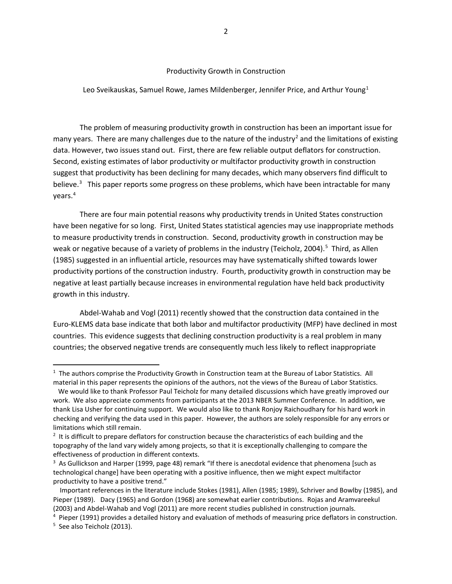#### Productivity Growth in Construction

#### Leo Sveikauskas, Samuel Rowe, James Mildenberger, Jennifer Price, and Arthur Young<sup>[1](#page-2-0)</sup>

The problem of measuring productivity growth in construction has been an important issue for many years. There are many challenges due to the nature of the industry<sup>[2](#page-2-1)</sup> and the limitations of existing data. However, two issues stand out. First, there are few reliable output deflators for construction. Second, existing estimates of labor productivity or multifactor productivity growth in construction suggest that productivity has been declining for many decades, which many observers find difficult to believe.<sup>[3](#page-2-2)</sup> This paper reports some progress on these problems, which have been intractable for many years.[4](#page-2-3)

There are four main potential reasons why productivity trends in United States construction have been negative for so long. First, United States statistical agencies may use inappropriate methods to measure productivity trends in construction. Second, productivity growth in construction may be weak or negative because of a variety of problems in the industry (Teicholz, 2004).<sup>[5](#page-2-4)</sup> Third, as Allen (1985) suggested in an influential article, resources may have systematically shifted towards lower productivity portions of the construction industry. Fourth, productivity growth in construction may be negative at least partially because increases in environmental regulation have held back productivity growth in this industry.

Abdel-Wahab and Vogl (2011) recently showed that the construction data contained in the Euro-KLEMS data base indicate that both labor and multifactor productivity (MFP) have declined in most countries. This evidence suggests that declining construction productivity is a real problem in many countries; the observed negative trends are consequently much less likely to reflect inappropriate

<span id="page-2-0"></span><sup>&</sup>lt;sup>1</sup> The authors comprise the Productivity Growth in Construction team at the Bureau of Labor Statistics. All material in this paper represents the opinions of the authors, not the views of the Bureau of Labor Statistics.

We would like to thank Professor Paul Teicholz for many detailed discussions which have greatly improved our work. We also appreciate comments from participants at the 2013 NBER Summer Conference. In addition, we thank Lisa Usher for continuing support. We would also like to thank Ronjoy Raichoudhary for his hard work in checking and verifying the data used in this paper. However, the authors are solely responsible for any errors or limitations which still remain.

<span id="page-2-1"></span><sup>&</sup>lt;sup>2</sup> It is difficult to prepare deflators for construction because the characteristics of each building and the topography of the land vary widely among projects, so that it is exceptionally challenging to compare the effectiveness of production in different contexts.

<span id="page-2-2"></span><sup>&</sup>lt;sup>3</sup> As Gullickson and Harper (1999, page 48) remark "If there is anecdotal evidence that phenomena [such as technological change] have been operating with a positive influence, then we might expect multifactor productivity to have a positive trend."

Important references in the literature include Stokes (1981), Allen (1985; 1989), Schriver and Bowlby (1985), and Pieper (1989). Dacy (1965) and Gordon (1968) are somewhat earlier contributions. Rojas and Aramvareekul (2003) and Abdel-Wahab and Vogl (2011) are more recent studies published in construction journals.

<span id="page-2-4"></span><span id="page-2-3"></span><sup>&</sup>lt;sup>4</sup> Pieper (1991) provides a detailed history and evaluation of methods of measuring price deflators in construction. <sup>5</sup> See also Teicholz (2013).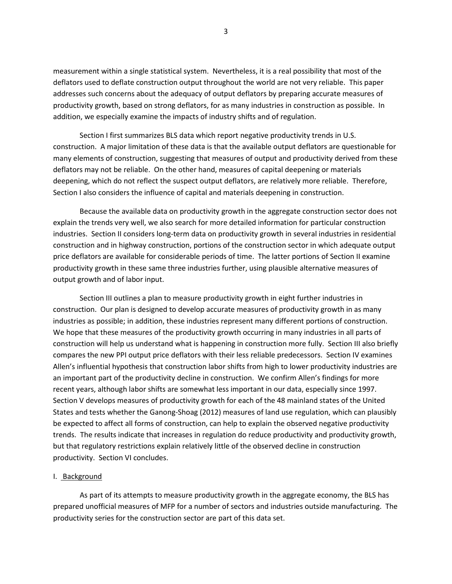measurement within a single statistical system. Nevertheless, it is a real possibility that most of the deflators used to deflate construction output throughout the world are not very reliable. This paper addresses such concerns about the adequacy of output deflators by preparing accurate measures of productivity growth, based on strong deflators, for as many industries in construction as possible. In addition, we especially examine the impacts of industry shifts and of regulation.

Section I first summarizes BLS data which report negative productivity trends in U.S. construction. A major limitation of these data is that the available output deflators are questionable for many elements of construction, suggesting that measures of output and productivity derived from these deflators may not be reliable. On the other hand, measures of capital deepening or materials deepening, which do not reflect the suspect output deflators, are relatively more reliable. Therefore, Section I also considers the influence of capital and materials deepening in construction.

Because the available data on productivity growth in the aggregate construction sector does not explain the trends very well, we also search for more detailed information for particular construction industries. Section II considers long-term data on productivity growth in several industries in residential construction and in highway construction, portions of the construction sector in which adequate output price deflators are available for considerable periods of time. The latter portions of Section II examine productivity growth in these same three industries further, using plausible alternative measures of output growth and of labor input.

Section III outlines a plan to measure productivity growth in eight further industries in construction. Our plan is designed to develop accurate measures of productivity growth in as many industries as possible; in addition, these industries represent many different portions of construction. We hope that these measures of the productivity growth occurring in many industries in all parts of construction will help us understand what is happening in construction more fully. Section III also briefly compares the new PPI output price deflators with their less reliable predecessors. Section IV examines Allen's influential hypothesis that construction labor shifts from high to lower productivity industries are an important part of the productivity decline in construction. We confirm Allen's findings for more recent years, although labor shifts are somewhat less important in our data, especially since 1997. Section V develops measures of productivity growth for each of the 48 mainland states of the United States and tests whether the Ganong-Shoag (2012) measures of land use regulation, which can plausibly be expected to affect all forms of construction, can help to explain the observed negative productivity trends. The results indicate that increases in regulation do reduce productivity and productivity growth, but that regulatory restrictions explain relatively little of the observed decline in construction productivity. Section VI concludes.

#### I. Background

As part of its attempts to measure productivity growth in the aggregate economy, the BLS has prepared unofficial measures of MFP for a number of sectors and industries outside manufacturing. The productivity series for the construction sector are part of this data set.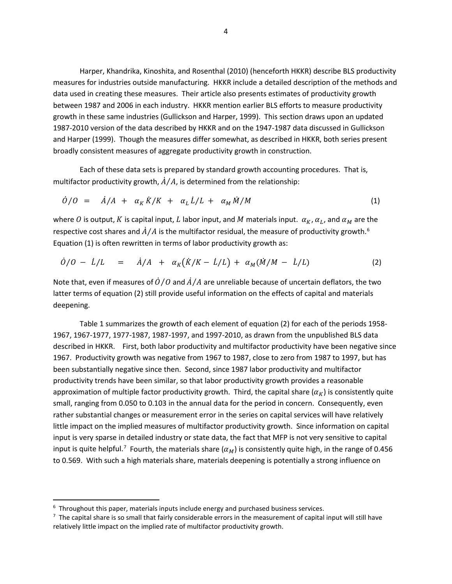Harper, Khandrika, Kinoshita, and Rosenthal (2010) (henceforth HKKR) describe BLS productivity measures for industries outside manufacturing. HKKR include a detailed description of the methods and data used in creating these measures. Their article also presents estimates of productivity growth between 1987 and 2006 in each industry. HKKR mention earlier BLS efforts to measure productivity growth in these same industries (Gullickson and Harper, 1999). This section draws upon an updated 1987-2010 version of the data described by HKKR and on the 1947-1987 data discussed in Gullickson and Harper (1999). Though the measures differ somewhat, as described in HKKR, both series present broadly consistent measures of aggregate productivity growth in construction.

Each of these data sets is prepared by standard growth accounting procedures. That is, multifactor productivity growth,  $\dot{A}/A$ , is determined from the relationship:

$$
\dot{\theta}/\theta = \dot{A}/A + \alpha_K \dot{K}/K + \alpha_L \dot{L}/L + \alpha_M \dot{M}/M \tag{1}
$$

where O is output, K is capital input, L labor input, and M materials input.  $\alpha_K$ ,  $\alpha_L$ , and  $\alpha_M$  are the respective cost shares and  $\dot{A}/A$  is the multifactor residual, the measure of productivity growth.<sup>[6](#page-4-0)</sup> Equation (1) is often rewritten in terms of labor productivity growth as:

$$
\dot{\theta}/\theta - \dot{L}/L = \dot{A}/A + \alpha_K(\dot{K}/K - \dot{L}/L) + \alpha_M(\dot{M}/M - \dot{L}/L) \tag{2}
$$

Note that, even if measures of  $\dot{\theta}/\theta$  and  $\dot{A}/A$  are unreliable because of uncertain deflators, the two latter terms of equation (2) still provide useful information on the effects of capital and materials deepening.

Table 1 summarizes the growth of each element of equation (2) for each of the periods 1958- 1967, 1967-1977, 1977-1987, 1987-1997, and 1997-2010, as drawn from the unpublished BLS data described in HKKR. First, both labor productivity and multifactor productivity have been negative since 1967. Productivity growth was negative from 1967 to 1987, close to zero from 1987 to 1997, but has been substantially negative since then. Second, since 1987 labor productivity and multifactor productivity trends have been similar, so that labor productivity growth provides a reasonable approximation of multiple factor productivity growth. Third, the capital share  $(\alpha_K)$  is consistently quite small, ranging from 0.050 to 0.103 in the annual data for the period in concern. Consequently, even rather substantial changes or measurement error in the series on capital services will have relatively little impact on the implied measures of multifactor productivity growth. Since information on capital input is very sparse in detailed industry or state data, the fact that MFP is not very sensitive to capital input is quite helpful.<sup>[7](#page-4-1)</sup> Fourth, the materials share ( $\alpha_M$ ) is consistently quite high, in the range of 0.456 to 0.569. With such a high materials share, materials deepening is potentially a strong influence on

l

<span id="page-4-0"></span> $6$  Throughout this paper, materials inputs include energy and purchased business services.

<span id="page-4-1"></span> $<sup>7</sup>$  The capital share is so small that fairly considerable errors in the measurement of capital input will still have</sup> relatively little impact on the implied rate of multifactor productivity growth.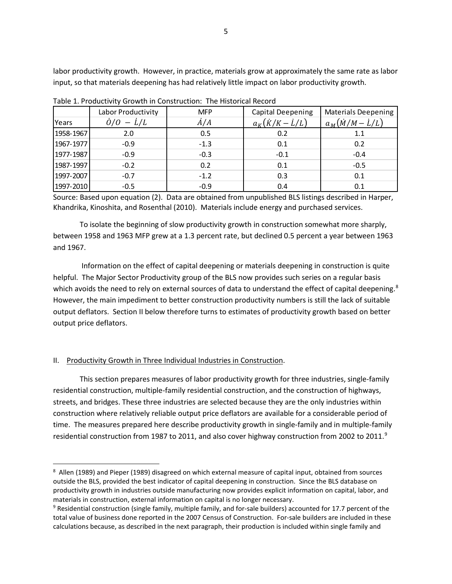labor productivity growth. However, in practice, materials grow at approximately the same rate as labor input, so that materials deepening has had relatively little impact on labor productivity growth.

|           | Labor Productivity                | <b>MFP</b>  | <b>Capital Deepening</b> | <b>Materials Deepening</b> |
|-----------|-----------------------------------|-------------|--------------------------|----------------------------|
| Years     | $\dot{\theta}/\theta - \dot{L}/L$ | $\dot{A}/A$ | $a_K(K/K-L/L)$           | $a_M(\dot{M}/M-\dot{L}/L)$ |
| 1958-1967 | 2.0                               | 0.5         | 0.2                      | 1.1                        |
| 1967-1977 | $-0.9$                            | $-1.3$      | 0.1                      | 0.2                        |
| 1977-1987 | $-0.9$                            | $-0.3$      | $-0.1$                   | $-0.4$                     |
| 1987-1997 | $-0.2$                            | 0.2         | 0.1                      | $-0.5$                     |
| 1997-2007 | $-0.7$                            | $-1.2$      | 0.3                      | 0.1                        |
| 1997-2010 | $-0.5$                            | $-0.9$      | 0.4                      | 0.1                        |

Table 1. Productivity Growth in Construction: The Historical Record

 Source: Based upon equation (2). Data are obtained from unpublished BLS listings described in Harper, Khandrika, Kinoshita, and Rosenthal (2010). Materials include energy and purchased services.

To isolate the beginning of slow productivity growth in construction somewhat more sharply, between 1958 and 1963 MFP grew at a 1.3 percent rate, but declined 0.5 percent a year between 1963 and 1967.

Information on the effect of capital deepening or materials deepening in construction is quite helpful. The Major Sector Productivity group of the BLS now provides such series on a regular basis which avoids the need to rely on external sources of data to understand the effect of capital deepening.<sup>[8](#page-5-0)</sup> However, the main impediment to better construction productivity numbers is still the lack of suitable output deflators. Section II below therefore turns to estimates of productivity growth based on better output price deflators.

# II. Productivity Growth in Three Individual Industries in Construction.

 $\overline{\phantom{a}}$ 

This section prepares measures of labor productivity growth for three industries, single-family residential construction, multiple-family residential construction, and the construction of highways, streets, and bridges. These three industries are selected because they are the only industries within construction where relatively reliable output price deflators are available for a considerable period of time. The measures prepared here describe productivity growth in single-family and in multiple-family residential construction from 1[9](#page-5-1)87 to 2011, and also cover highway construction from 2002 to 2011.<sup>9</sup>

<span id="page-5-0"></span><sup>8</sup> Allen (1989) and Pieper (1989) disagreed on which external measure of capital input, obtained from sources outside the BLS, provided the best indicator of capital deepening in construction. Since the BLS database on productivity growth in industries outside manufacturing now provides explicit information on capital, labor, and materials in construction, external information on capital is no longer necessary.

<span id="page-5-1"></span> $9$  Residential construction (single family, multiple family, and for-sale builders) accounted for 17.7 percent of the total value of business done reported in the 2007 Census of Construction. For-sale builders are included in these calculations because, as described in the next paragraph, their production is included within single family and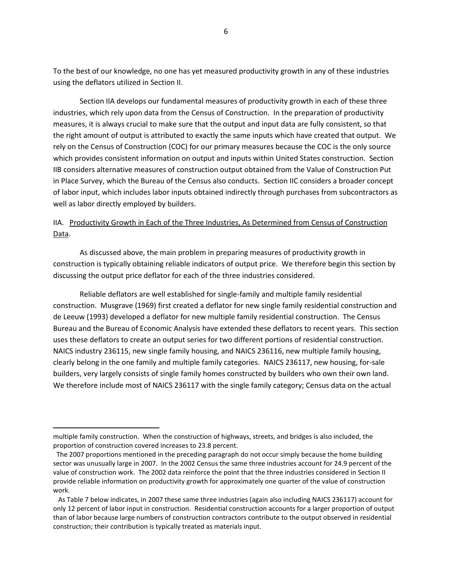To the best of our knowledge, no one has yet measured productivity growth in any of these industries using the deflators utilized in Section II.

Section IIA develops our fundamental measures of productivity growth in each of these three industries, which rely upon data from the Census of Construction. In the preparation of productivity measures, it is always crucial to make sure that the output and input data are fully consistent, so that the right amount of output is attributed to exactly the same inputs which have created that output. We rely on the Census of Construction (COC) for our primary measures because the COC is the only source which provides consistent information on output and inputs within United States construction. Section IIB considers alternative measures of construction output obtained from the Value of Construction Put in Place Survey, which the Bureau of the Census also conducts. Section IIC considers a broader concept of labor input, which includes labor inputs obtained indirectly through purchases from subcontractors as well as labor directly employed by builders.

# IIA. Productivity Growth in Each of the Three Industries, As Determined from Census of Construction Data.

As discussed above, the main problem in preparing measures of productivity growth in construction is typically obtaining reliable indicators of output price. We therefore begin this section by discussing the output price deflator for each of the three industries considered.

Reliable deflators are well established for single-family and multiple family residential construction. Musgrave (1969) first created a deflator for new single family residential construction and de Leeuw (1993) developed a deflator for new multiple family residential construction. The Census Bureau and the Bureau of Economic Analysis have extended these deflators to recent years. This section uses these deflators to create an output series for two different portions of residential construction. NAICS industry 236115, new single family housing, and NAICS 236116, new multiple family housing, clearly belong in the one family and multiple family categories. NAICS 236117, new housing, for-sale builders, very largely consists of single family homes constructed by builders who own their own land. We therefore include most of NAICS 236117 with the single family category; Census data on the actual

multiple family construction. When the construction of highways, streets, and bridges is also included, the proportion of construction covered increases to 23.8 percent.

The 2007 proportions mentioned in the preceding paragraph do not occur simply because the home building sector was unusually large in 2007. In the 2002 Census the same three industries account for 24.9 percent of the value of construction work. The 2002 data reinforce the point that the three industries considered in Section II provide reliable information on productivity growth for approximately one quarter of the value of construction work.

As Table 7 below indicates, in 2007 these same three industries (again also including NAICS 236117) account for only 12 percent of labor input in construction. Residential construction accounts for a larger proportion of output than of labor because large numbers of construction contractors contribute to the output observed in residential construction; their contribution is typically treated as materials input.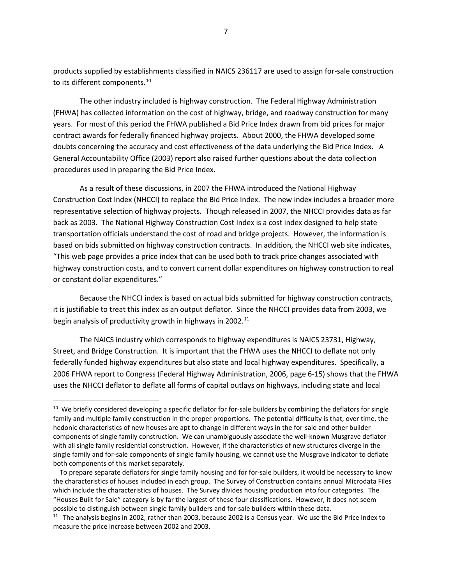products supplied by establishments classified in NAICS 236117 are used to assign for-sale construction to its different components.<sup>[10](#page-7-0)</sup>

The other industry included is highway construction. The Federal Highway Administration (FHWA) has collected information on the cost of highway, bridge, and roadway construction for many years. For most of this period the FHWA published a Bid Price Index drawn from bid prices for major contract awards for federally financed highway projects. About 2000, the FHWA developed some doubts concerning the accuracy and cost effectiveness of the data underlying the Bid Price Index. A General Accountability Office (2003) report also raised further questions about the data collection procedures used in preparing the Bid Price Index.

As a result of these discussions, in 2007 the FHWA introduced the National Highway Construction Cost Index (NHCCI) to replace the Bid Price Index. The new index includes a broader more representative selection of highway projects. Though released in 2007, the NHCCI provides data as far back as 2003. The National Highway Construction Cost Index is a cost index designed to help state transportation officials understand the cost of road and bridge projects. However, the information is based on bids submitted on highway construction contracts. In addition, the NHCCI web site indicates, "This web page provides a price index that can be used both to track price changes associated with highway construction costs, and to convert current dollar expenditures on highway construction to real or constant dollar expenditures."

Because the NHCCI index is based on actual bids submitted for highway construction contracts, it is justifiable to treat this index as an output deflator. Since the NHCCI provides data from 2003, we begin analysis of productivity growth in highways in 2002.<sup>[11](#page-7-1)</sup>

The NAICS industry which corresponds to highway expenditures is NAICS 23731, Highway, Street, and Bridge Construction. It is important that the FHWA uses the NHCCI to deflate not only federally funded highway expenditures but also state and local highway expenditures. Specifically, a 2006 FHWA report to Congress (Federal Highway Administration, 2006, page 6-15) shows that the FHWA uses the NHCCI deflator to deflate all forms of capital outlays on highways, including state and local

l

<span id="page-7-0"></span><sup>&</sup>lt;sup>10</sup> We briefly considered developing a specific deflator for for-sale builders by combining the deflators for single family and multiple family construction in the proper proportions. The potential difficulty is that, over time, the hedonic characteristics of new houses are apt to change in different ways in the for-sale and other builder components of single family construction. We can unambiguously associate the well-known Musgrave deflator with all single family residential construction. However, if the characteristics of new structures diverge in the single family and for-sale components of single family housing, we cannot use the Musgrave indicator to deflate both components of this market separately.

To prepare separate deflators for single family housing and for for-sale builders, it would be necessary to know the characteristics of houses included in each group. The Survey of Construction contains annual Microdata Files which include the characteristics of houses. The Survey divides housing production into four categories. The "Houses Built for Sale" category is by far the largest of these four classifications. However, it does not seem possible to distinguish between single family builders and for-sale builders within these data.

<span id="page-7-1"></span><sup>&</sup>lt;sup>11</sup> The analysis begins in 2002, rather than 2003, because 2002 is a Census year. We use the Bid Price Index to measure the price increase between 2002 and 2003.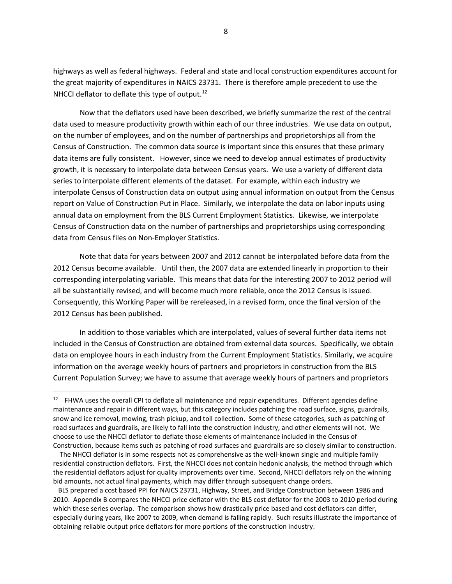highways as well as federal highways. Federal and state and local construction expenditures account for the great majority of expenditures in NAICS 23731. There is therefore ample precedent to use the NHCCI deflator to deflate this type of output.<sup>[12](#page-8-0)</sup>

Now that the deflators used have been described, we briefly summarize the rest of the central data used to measure productivity growth within each of our three industries. We use data on output, on the number of employees, and on the number of partnerships and proprietorships all from the Census of Construction. The common data source is important since this ensures that these primary data items are fully consistent. However, since we need to develop annual estimates of productivity growth, it is necessary to interpolate data between Census years. We use a variety of different data series to interpolate different elements of the dataset. For example, within each industry we interpolate Census of Construction data on output using annual information on output from the Census report on Value of Construction Put in Place. Similarly, we interpolate the data on labor inputs using annual data on employment from the BLS Current Employment Statistics. Likewise, we interpolate Census of Construction data on the number of partnerships and proprietorships using corresponding data from Census files on Non-Employer Statistics.

Note that data for years between 2007 and 2012 cannot be interpolated before data from the 2012 Census become available. Until then, the 2007 data are extended linearly in proportion to their corresponding interpolating variable. This means that data for the interesting 2007 to 2012 period will all be substantially revised, and will become much more reliable, once the 2012 Census is issued. Consequently, this Working Paper will be rereleased, in a revised form, once the final version of the 2012 Census has been published.

In addition to those variables which are interpolated, values of several further data items not included in the Census of Construction are obtained from external data sources. Specifically, we obtain data on employee hours in each industry from the Current Employment Statistics. Similarly, we acquire information on the average weekly hours of partners and proprietors in construction from the BLS Current Population Survey; we have to assume that average weekly hours of partners and proprietors

 $\overline{\phantom{a}}$ 

 The NHCCI deflator is in some respects not as comprehensive as the well-known single and multiple family residential construction deflators. First, the NHCCI does not contain hedonic analysis, the method through which the residential deflators adjust for quality improvements over time. Second, NHCCI deflators rely on the winning bid amounts, not actual final payments, which may differ through subsequent change orders.

 BLS prepared a cost based PPI for NAICS 23731, Highway, Street, and Bridge Construction between 1986 and 2010. Appendix B compares the NHCCI price deflator with the BLS cost deflator for the 2003 to 2010 period during which these series overlap. The comparison shows how drastically price based and cost deflators can differ, especially during years, like 2007 to 2009, when demand is falling rapidly. Such results illustrate the importance of obtaining reliable output price deflators for more portions of the construction industry.

<span id="page-8-0"></span><sup>&</sup>lt;sup>12</sup> FHWA uses the overall CPI to deflate all maintenance and repair expenditures. Different agencies define maintenance and repair in different ways, but this category includes patching the road surface, signs, guardrails, snow and ice removal, mowing, trash pickup, and toll collection. Some of these categories, such as patching of road surfaces and guardrails, are likely to fall into the construction industry, and other elements will not. We choose to use the NHCCI deflator to deflate those elements of maintenance included in the Census of Construction, because items such as patching of road surfaces and guardrails are so closely similar to construction.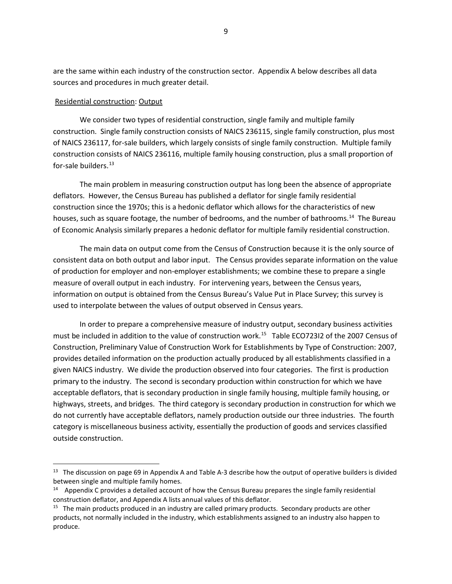are the same within each industry of the construction sector. Appendix A below describes all data sources and procedures in much greater detail.

#### Residential construction: Output

 $\overline{\phantom{a}}$ 

We consider two types of residential construction, single family and multiple family construction. Single family construction consists of NAICS 236115, single family construction, plus most of NAICS 236117, for-sale builders, which largely consists of single family construction. Multiple family construction consists of NAICS 236116, multiple family housing construction, plus a small proportion of for-sale builders. $^{13}$  $^{13}$  $^{13}$ 

The main problem in measuring construction output has long been the absence of appropriate deflators. However, the Census Bureau has published a deflator for single family residential construction since the 1970s; this is a hedonic deflator which allows for the characteristics of new houses, such as square footage, the number of bedrooms, and the number of bathrooms.<sup>14</sup> The Bureau of Economic Analysis similarly prepares a hedonic deflator for multiple family residential construction.

The main data on output come from the Census of Construction because it is the only source of consistent data on both output and labor input. The Census provides separate information on the value of production for employer and non-employer establishments; we combine these to prepare a single measure of overall output in each industry. For intervening years, between the Census years, information on output is obtained from the Census Bureau's Value Put in Place Survey; this survey is used to interpolate between the values of output observed in Census years.

In order to prepare a comprehensive measure of industry output, secondary business activities must be included in addition to the value of construction work.[15](#page-9-2) Table ECO723I2 of the 2007 Census of Construction, Preliminary Value of Construction Work for Establishments by Type of Construction: 2007, provides detailed information on the production actually produced by all establishments classified in a given NAICS industry. We divide the production observed into four categories. The first is production primary to the industry. The second is secondary production within construction for which we have acceptable deflators, that is secondary production in single family housing, multiple family housing, or highways, streets, and bridges. The third category is secondary production in construction for which we do not currently have acceptable deflators, namely production outside our three industries. The fourth category is miscellaneous business activity, essentially the production of goods and services classified outside construction.

<span id="page-9-0"></span><sup>&</sup>lt;sup>13</sup> The discussion on page 69 in Appendix A and Table A-3 describe how the output of operative builders is divided between single and multiple family homes.

<span id="page-9-1"></span> $14$  Appendix C provides a detailed account of how the Census Bureau prepares the single family residential construction deflator, and Appendix A lists annual values of this deflator.

<span id="page-9-2"></span> $15$  The main products produced in an industry are called primary products. Secondary products are other products, not normally included in the industry, which establishments assigned to an industry also happen to produce.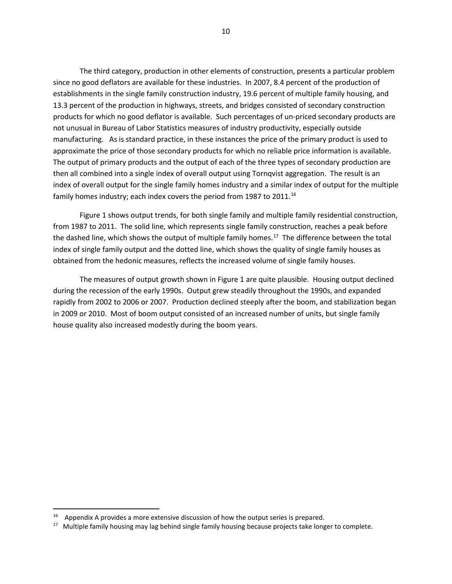The third category, production in other elements of construction, presents a particular problem since no good deflators are available for these industries. In 2007, 8.4 percent of the production of establishments in the single family construction industry, 19.6 percent of multiple family housing, and 13.3 percent of the production in highways, streets, and bridges consisted of secondary construction products for which no good deflator is available. Such percentages of un-priced secondary products are not unusual in Bureau of Labor Statistics measures of industry productivity, especially outside manufacturing. As is standard practice, in these instances the price of the primary product is used to approximate the price of those secondary products for which no reliable price information is available. The output of primary products and the output of each of the three types of secondary production are then all combined into a single index of overall output using Tornqvist aggregation. The result is an index of overall output for the single family homes industry and a similar index of output for the multiple family homes industry; each index covers the period from 1987 to 2011.<sup>[16](#page-10-0)</sup>

Figure 1 shows output trends, for both single family and multiple family residential construction, from 1987 to 2011. The solid line, which represents single family construction, reaches a peak before the dashed line, which shows the output of multiple family homes.<sup>17</sup> The difference between the total index of single family output and the dotted line, which shows the quality of single family houses as obtained from the hedonic measures, reflects the increased volume of single family houses.

The measures of output growth shown in Figure 1 are quite plausible. Housing output declined during the recession of the early 1990s. Output grew steadily throughout the 1990s, and expanded rapidly from 2002 to 2006 or 2007. Production declined steeply after the boom, and stabilization began in 2009 or 2010. Most of boom output consisted of an increased number of units, but single family house quality also increased modestly during the boom years.

<span id="page-10-0"></span> $16$  Appendix A provides a more extensive discussion of how the output series is prepared.

<span id="page-10-1"></span><sup>&</sup>lt;sup>17</sup> Multiple family housing may lag behind single family housing because projects take longer to complete.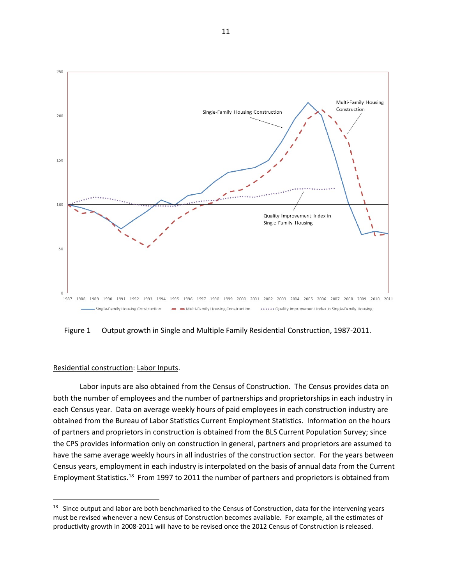

Figure 1 Output growth in Single and Multiple Family Residential Construction, 1987-2011.

#### Residential construction: Labor Inputs.

l

Labor inputs are also obtained from the Census of Construction. The Census provides data on both the number of employees and the number of partnerships and proprietorships in each industry in each Census year. Data on average weekly hours of paid employees in each construction industry are obtained from the Bureau of Labor Statistics Current Employment Statistics. Information on the hours of partners and proprietors in construction is obtained from the BLS Current Population Survey; since the CPS provides information only on construction in general, partners and proprietors are assumed to have the same average weekly hours in all industries of the construction sector. For the years between Census years, employment in each industry is interpolated on the basis of annual data from the Current Employment Statistics.<sup>[18](#page-11-0)</sup> From 1997 to 2011 the number of partners and proprietors is obtained from

<span id="page-11-0"></span><sup>&</sup>lt;sup>18</sup> Since output and labor are both benchmarked to the Census of Construction, data for the intervening years must be revised whenever a new Census of Construction becomes available. For example, all the estimates of productivity growth in 2008-2011 will have to be revised once the 2012 Census of Construction is released.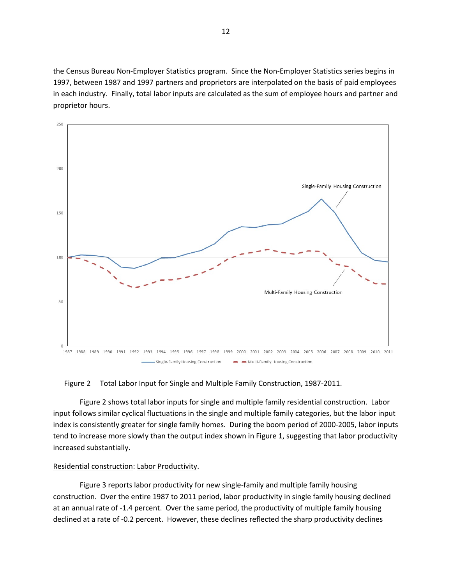the Census Bureau Non-Employer Statistics program. Since the Non-Employer Statistics series begins in 1997, between 1987 and 1997 partners and proprietors are interpolated on the basis of paid employees in each industry. Finally, total labor inputs are calculated as the sum of employee hours and partner and proprietor hours.



#### Figure 2 Total Labor Input for Single and Multiple Family Construction, 1987-2011.

Figure 2 shows total labor inputs for single and multiple family residential construction. Labor input follows similar cyclical fluctuations in the single and multiple family categories, but the labor input index is consistently greater for single family homes. During the boom period of 2000-2005, labor inputs tend to increase more slowly than the output index shown in Figure 1, suggesting that labor productivity increased substantially.

#### Residential construction: Labor Productivity.

Figure 3 reports labor productivity for new single-family and multiple family housing construction. Over the entire 1987 to 2011 period, labor productivity in single family housing declined at an annual rate of -1.4 percent. Over the same period, the productivity of multiple family housing declined at a rate of -0.2 percent. However, these declines reflected the sharp productivity declines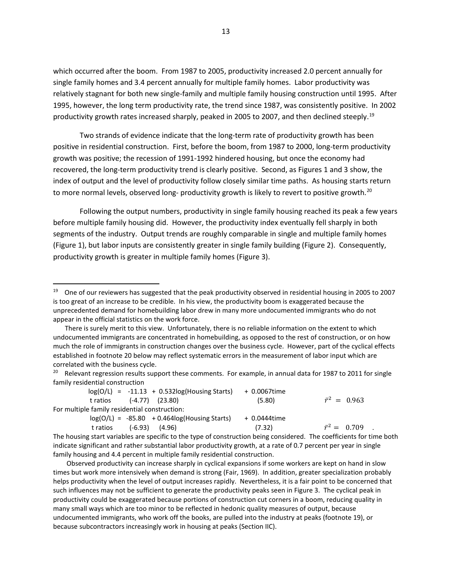which occurred after the boom. From 1987 to 2005, productivity increased 2.0 percent annually for single family homes and 3.4 percent annually for multiple family homes. Labor productivity was relatively stagnant for both new single-family and multiple family housing construction until 1995. After 1995, however, the long term productivity rate, the trend since 1987, was consistently positive. In 2002 productivity growth rates increased sharply, peaked in 2005 to 2007, and then declined steeply.<sup>[19](#page-13-0)</sup>

Two strands of evidence indicate that the long-term rate of productivity growth has been positive in residential construction. First, before the boom, from 1987 to 2000, long-term productivity growth was positive; the recession of 1991-1992 hindered housing, but once the economy had recovered, the long-term productivity trend is clearly positive. Second, as Figures 1 and 3 show, the index of output and the level of productivity follow closely similar time paths. As housing starts return to more normal levels, observed long- productivity growth is likely to revert to positive growth.<sup>[20](#page-13-1)</sup>

Following the output numbers, productivity in single family housing reached its peak a few years before multiple family housing did. However, the productivity index eventually fell sharply in both segments of the industry. Output trends are roughly comparable in single and multiple family homes (Figure 1), but labor inputs are consistently greater in single family building (Figure 2). Consequently, productivity growth is greater in multiple family homes (Figure 3).

 $\overline{\phantom{a}}$ 

<span id="page-13-1"></span><sup>20</sup> Relevant regression results support these comments. For example, in annual data for 1987 to 2011 for single family residential construction

| $log(O/L) = -11.13 + 0.532log(Housing Stars)$                                                                  | + 0.0067time |                     |
|----------------------------------------------------------------------------------------------------------------|--------------|---------------------|
| $(-4.77)$ (23.80)<br>t ratios                                                                                  | (5.80)       | $\bar{r}^2 = 0.963$ |
| For multiple family residential construction:                                                                  |              |                     |
| $log(O/L) = -85.80 + 0.464log(Housing Starts)$                                                                 | + 0.0444time |                     |
| $(-6.93)$<br>(4.96)<br>t ratios                                                                                | (7.32)       | $\bar{r}^2 = 0.709$ |
| τις καταλογικής προσταθμής του του αλλά καταλογικής της προσκοπικής και του αλλά που λογπλατικού δυσκευτικού κ |              |                     |

The housing start variables are specific to the type of construction being considered. The coefficients for time both indicate significant and rather substantial labor productivity growth, at a rate of 0.7 percent per year in single family housing and 4.4 percent in multiple family residential construction.

<span id="page-13-0"></span><sup>&</sup>lt;sup>19</sup> One of our reviewers has suggested that the peak productivity observed in residential housing in 2005 to 2007 is too great of an increase to be credible. In his view, the productivity boom is exaggerated because the unprecedented demand for homebuilding labor drew in many more undocumented immigrants who do not appear in the official statistics on the work force.

There is surely merit to this view. Unfortunately, there is no reliable information on the extent to which undocumented immigrants are concentrated in homebuilding, as opposed to the rest of construction, or on how much the role of immigrants in construction changes over the business cycle. However, part of the cyclical effects established in footnote 20 below may reflect systematic errors in the measurement of labor input which are correlated with the business cycle.

Observed productivity can increase sharply in cyclical expansions if some workers are kept on hand in slow times but work more intensively when demand is strong (Fair, 1969). In addition, greater specialization probably helps productivity when the level of output increases rapidly. Nevertheless, it is a fair point to be concerned that such influences may not be sufficient to generate the productivity peaks seen in Figure 3. The cyclical peak in productivity could be exaggerated because portions of construction cut corners in a boom, reducing quality in many small ways which are too minor to be reflected in hedonic quality measures of output, because undocumented immigrants, who work off the books, are pulled into the industry at peaks (footnote 19), or because subcontractors increasingly work in housing at peaks (Section IIC).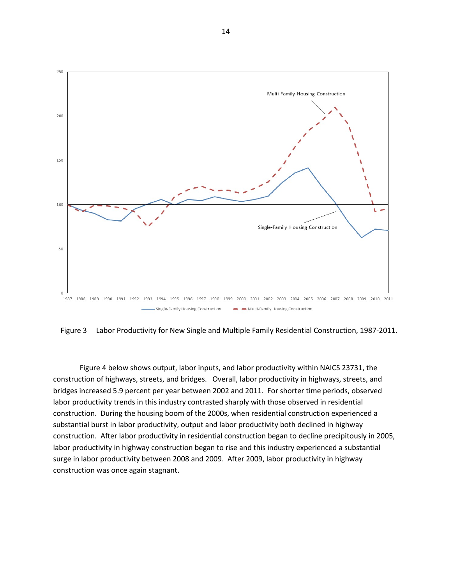

Figure 3 Labor Productivity for New Single and Multiple Family Residential Construction, 1987-2011.

Figure 4 below shows output, labor inputs, and labor productivity within NAICS 23731, the construction of highways, streets, and bridges. Overall, labor productivity in highways, streets, and bridges increased 5.9 percent per year between 2002 and 2011. For shorter time periods, observed labor productivity trends in this industry contrasted sharply with those observed in residential construction. During the housing boom of the 2000s, when residential construction experienced a substantial burst in labor productivity, output and labor productivity both declined in highway construction. After labor productivity in residential construction began to decline precipitously in 2005, labor productivity in highway construction began to rise and this industry experienced a substantial surge in labor productivity between 2008 and 2009. After 2009, labor productivity in highway construction was once again stagnant.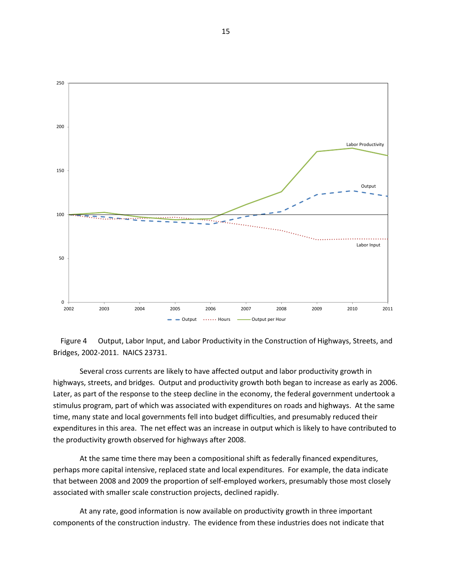



Several cross currents are likely to have affected output and labor productivity growth in highways, streets, and bridges. Output and productivity growth both began to increase as early as 2006. Later, as part of the response to the steep decline in the economy, the federal government undertook a stimulus program, part of which was associated with expenditures on roads and highways. At the same time, many state and local governments fell into budget difficulties, and presumably reduced their expenditures in this area. The net effect was an increase in output which is likely to have contributed to the productivity growth observed for highways after 2008.

At the same time there may been a compositional shift as federally financed expenditures, perhaps more capital intensive, replaced state and local expenditures. For example, the data indicate that between 2008 and 2009 the proportion of self-employed workers, presumably those most closely associated with smaller scale construction projects, declined rapidly.

At any rate, good information is now available on productivity growth in three important components of the construction industry. The evidence from these industries does not indicate that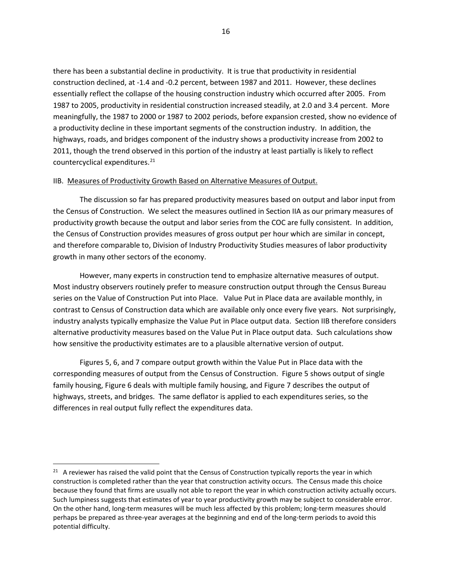there has been a substantial decline in productivity. It is true that productivity in residential construction declined, at -1.4 and -0.2 percent, between 1987 and 2011. However, these declines essentially reflect the collapse of the housing construction industry which occurred after 2005. From 1987 to 2005, productivity in residential construction increased steadily, at 2.0 and 3.4 percent. More meaningfully, the 1987 to 2000 or 1987 to 2002 periods, before expansion crested, show no evidence of a productivity decline in these important segments of the construction industry. In addition, the highways, roads, and bridges component of the industry shows a productivity increase from 2002 to 2011, though the trend observed in this portion of the industry at least partially is likely to reflect countercyclical expenditures.<sup>[21](#page-16-0)</sup>

#### IIB. Measures of Productivity Growth Based on Alternative Measures of Output.

The discussion so far has prepared productivity measures based on output and labor input from the Census of Construction. We select the measures outlined in Section IIA as our primary measures of productivity growth because the output and labor series from the COC are fully consistent. In addition, the Census of Construction provides measures of gross output per hour which are similar in concept, and therefore comparable to, Division of Industry Productivity Studies measures of labor productivity growth in many other sectors of the economy.

However, many experts in construction tend to emphasize alternative measures of output. Most industry observers routinely prefer to measure construction output through the Census Bureau series on the Value of Construction Put into Place. Value Put in Place data are available monthly, in contrast to Census of Construction data which are available only once every five years. Not surprisingly, industry analysts typically emphasize the Value Put in Place output data. Section IIB therefore considers alternative productivity measures based on the Value Put in Place output data. Such calculations show how sensitive the productivity estimates are to a plausible alternative version of output.

Figures 5, 6, and 7 compare output growth within the Value Put in Place data with the corresponding measures of output from the Census of Construction. Figure 5 shows output of single family housing, Figure 6 deals with multiple family housing, and Figure 7 describes the output of highways, streets, and bridges. The same deflator is applied to each expenditures series, so the differences in real output fully reflect the expenditures data.

<span id="page-16-0"></span><sup>&</sup>lt;sup>21</sup> A reviewer has raised the valid point that the Census of Construction typically reports the year in which construction is completed rather than the year that construction activity occurs. The Census made this choice because they found that firms are usually not able to report the year in which construction activity actually occurs. Such lumpiness suggests that estimates of year to year productivity growth may be subject to considerable error. On the other hand, long-term measures will be much less affected by this problem; long-term measures should perhaps be prepared as three-year averages at the beginning and end of the long-term periods to avoid this potential difficulty.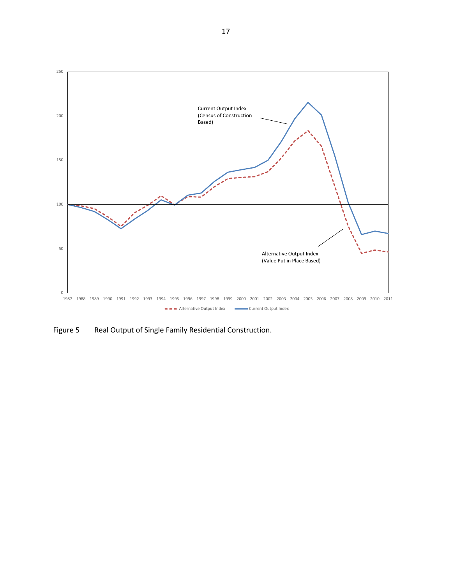

Figure 5 Real Output of Single Family Residential Construction.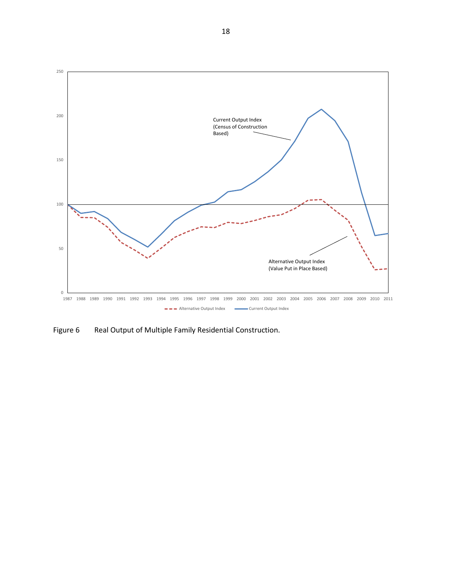

Figure 6 Real Output of Multiple Family Residential Construction.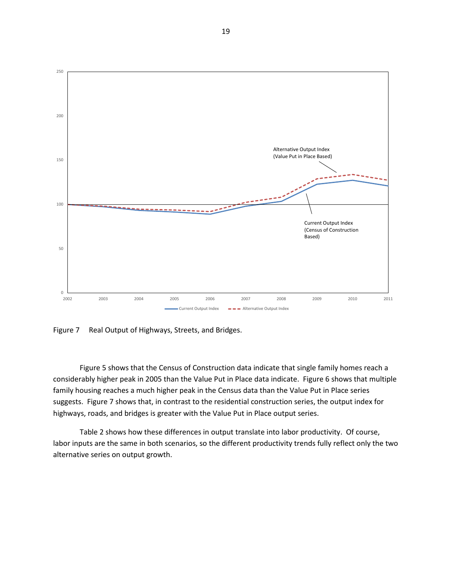

Figure 7 Real Output of Highways, Streets, and Bridges.

Figure 5 shows that the Census of Construction data indicate that single family homes reach a considerably higher peak in 2005 than the Value Put in Place data indicate. Figure 6 shows that multiple family housing reaches a much higher peak in the Census data than the Value Put in Place series suggests. Figure 7 shows that, in contrast to the residential construction series, the output index for highways, roads, and bridges is greater with the Value Put in Place output series.

Table 2 shows how these differences in output translate into labor productivity. Of course, labor inputs are the same in both scenarios, so the different productivity trends fully reflect only the two alternative series on output growth.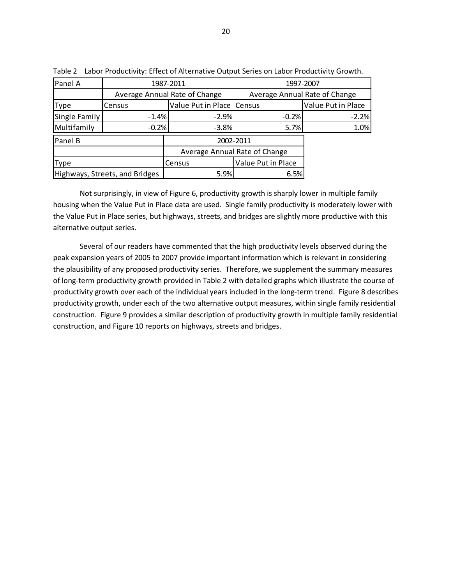| Panel A              |                                | 1987-2011                     | 1997-2007          |                               |  |  |
|----------------------|--------------------------------|-------------------------------|--------------------|-------------------------------|--|--|
|                      |                                | Average Annual Rate of Change |                    | Average Annual Rate of Change |  |  |
| Type                 | Census                         | Value Put in Place   Census   |                    | Value Put in Place            |  |  |
| Single Family        | $-1.4%$                        | $-2.9%$                       | $-0.2%$            | $-2.2%$                       |  |  |
| Multifamily          | $-0.2%$                        | $-3.8%$                       | 5.7%               | 1.0%                          |  |  |
| Panel B<br>2002-2011 |                                |                               |                    |                               |  |  |
|                      |                                | Average Annual Rate of Change |                    |                               |  |  |
| <b>Type</b>          |                                | Census                        | Value Put in Place |                               |  |  |
|                      | Highways, Streets, and Bridges | 5.9%                          | 6.5%               |                               |  |  |

Table 2 Labor Productivity: Effect of Alternative Output Series on Labor Productivity Growth.

Not surprisingly, in view of Figure 6, productivity growth is sharply lower in multiple family housing when the Value Put in Place data are used. Single family productivity is moderately lower with the Value Put in Place series, but highways, streets, and bridges are slightly more productive with this alternative output series.

Several of our readers have commented that the high productivity levels observed during the peak expansion years of 2005 to 2007 provide important information which is relevant in considering the plausibility of any proposed productivity series. Therefore, we supplement the summary measures of long-term productivity growth provided in Table 2 with detailed graphs which illustrate the course of productivity growth over each of the individual years included in the long-term trend. Figure 8 describes productivity growth, under each of the two alternative output measures, within single family residential construction. Figure 9 provides a similar description of productivity growth in multiple family residential construction, and Figure 10 reports on highways, streets and bridges.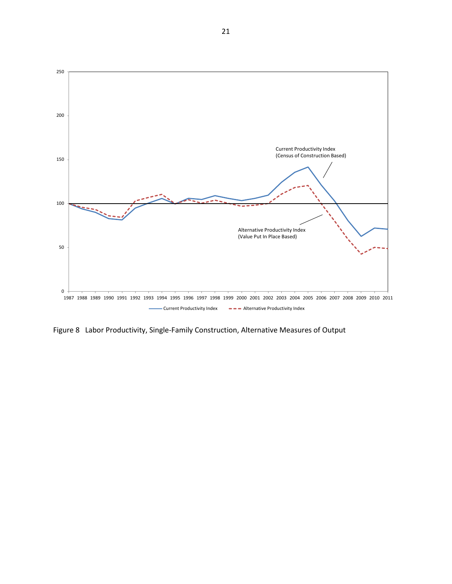

Figure 8 Labor Productivity, Single-Family Construction, Alternative Measures of Output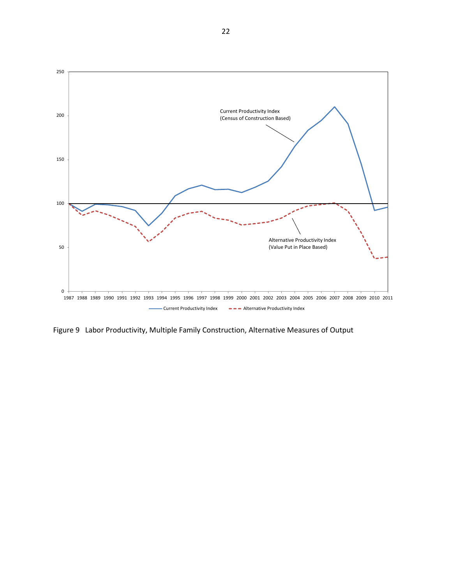

Figure 9 Labor Productivity, Multiple Family Construction, Alternative Measures of Output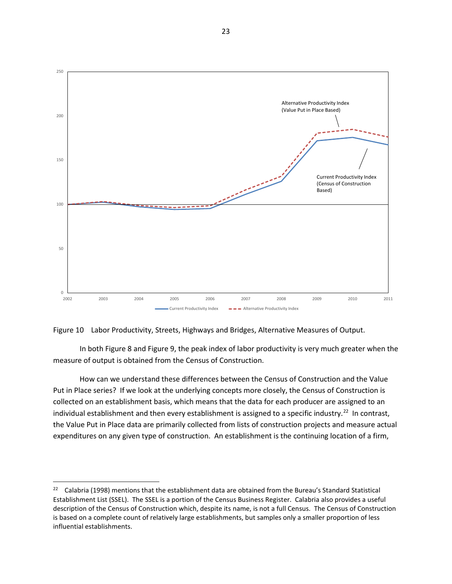

#### Figure 10 Labor Productivity, Streets, Highways and Bridges, Alternative Measures of Output.

In both Figure 8 and Figure 9, the peak index of labor productivity is very much greater when the measure of output is obtained from the Census of Construction.

How can we understand these differences between the Census of Construction and the Value Put in Place series? If we look at the underlying concepts more closely, the Census of Construction is collected on an establishment basis, which means that the data for each producer are assigned to an individual establishment and then every establishment is assigned to a specific industry.<sup>[22](#page-23-0)</sup> In contrast, the Value Put in Place data are primarily collected from lists of construction projects and measure actual expenditures on any given type of construction. An establishment is the continuing location of a firm,

<span id="page-23-0"></span><sup>&</sup>lt;sup>22</sup> Calabria (1998) mentions that the establishment data are obtained from the Bureau's Standard Statistical Establishment List (SSEL). The SSEL is a portion of the Census Business Register. Calabria also provides a useful description of the Census of Construction which, despite its name, is not a full Census. The Census of Construction is based on a complete count of relatively large establishments, but samples only a smaller proportion of less influential establishments.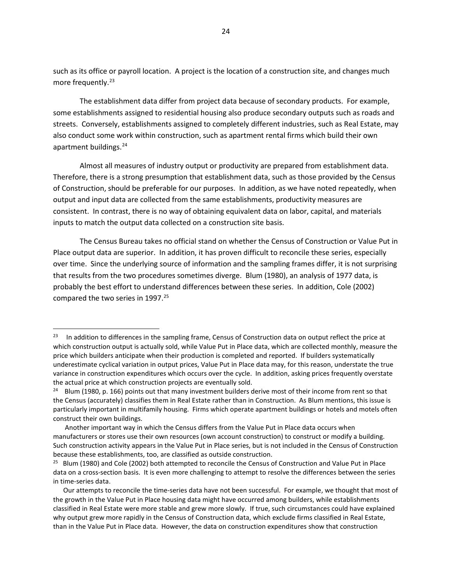such as its office or payroll location. A project is the location of a construction site, and changes much more frequently.<sup>[23](#page-24-0)</sup>

The establishment data differ from project data because of secondary products. For example, some establishments assigned to residential housing also produce secondary outputs such as roads and streets. Conversely, establishments assigned to completely different industries, such as Real Estate, may also conduct some work within construction, such as apartment rental firms which build their own apartment buildings.<sup>[24](#page-24-1)</sup>

Almost all measures of industry output or productivity are prepared from establishment data. Therefore, there is a strong presumption that establishment data, such as those provided by the Census of Construction, should be preferable for our purposes. In addition, as we have noted repeatedly, when output and input data are collected from the same establishments, productivity measures are consistent. In contrast, there is no way of obtaining equivalent data on labor, capital, and materials inputs to match the output data collected on a construction site basis.

The Census Bureau takes no official stand on whether the Census of Construction or Value Put in Place output data are superior. In addition, it has proven difficult to reconcile these series, especially over time. Since the underlying source of information and the sampling frames differ, it is not surprising that results from the two procedures sometimes diverge. Blum (1980), an analysis of 1977 data, is probably the best effort to understand differences between these series. In addition, Cole (2002) compared the two series in 1997.<sup>[25](#page-24-2)</sup>

<span id="page-24-0"></span><sup>&</sup>lt;sup>23</sup> In addition to differences in the sampling frame, Census of Construction data on output reflect the price at which construction output is actually sold, while Value Put in Place data, which are collected monthly, measure the price which builders anticipate when their production is completed and reported. If builders systematically underestimate cyclical variation in output prices, Value Put in Place data may, for this reason, understate the true variance in construction expenditures which occurs over the cycle. In addition, asking prices frequently overstate the actual price at which construction projects are eventually sold.

<span id="page-24-1"></span><sup>&</sup>lt;sup>24</sup> Blum (1980, p. 166) points out that many investment builders derive most of their income from rent so that the Census (accurately) classifies them in Real Estate rather than in Construction. As Blum mentions, this issue is particularly important in multifamily housing. Firms which operate apartment buildings or hotels and motels often construct their own buildings.

Another important way in which the Census differs from the Value Put in Place data occurs when manufacturers or stores use their own resources (own account construction) to construct or modify a building. Such construction activity appears in the Value Put in Place series, but is not included in the Census of Construction because these establishments, too, are classified as outside construction.

<span id="page-24-2"></span><sup>&</sup>lt;sup>25</sup> Blum (1980) and Cole (2002) both attempted to reconcile the Census of Construction and Value Put in Place data on a cross-section basis. It is even more challenging to attempt to resolve the differences between the series in time-series data.

Our attempts to reconcile the time-series data have not been successful. For example, we thought that most of the growth in the Value Put in Place housing data might have occurred among builders, while establishments classified in Real Estate were more stable and grew more slowly. If true, such circumstances could have explained why output grew more rapidly in the Census of Construction data, which exclude firms classified in Real Estate, than in the Value Put in Place data. However, the data on construction expenditures show that construction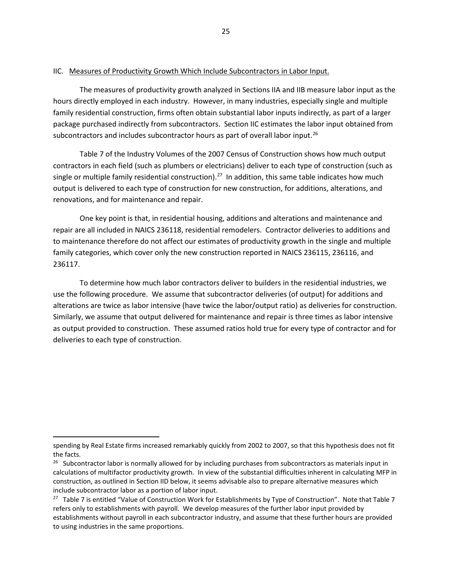## IIC. Measures of Productivity Growth Which Include Subcontractors in Labor Input.

The measures of productivity growth analyzed in Sections IIA and IIB measure labor input as the hours directly employed in each industry. However, in many industries, especially single and multiple family residential construction, firms often obtain substantial labor inputs indirectly, as part of a larger package purchased indirectly from subcontractors. Section IIC estimates the labor input obtained from subcontractors and includes subcontractor hours as part of overall labor input.<sup>[26](#page-25-0)</sup>

Table 7 of the Industry Volumes of the 2007 Census of Construction shows how much output contractors in each field (such as plumbers or electricians) deliver to each type of construction (such as single or multiple family residential construction).<sup>[27](#page-25-1)</sup> In addition, this same table indicates how much output is delivered to each type of construction for new construction, for additions, alterations, and renovations, and for maintenance and repair.

One key point is that, in residential housing, additions and alterations and maintenance and repair are all included in NAICS 236118, residential remodelers. Contractor deliveries to additions and to maintenance therefore do not affect our estimates of productivity growth in the single and multiple family categories, which cover only the new construction reported in NAICS 236115, 236116, and 236117.

To determine how much labor contractors deliver to builders in the residential industries, we use the following procedure. We assume that subcontractor deliveries (of output) for additions and alterations are twice as labor intensive (have twice the labor/output ratio) as deliveries for construction. Similarly, we assume that output delivered for maintenance and repair is three times as labor intensive as output provided to construction. These assumed ratios hold true for every type of contractor and for deliveries to each type of construction.

l

spending by Real Estate firms increased remarkably quickly from 2002 to 2007, so that this hypothesis does not fit the facts.

<span id="page-25-0"></span> $26$  Subcontractor labor is normally allowed for by including purchases from subcontractors as materials input in calculations of multifactor productivity growth. In view of the substantial difficulties inherent in calculating MFP in construction, as outlined in Section IID below, it seems advisable also to prepare alternative measures which include subcontractor labor as a portion of labor input.

<span id="page-25-1"></span><sup>&</sup>lt;sup>27</sup> Table 7 is entitled "Value of Construction Work for Establishments by Type of Construction". Note that Table 7 refers only to establishments with payroll. We develop measures of the further labor input provided by establishments without payroll in each subcontractor industry, and assume that these further hours are provided to using industries in the same proportions.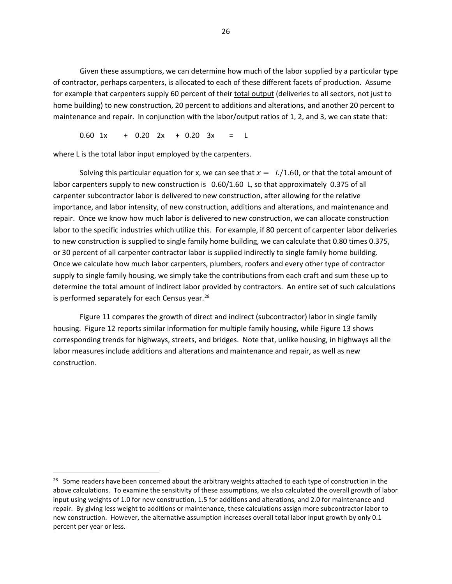Given these assumptions, we can determine how much of the labor supplied by a particular type of contractor, perhaps carpenters, is allocated to each of these different facets of production. Assume for example that carpenters supply 60 percent of their total output (deliveries to all sectors, not just to home building) to new construction, 20 percent to additions and alterations, and another 20 percent to maintenance and repair. In conjunction with the labor/output ratios of 1, 2, and 3, we can state that:

0.60 1x + 0.20 2x + 0.20 3x = L

where L is the total labor input employed by the carpenters.

 $\overline{\phantom{a}}$ 

Solving this particular equation for x, we can see that  $x = L/1.60$ , or that the total amount of labor carpenters supply to new construction is 0.60/1.60 L, so that approximately 0.375 of all carpenter subcontractor labor is delivered to new construction, after allowing for the relative importance, and labor intensity, of new construction, additions and alterations, and maintenance and repair. Once we know how much labor is delivered to new construction, we can allocate construction labor to the specific industries which utilize this. For example, if 80 percent of carpenter labor deliveries to new construction is supplied to single family home building, we can calculate that 0.80 times 0.375, or 30 percent of all carpenter contractor labor is supplied indirectly to single family home building. Once we calculate how much labor carpenters, plumbers, roofers and every other type of contractor supply to single family housing, we simply take the contributions from each craft and sum these up to determine the total amount of indirect labor provided by contractors. An entire set of such calculations is performed separately for each Census year.<sup>[28](#page-26-0)</sup>

Figure 11 compares the growth of direct and indirect (subcontractor) labor in single family housing. Figure 12 reports similar information for multiple family housing, while Figure 13 shows corresponding trends for highways, streets, and bridges. Note that, unlike housing, in highways all the labor measures include additions and alterations and maintenance and repair, as well as new construction.

<span id="page-26-0"></span><sup>&</sup>lt;sup>28</sup> Some readers have been concerned about the arbitrary weights attached to each type of construction in the above calculations. To examine the sensitivity of these assumptions, we also calculated the overall growth of labor input using weights of 1.0 for new construction, 1.5 for additions and alterations, and 2.0 for maintenance and repair. By giving less weight to additions or maintenance, these calculations assign more subcontractor labor to new construction. However, the alternative assumption increases overall total labor input growth by only 0.1 percent per year or less.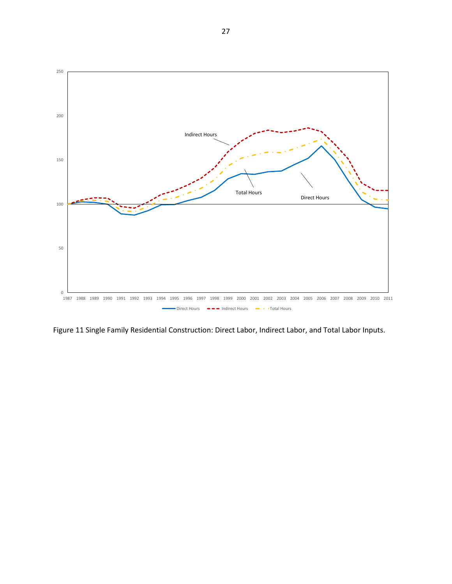

Figure 11 Single Family Residential Construction: Direct Labor, Indirect Labor, and Total Labor Inputs.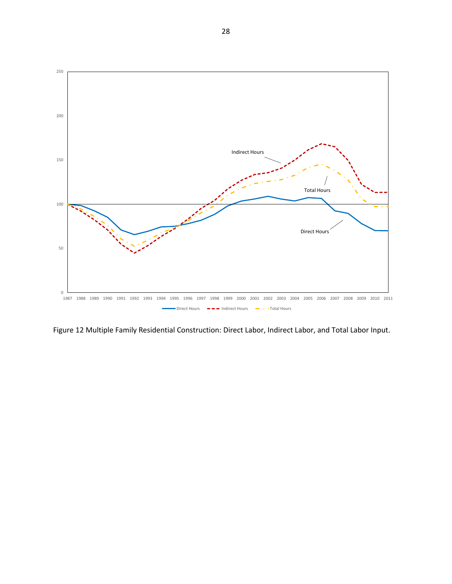

Figure 12 Multiple Family Residential Construction: Direct Labor, Indirect Labor, and Total Labor Input.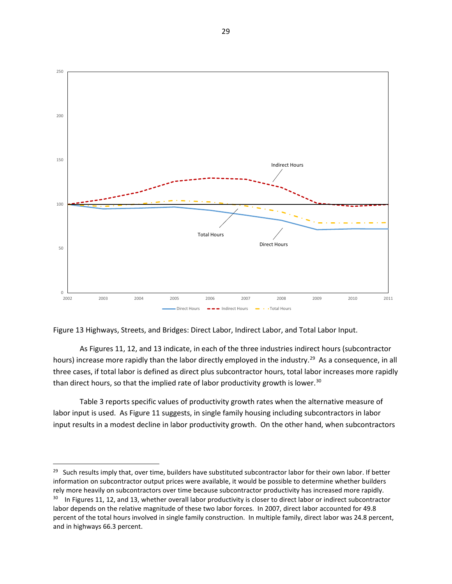

Figure 13 Highways, Streets, and Bridges: Direct Labor, Indirect Labor, and Total Labor Input.

As Figures 11, 12, and 13 indicate, in each of the three industries indirect hours (subcontractor hours) increase more rapidly than the labor directly employed in the industry.<sup>29</sup> As a consequence, in all three cases, if total labor is defined as direct plus subcontractor hours, total labor increases more rapidly than direct hours, so that the implied rate of labor productivity growth is lower.<sup>[30](#page-29-1)</sup>

Table 3 reports specific values of productivity growth rates when the alternative measure of labor input is used. As Figure 11 suggests, in single family housing including subcontractors in labor input results in a modest decline in labor productivity growth. On the other hand, when subcontractors

<span id="page-29-1"></span><span id="page-29-0"></span><sup>&</sup>lt;sup>29</sup> Such results imply that, over time, builders have substituted subcontractor labor for their own labor. If better information on subcontractor output prices were available, it would be possible to determine whether builders rely more heavily on subcontractors over time because subcontractor productivity has increased more rapidly.  $30$  In Figures 11, 12, and 13, whether overall labor productivity is closer to direct labor or indirect subcontractor labor depends on the relative magnitude of these two labor forces. In 2007, direct labor accounted for 49.8 percent of the total hours involved in single family construction. In multiple family, direct labor was 24.8 percent, and in highways 66.3 percent.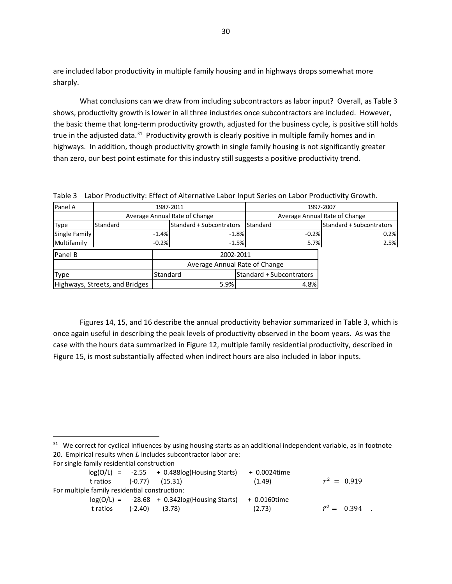are included labor productivity in multiple family housing and in highways drops somewhat more sharply.

What conclusions can we draw from including subcontractors as labor input? Overall, as Table 3 shows, productivity growth is lower in all three industries once subcontractors are included. However, the basic theme that long-term productivity growth, adjusted for the business cycle, is positive still holds true in the adjusted data.<sup>31</sup> Productivity growth is clearly positive in multiple family homes and in highways. In addition, though productivity growth in single family housing is not significantly greater than zero, our best point estimate for this industry still suggests a positive productivity trend.

Table 3 Labor Productivity: Effect of Alternative Labor Input Series on Labor Productivity Growth.

| Panel A                        | 1987-2011                     |          |                          |                               | 1997-2007                       |                                 |  |
|--------------------------------|-------------------------------|----------|--------------------------|-------------------------------|---------------------------------|---------------------------------|--|
|                                | Average Annual Rate of Change |          |                          | Average Annual Rate of Change |                                 |                                 |  |
| <b>Type</b>                    | Standard                      |          | Standard + Subcontrators |                               | Standard                        | <b>Standard + Subcontrators</b> |  |
| Single Family                  |                               | $-1.4%$  | $-1.8%$                  |                               | $-0.2%$                         | 0.2%                            |  |
| Multifamily                    |                               | $-0.2%$  |                          | $-1.5%$                       | 5.7%                            | 2.5%                            |  |
| <b>Panel B</b>                 | 2002-2011                     |          |                          |                               |                                 |                                 |  |
|                                | Average Annual Rate of Change |          |                          |                               |                                 |                                 |  |
| <b>Type</b>                    |                               | Standard |                          |                               | <b>Standard + Subcontrators</b> |                                 |  |
| Highways, Streets, and Bridges |                               | 5.9%     |                          | 4.8%                          |                                 |                                 |  |

Figures 14, 15, and 16 describe the annual productivity behavior summarized in Table 3, which is once again useful in describing the peak levels of productivity observed in the boom years. As was the case with the hours data summarized in Figure 12, multiple family residential productivity, described in Figure 15, is most substantially affected when indirect hours are also included in labor inputs.

<span id="page-30-0"></span><sup>31</sup> We correct for cyclical influences by using housing starts as an additional independent variable, as in footnote 20. Empirical results when  $L$  includes subcontractor labor are:

|  |                                               |  | $log(O/L)$ = $-2.55$ + 0.488 $log(Housing Starts)$         | + 0.0024time |                       |
|--|-----------------------------------------------|--|------------------------------------------------------------|--------------|-----------------------|
|  | t ratios (-0.77) (15.31)                      |  |                                                            | (1.49)       | $\bar{r}^2 = 0.919$   |
|  | For multiple family residential construction: |  |                                                            |              |                       |
|  |                                               |  | $log(O/L) = -28.68 + 0.342log(Housing Stars) + 0.0160time$ |              |                       |
|  | t ratios (-2.40)                              |  | (3.78)                                                     | (2.73)       | $\bar{r}^2 = 0.394$ . |
|  |                                               |  |                                                            |              |                       |

For single family residential construction

l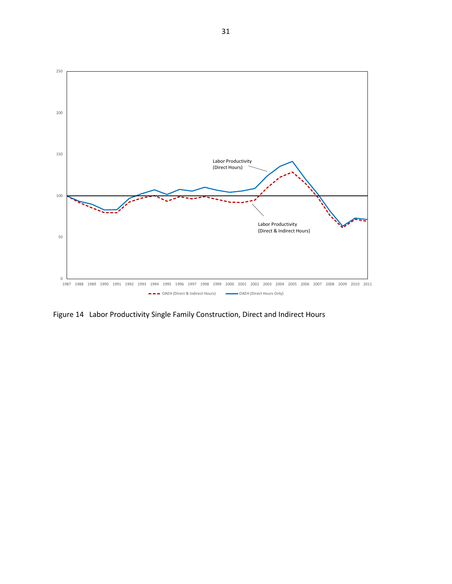

Figure 14 Labor Productivity Single Family Construction, Direct and Indirect Hours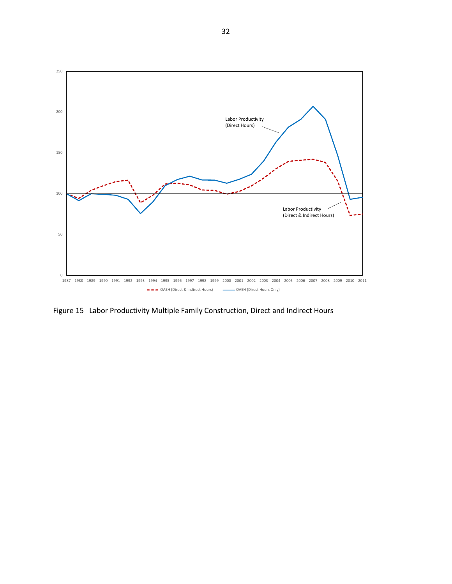

Figure 15 Labor Productivity Multiple Family Construction, Direct and Indirect Hours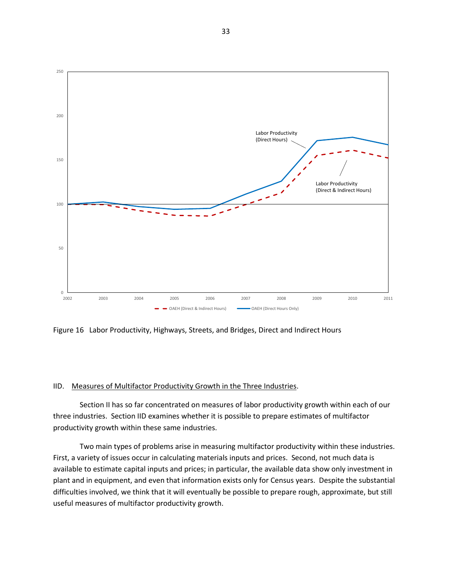

Figure 16 Labor Productivity, Highways, Streets, and Bridges, Direct and Indirect Hours

# IID. Measures of Multifactor Productivity Growth in the Three Industries.

Section II has so far concentrated on measures of labor productivity growth within each of our three industries. Section IID examines whether it is possible to prepare estimates of multifactor productivity growth within these same industries.

Two main types of problems arise in measuring multifactor productivity within these industries. First, a variety of issues occur in calculating materials inputs and prices. Second, not much data is available to estimate capital inputs and prices; in particular, the available data show only investment in plant and in equipment, and even that information exists only for Census years. Despite the substantial difficulties involved, we think that it will eventually be possible to prepare rough, approximate, but still useful measures of multifactor productivity growth.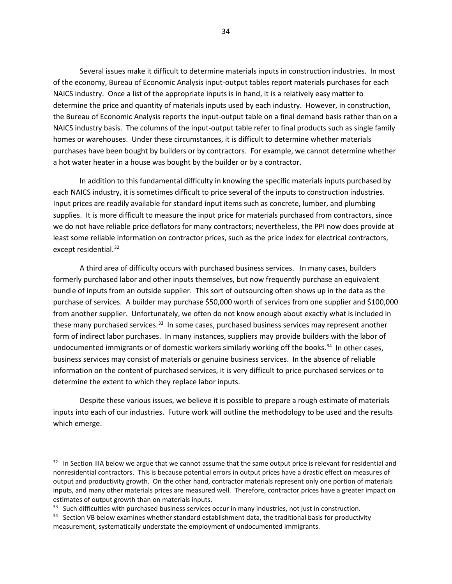Several issues make it difficult to determine materials inputs in construction industries. In most of the economy, Bureau of Economic Analysis input-output tables report materials purchases for each NAICS industry. Once a list of the appropriate inputs is in hand, it is a relatively easy matter to determine the price and quantity of materials inputs used by each industry. However, in construction, the Bureau of Economic Analysis reports the input-output table on a final demand basis rather than on a NAICS industry basis. The columns of the input-output table refer to final products such as single family homes or warehouses. Under these circumstances, it is difficult to determine whether materials purchases have been bought by builders or by contractors. For example, we cannot determine whether a hot water heater in a house was bought by the builder or by a contractor.

In addition to this fundamental difficulty in knowing the specific materials inputs purchased by each NAICS industry, it is sometimes difficult to price several of the inputs to construction industries. Input prices are readily available for standard input items such as concrete, lumber, and plumbing supplies. It is more difficult to measure the input price for materials purchased from contractors, since we do not have reliable price deflators for many contractors; nevertheless, the PPI now does provide at least some reliable information on contractor prices, such as the price index for electrical contractors, except residential.<sup>[32](#page-34-0)</sup>

A third area of difficulty occurs with purchased business services. In many cases, builders formerly purchased labor and other inputs themselves, but now frequently purchase an equivalent bundle of inputs from an outside supplier. This sort of outsourcing often shows up in the data as the purchase of services. A builder may purchase \$50,000 worth of services from one supplier and \$100,000 from another supplier. Unfortunately, we often do not know enough about exactly what is included in these many purchased services.<sup>33</sup> In some cases, purchased business services may represent another form of indirect labor purchases. In many instances, suppliers may provide builders with the labor of undocumented immigrants or of domestic workers similarly working off the books.<sup>34</sup> In other cases, business services may consist of materials or genuine business services. In the absence of reliable information on the content of purchased services, it is very difficult to price purchased services or to determine the extent to which they replace labor inputs.

Despite these various issues, we believe it is possible to prepare a rough estimate of materials inputs into each of our industries. Future work will outline the methodology to be used and the results which emerge.

l

<span id="page-34-0"></span> $32$  In Section IIIA below we argue that we cannot assume that the same output price is relevant for residential and nonresidential contractors. This is because potential errors in output prices have a drastic effect on measures of output and productivity growth. On the other hand, contractor materials represent only one portion of materials inputs, and many other materials prices are measured well. Therefore, contractor prices have a greater impact on estimates of output growth than on materials inputs.

<span id="page-34-1"></span><sup>&</sup>lt;sup>33</sup> Such difficulties with purchased business services occur in many industries, not just in construction.

<span id="page-34-2"></span><sup>&</sup>lt;sup>34</sup> Section VB below examines whether standard establishment data, the traditional basis for productivity measurement, systematically understate the employment of undocumented immigrants.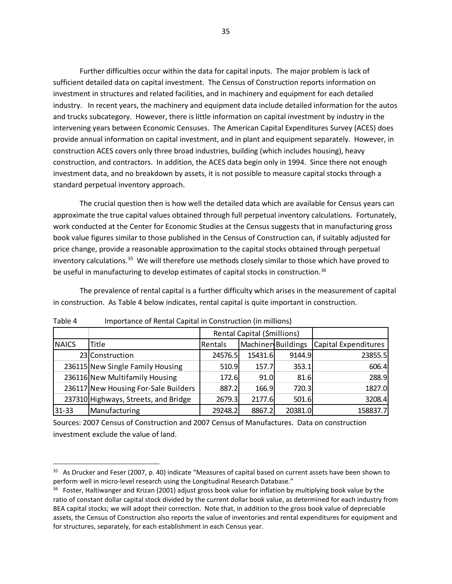Further difficulties occur within the data for capital inputs. The major problem is lack of sufficient detailed data on capital investment. The Census of Construction reports information on investment in structures and related facilities, and in machinery and equipment for each detailed industry. In recent years, the machinery and equipment data include detailed information for the autos and trucks subcategory. However, there is little information on capital investment by industry in the intervening years between Economic Censuses. The American Capital Expenditures Survey (ACES) does provide annual information on capital investment, and in plant and equipment separately. However, in construction ACES covers only three broad industries, building (which includes housing), heavy construction, and contractors. In addition, the ACES data begin only in 1994. Since there not enough investment data, and no breakdown by assets, it is not possible to measure capital stocks through a standard perpetual inventory approach.

The crucial question then is how well the detailed data which are available for Census years can approximate the true capital values obtained through full perpetual inventory calculations. Fortunately, work conducted at the Center for Economic Studies at the Census suggests that in manufacturing gross book value figures similar to those published in the Census of Construction can, if suitably adjusted for price change, provide a reasonable approximation to the capital stocks obtained through perpetual inventory calculations.<sup>[35](#page-35-0)</sup> We will therefore use methods closely similar to those which have proved to be useful in manufacturing to develop estimates of capital stocks in construction.<sup>[36](#page-35-1)</sup>

The prevalence of rental capital is a further difficulty which arises in the measurement of capital in construction. As Table 4 below indicates, rental capital is quite important in construction.

|              |                                      | Rental Capital (\$millions) |                    |         |                      |
|--------------|--------------------------------------|-----------------------------|--------------------|---------|----------------------|
| <b>NAICS</b> | Title                                | Rentals                     | Machiner Buildings |         | Capital Expenditures |
|              | 23 Construction                      | 24576.5                     | 15431.6            | 9144.9  | 23855.5              |
|              | 236115 New Single Family Housing     | 510.9                       | 157.7              | 353.1   | 606.4                |
|              | 236116 New Multifamily Housing       | 172.6                       | 91.0               | 81.6    | 288.9                |
|              | 236117 New Housing For-Sale Builders | 887.2                       | 166.9              | 720.3   | 1827.0               |
|              | 237310 Highways, Streets, and Bridge | 2679.3                      | 2177.6             | 501.6   | 3208.4               |
| 31-33        | Manufacturing                        | 29248.2                     | 8867.2             | 20381.0 | 158837.7             |

Table 4 Importance of Rental Capital in Construction (in millions)

 $\overline{\phantom{a}}$ 

Sources: 2007 Census of Construction and 2007 Census of Manufactures. Data on construction investment exclude the value of land.

<span id="page-35-0"></span><sup>&</sup>lt;sup>35</sup> As Drucker and Feser (2007, p. 40) indicate "Measures of capital based on current assets have been shown to perform well in micro-level research using the Longitudinal Research Database."

<span id="page-35-1"></span><sup>&</sup>lt;sup>36</sup> Foster, Haltiwanger and Krizan (2001) adjust gross book value for inflation by multiplying book value by the ratio of constant dollar capital stock divided by the current dollar book value, as determined for each industry from BEA capital stocks; we will adopt their correction. Note that, in addition to the gross book value of depreciable assets, the Census of Construction also reports the value of inventories and rental expenditures for equipment and for structures, separately, for each establishment in each Census year.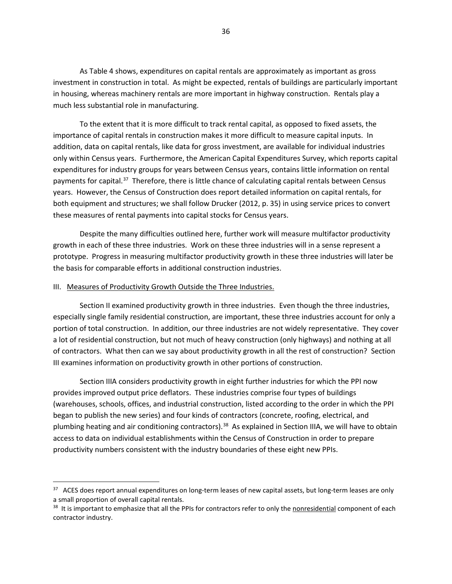As Table 4 shows, expenditures on capital rentals are approximately as important as gross investment in construction in total. As might be expected, rentals of buildings are particularly important in housing, whereas machinery rentals are more important in highway construction. Rentals play a much less substantial role in manufacturing.

To the extent that it is more difficult to track rental capital, as opposed to fixed assets, the importance of capital rentals in construction makes it more difficult to measure capital inputs. In addition, data on capital rentals, like data for gross investment, are available for individual industries only within Census years. Furthermore, the American Capital Expenditures Survey, which reports capital expenditures for industry groups for years between Census years, contains little information on rental payments for capital.<sup>[37](#page-36-0)</sup> Therefore, there is little chance of calculating capital rentals between Census years. However, the Census of Construction does report detailed information on capital rentals, for both equipment and structures; we shall follow Drucker (2012, p. 35) in using service prices to convert these measures of rental payments into capital stocks for Census years.

Despite the many difficulties outlined here, further work will measure multifactor productivity growth in each of these three industries. Work on these three industries will in a sense represent a prototype. Progress in measuring multifactor productivity growth in these three industries will later be the basis for comparable efforts in additional construction industries.

### III. Measures of Productivity Growth Outside the Three Industries.

 $\overline{\phantom{a}}$ 

Section II examined productivity growth in three industries. Even though the three industries, especially single family residential construction, are important, these three industries account for only a portion of total construction. In addition, our three industries are not widely representative. They cover a lot of residential construction, but not much of heavy construction (only highways) and nothing at all of contractors. What then can we say about productivity growth in all the rest of construction? Section III examines information on productivity growth in other portions of construction.

Section IIIA considers productivity growth in eight further industries for which the PPI now provides improved output price deflators. These industries comprise four types of buildings (warehouses, schools, offices, and industrial construction, listed according to the order in which the PPI began to publish the new series) and four kinds of contractors (concrete, roofing, electrical, and plumbing heating and air conditioning contractors).<sup>[38](#page-36-1)</sup> As explained in Section IIIA, we will have to obtain access to data on individual establishments within the Census of Construction in order to prepare productivity numbers consistent with the industry boundaries of these eight new PPIs.

<span id="page-36-0"></span><sup>&</sup>lt;sup>37</sup> ACES does report annual expenditures on long-term leases of new capital assets, but long-term leases are only a small proportion of overall capital rentals.

<span id="page-36-1"></span><sup>&</sup>lt;sup>38</sup> It is important to emphasize that all the PPIs for contractors refer to only the nonresidential component of each contractor industry.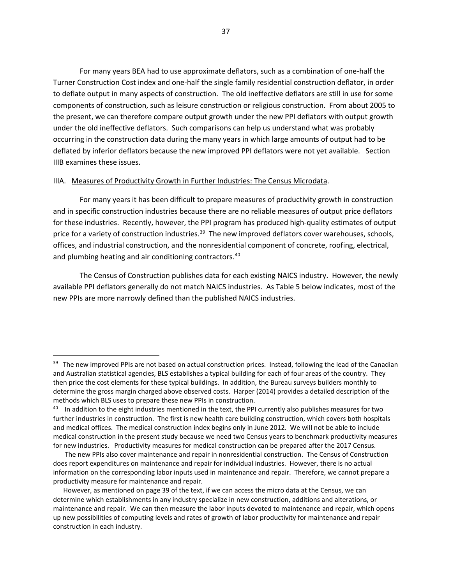For many years BEA had to use approximate deflators, such as a combination of one-half the Turner Construction Cost index and one-half the single family residential construction deflator, in order to deflate output in many aspects of construction. The old ineffective deflators are still in use for some components of construction, such as leisure construction or religious construction. From about 2005 to the present, we can therefore compare output growth under the new PPI deflators with output growth under the old ineffective deflators. Such comparisons can help us understand what was probably occurring in the construction data during the many years in which large amounts of output had to be deflated by inferior deflators because the new improved PPI deflators were not yet available. Section IIIB examines these issues.

### IIIA. Measures of Productivity Growth in Further Industries: The Census Microdata.

l

For many years it has been difficult to prepare measures of productivity growth in construction and in specific construction industries because there are no reliable measures of output price deflators for these industries. Recently, however, the PPI program has produced high-quality estimates of output price for a variety of construction industries.<sup>39</sup> The new improved deflators cover warehouses, schools, offices, and industrial construction, and the nonresidential component of concrete, roofing, electrical, and plumbing heating and air conditioning contractors.<sup>[40](#page-37-1)</sup>

The Census of Construction publishes data for each existing NAICS industry. However, the newly available PPI deflators generally do not match NAICS industries. As Table 5 below indicates, most of the new PPIs are more narrowly defined than the published NAICS industries.

<span id="page-37-0"></span><sup>&</sup>lt;sup>39</sup> The new improved PPIs are not based on actual construction prices. Instead, following the lead of the Canadian and Australian statistical agencies, BLS establishes a typical building for each of four areas of the country. They then price the cost elements for these typical buildings. In addition, the Bureau surveys builders monthly to determine the gross margin charged above observed costs. Harper (2014) provides a detailed description of the methods which BLS uses to prepare these new PPIs in construction.

<span id="page-37-1"></span><sup>&</sup>lt;sup>40</sup> In addition to the eight industries mentioned in the text, the PPI currently also publishes measures for two further industries in construction. The first is new health care building construction, which covers both hospitals and medical offices. The medical construction index begins only in June 2012. We will not be able to include medical construction in the present study because we need two Census years to benchmark productivity measures for new industries. Productivity measures for medical construction can be prepared after the 2017 Census.

The new PPIs also cover maintenance and repair in nonresidential construction. The Census of Construction does report expenditures on maintenance and repair for individual industries. However, there is no actual information on the corresponding labor inputs used in maintenance and repair. Therefore, we cannot prepare a productivity measure for maintenance and repair.

However, as mentioned on page 39 of the text, if we can access the micro data at the Census, we can determine which establishments in any industry specialize in new construction, additions and alterations, or maintenance and repair. We can then measure the labor inputs devoted to maintenance and repair, which opens up new possibilities of computing levels and rates of growth of labor productivity for maintenance and repair construction in each industry.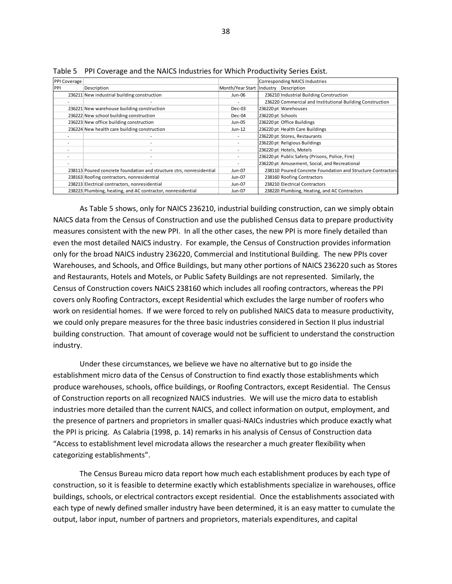| <b>PPI Coverage</b> |                                                                      |                                       | Corresponding NAICS Industries |                                                             |
|---------------------|----------------------------------------------------------------------|---------------------------------------|--------------------------------|-------------------------------------------------------------|
| PPI                 | Description                                                          | Month/Year Start Industry Description |                                |                                                             |
|                     | 236211 New industrial building construction                          | Jun-06                                |                                | 236210 Industrial Building Construction                     |
|                     |                                                                      |                                       |                                | 236220 Commercial and Institutional Building Construction   |
|                     | 236221 New warehouse building construction                           | Dec-03                                |                                | 236220 pt Warehouses                                        |
|                     | 236222 New school building construction                              | Dec-04                                | 236220 pt Schools              |                                                             |
|                     | 236223 New office building construction                              | Jun-05                                |                                | 236220 pt Office Buildings                                  |
|                     | 236224 New health care building construction                         | $Jun-12$                              |                                | 236220 pt Health Care Buildings                             |
|                     |                                                                      |                                       |                                | 236220 pt Stores, Restaurants                               |
|                     |                                                                      |                                       |                                | 236220 pt Religious Buildings                               |
|                     |                                                                      |                                       |                                | 236220 pt Hotels, Motels                                    |
|                     |                                                                      | $\overline{\phantom{a}}$              |                                | 236220 pt Public Safety (Prisons, Police, Fire)             |
|                     |                                                                      |                                       |                                | 236220 pt Amusement, Social, and Recreational               |
|                     | 238113 Poured concrete foundation and structure ctrs, nonresidential | Jun-07                                |                                | 238110 Poured Concrete Foundation and Structure Contractors |
|                     | 238163 Roofing contractors, nonresidential                           | Jun-07                                |                                | 238160 Roofing Contractors                                  |
|                     | 238213 Electrical contractors, nonresidential                        | Jun-07                                |                                | 238210 Electrical Contractors                               |
|                     | 238223 Plumbing, heating, and AC contractor, nonresidential          | Jun-07                                |                                | 238220 Plumbing, Heating, and AC Contractors                |

Table 5 PPI Coverage and the NAICS Industries for Which Productivity Series Exist.

As Table 5 shows, only for NAICS 236210, industrial building construction, can we simply obtain NAICS data from the Census of Construction and use the published Census data to prepare productivity measures consistent with the new PPI. In all the other cases, the new PPI is more finely detailed than even the most detailed NAICS industry. For example, the Census of Construction provides information only for the broad NAICS industry 236220, Commercial and Institutional Building. The new PPIs cover Warehouses, and Schools, and Office Buildings, but many other portions of NAICS 236220 such as Stores and Restaurants, Hotels and Motels, or Public Safety Buildings are not represented. Similarly, the Census of Construction covers NAICS 238160 which includes all roofing contractors, whereas the PPI covers only Roofing Contractors, except Residential which excludes the large number of roofers who work on residential homes. If we were forced to rely on published NAICS data to measure productivity, we could only prepare measures for the three basic industries considered in Section II plus industrial building construction. That amount of coverage would not be sufficient to understand the construction industry.

Under these circumstances, we believe we have no alternative but to go inside the establishment micro data of the Census of Construction to find exactly those establishments which produce warehouses, schools, office buildings, or Roofing Contractors, except Residential. The Census of Construction reports on all recognized NAICS industries. We will use the micro data to establish industries more detailed than the current NAICS, and collect information on output, employment, and the presence of partners and proprietors in smaller quasi-NAICs industries which produce exactly what the PPI is pricing. As Calabria (1998, p. 14) remarks in his analysis of Census of Construction data "Access to establishment level microdata allows the researcher a much greater flexibility when categorizing establishments".

The Census Bureau micro data report how much each establishment produces by each type of construction, so it is feasible to determine exactly which establishments specialize in warehouses, office buildings, schools, or electrical contractors except residential. Once the establishments associated with each type of newly defined smaller industry have been determined, it is an easy matter to cumulate the output, labor input, number of partners and proprietors, materials expenditures, and capital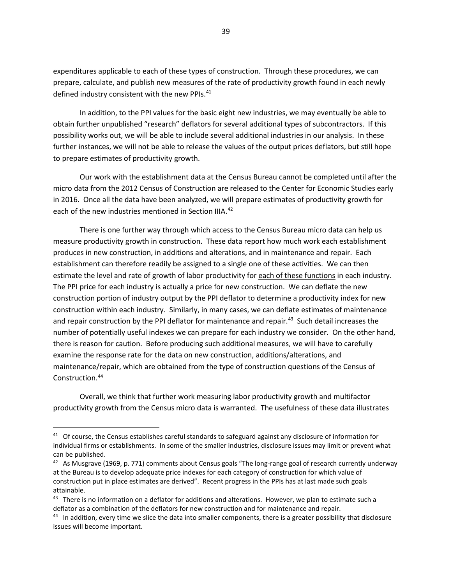expenditures applicable to each of these types of construction. Through these procedures, we can prepare, calculate, and publish new measures of the rate of productivity growth found in each newly defined industry consistent with the new PPIs.<sup>41</sup>

In addition, to the PPI values for the basic eight new industries, we may eventually be able to obtain further unpublished "research" deflators for several additional types of subcontractors. If this possibility works out, we will be able to include several additional industries in our analysis. In these further instances, we will not be able to release the values of the output prices deflators, but still hope to prepare estimates of productivity growth.

Our work with the establishment data at the Census Bureau cannot be completed until after the micro data from the 2012 Census of Construction are released to the Center for Economic Studies early in 2016. Once all the data have been analyzed, we will prepare estimates of productivity growth for each of the new industries mentioned in Section IIIA.<sup>[42](#page-39-1)</sup>

There is one further way through which access to the Census Bureau micro data can help us measure productivity growth in construction. These data report how much work each establishment produces in new construction, in additions and alterations, and in maintenance and repair. Each establishment can therefore readily be assigned to a single one of these activities. We can then estimate the level and rate of growth of labor productivity for each of these functions in each industry. The PPI price for each industry is actually a price for new construction. We can deflate the new construction portion of industry output by the PPI deflator to determine a productivity index for new construction within each industry. Similarly, in many cases, we can deflate estimates of maintenance and repair construction by the PPI deflator for maintenance and repair.<sup>43</sup> Such detail increases the number of potentially useful indexes we can prepare for each industry we consider. On the other hand, there is reason for caution. Before producing such additional measures, we will have to carefully examine the response rate for the data on new construction, additions/alterations, and maintenance/repair, which are obtained from the type of construction questions of the Census of Construction. [44](#page-39-3)

Overall, we think that further work measuring labor productivity growth and multifactor productivity growth from the Census micro data is warranted. The usefulness of these data illustrates

<span id="page-39-0"></span><sup>&</sup>lt;sup>41</sup> Of course, the Census establishes careful standards to safeguard against any disclosure of information for individual firms or establishments. In some of the smaller industries, disclosure issues may limit or prevent what can be published.

<span id="page-39-1"></span> $42$  As Musgrave (1969, p. 771) comments about Census goals "The long-range goal of research currently underway at the Bureau is to develop adequate price indexes for each category of construction for which value of construction put in place estimates are derived". Recent progress in the PPIs has at last made such goals attainable.

<span id="page-39-2"></span><sup>&</sup>lt;sup>43</sup> There is no information on a deflator for additions and alterations. However, we plan to estimate such a deflator as a combination of the deflators for new construction and for maintenance and repair.

<span id="page-39-3"></span><sup>&</sup>lt;sup>44</sup> In addition, every time we slice the data into smaller components, there is a greater possibility that disclosure issues will become important.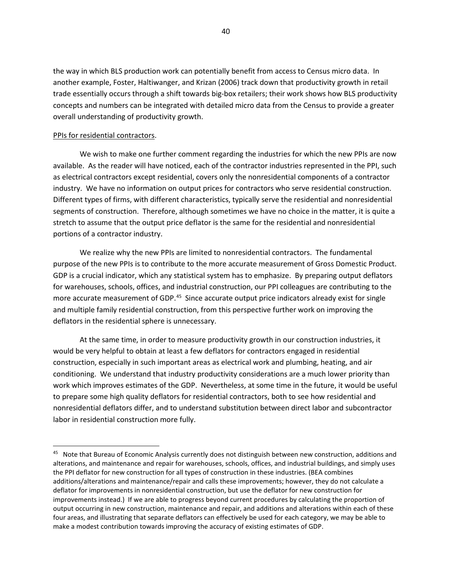the way in which BLS production work can potentially benefit from access to Census micro data. In another example, Foster, Haltiwanger, and Krizan (2006) track down that productivity growth in retail trade essentially occurs through a shift towards big-box retailers; their work shows how BLS productivity concepts and numbers can be integrated with detailed micro data from the Census to provide a greater overall understanding of productivity growth.

### PPIs for residential contractors.

 $\overline{\phantom{a}}$ 

We wish to make one further comment regarding the industries for which the new PPIs are now available. As the reader will have noticed, each of the contractor industries represented in the PPI, such as electrical contractors except residential, covers only the nonresidential components of a contractor industry. We have no information on output prices for contractors who serve residential construction. Different types of firms, with different characteristics, typically serve the residential and nonresidential segments of construction. Therefore, although sometimes we have no choice in the matter, it is quite a stretch to assume that the output price deflator is the same for the residential and nonresidential portions of a contractor industry.

We realize why the new PPIs are limited to nonresidential contractors. The fundamental purpose of the new PPIs is to contribute to the more accurate measurement of Gross Domestic Product. GDP is a crucial indicator, which any statistical system has to emphasize. By preparing output deflators for warehouses, schools, offices, and industrial construction, our PPI colleagues are contributing to the more accurate measurement of GDP.<sup>[45](#page-40-0)</sup> Since accurate output price indicators already exist for single and multiple family residential construction, from this perspective further work on improving the deflators in the residential sphere is unnecessary.

At the same time, in order to measure productivity growth in our construction industries, it would be very helpful to obtain at least a few deflators for contractors engaged in residential construction, especially in such important areas as electrical work and plumbing, heating, and air conditioning. We understand that industry productivity considerations are a much lower priority than work which improves estimates of the GDP. Nevertheless, at some time in the future, it would be useful to prepare some high quality deflators for residential contractors, both to see how residential and nonresidential deflators differ, and to understand substitution between direct labor and subcontractor labor in residential construction more fully.

<span id="page-40-0"></span><sup>45</sup> Note that Bureau of Economic Analysis currently does not distinguish between new construction, additions and alterations, and maintenance and repair for warehouses, schools, offices, and industrial buildings, and simply uses the PPI deflator for new construction for all types of construction in these industries. (BEA combines additions/alterations and maintenance/repair and calls these improvements; however, they do not calculate a deflator for improvements in nonresidential construction, but use the deflator for new construction for improvements instead.) If we are able to progress beyond current procedures by calculating the proportion of output occurring in new construction, maintenance and repair, and additions and alterations within each of these four areas, and illustrating that separate deflators can effectively be used for each category, we may be able to make a modest contribution towards improving the accuracy of existing estimates of GDP.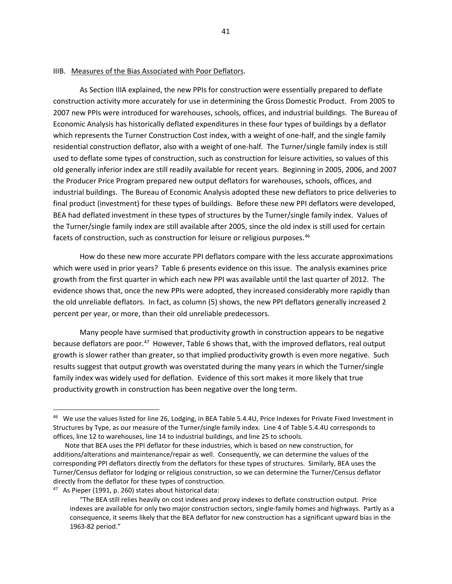#### IIIB. Measures of the Bias Associated with Poor Deflators.

As Section IIIA explained, the new PPIs for construction were essentially prepared to deflate construction activity more accurately for use in determining the Gross Domestic Product. From 2005 to 2007 new PPIs were introduced for warehouses, schools, offices, and industrial buildings. The Bureau of Economic Analysis has historically deflated expenditures in these four types of buildings by a deflator which represents the Turner Construction Cost index, with a weight of one-half, and the single family residential construction deflator, also with a weight of one-half. The Turner/single family index is still used to deflate some types of construction, such as construction for leisure activities, so values of this old generally inferior index are still readily available for recent years. Beginning in 2005, 2006, and 2007 the Producer Price Program prepared new output deflators for warehouses, schools, offices, and industrial buildings. The Bureau of Economic Analysis adopted these new deflators to price deliveries to final product (investment) for these types of buildings. Before these new PPI deflators were developed, BEA had deflated investment in these types of structures by the Turner/single family index. Values of the Turner/single family index are still available after 2005, since the old index is still used for certain facets of construction, such as construction for leisure or religious purposes. [46](#page-41-0)

How do these new more accurate PPI deflators compare with the less accurate approximations which were used in prior years? Table 6 presents evidence on this issue. The analysis examines price growth from the first quarter in which each new PPI was available until the last quarter of 2012. The evidence shows that, once the new PPIs were adopted, they increased considerably more rapidly than the old unreliable deflators. In fact, as column (5) shows, the new PPI deflators generally increased 2 percent per year, or more, than their old unreliable predecessors.

Many people have surmised that productivity growth in construction appears to be negative because deflators are poor.<sup>[47](#page-41-1)</sup> However, Table 6 shows that, with the improved deflators, real output growth is slower rather than greater, so that implied productivity growth is even more negative. Such results suggest that output growth was overstated during the many years in which the Turner/single family index was widely used for deflation. Evidence of this sort makes it more likely that true productivity growth in construction has been negative over the long term.

<span id="page-41-0"></span><sup>&</sup>lt;sup>46</sup> We use the values listed for line 26, Lodging, in BEA Table 5.4.4U, Price Indexes for Private Fixed Investment in Structures by Type, as our measure of the Turner/single family index. Line 4 of Table 5.4.4U corresponds to offices, line 12 to warehouses, line 14 to industrial buildings, and line 25 to schools.

Note that BEA uses the PPI deflator for these industries, which is based on new construction, for additions/alterations and maintenance/repair as well. Consequently, we can determine the values of the corresponding PPI deflators directly from the deflators for these types of structures. Similarly, BEA uses the Turner/Census deflator for lodging or religious construction, so we can determine the Turner/Census deflator directly from the deflator for these types of construction.

<span id="page-41-1"></span><sup>47</sup> As Pieper (1991, p. 260) states about historical data:

 <sup>&</sup>quot;The BEA still relies heavily on cost indexes and proxy indexes to deflate construction output. Price indexes are available for only two major construction sectors, single-family homes and highways. Partly as a consequence, it seems likely that the BEA deflator for new construction has a significant upward bias in the 1963-82 period."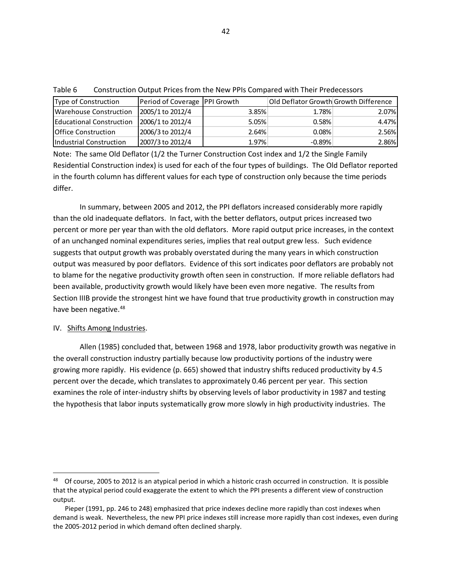| Type of Construction        | Period of Coverage   PPI Growth |       | Old Deflator Growth Growth Difference |       |
|-----------------------------|---------------------------------|-------|---------------------------------------|-------|
| Warehouse Construction      | 2005/1 to 2012/4                | 3.85% | 1.78%                                 | 2.07% |
| Educational Construction    | 2006/1 to 2012/4                | 5.05% | 0.58%                                 | 4.47% |
| <b>IOffice Construction</b> | 2006/3 to 2012/4                | 2.64% | 0.08%                                 | 2.56% |
| Industrial Construction     | 2007/3 to 2012/4                | 1.97% | $-0.89%$                              | 2.86% |

Table 6 Construction Output Prices from the New PPIs Compared with Their Predecessors

Note: The same Old Deflator (1/2 the Turner Construction Cost index and 1/2 the Single Family Residential Construction index) is used for each of the four types of buildings. The Old Deflator reported in the fourth column has different values for each type of construction only because the time periods differ.

In summary, between 2005 and 2012, the PPI deflators increased considerably more rapidly than the old inadequate deflators. In fact, with the better deflators, output prices increased two percent or more per year than with the old deflators. More rapid output price increases, in the context of an unchanged nominal expenditures series, implies that real output grew less. Such evidence suggests that output growth was probably overstated during the many years in which construction output was measured by poor deflators. Evidence of this sort indicates poor deflators are probably not to blame for the negative productivity growth often seen in construction. If more reliable deflators had been available, productivity growth would likely have been even more negative. The results from Section IIIB provide the strongest hint we have found that true productivity growth in construction may have been negative.<sup>[48](#page-42-0)</sup>

# IV. Shifts Among Industries.

 $\overline{\phantom{a}}$ 

Allen (1985) concluded that, between 1968 and 1978, labor productivity growth was negative in the overall construction industry partially because low productivity portions of the industry were growing more rapidly. His evidence (p. 665) showed that industry shifts reduced productivity by 4.5 percent over the decade, which translates to approximately 0.46 percent per year. This section examines the role of inter-industry shifts by observing levels of labor productivity in 1987 and testing the hypothesis that labor inputs systematically grow more slowly in high productivity industries. The

<span id="page-42-0"></span><sup>&</sup>lt;sup>48</sup> Of course, 2005 to 2012 is an atypical period in which a historic crash occurred in construction. It is possible that the atypical period could exaggerate the extent to which the PPI presents a different view of construction output.

Pieper (1991, pp. 246 to 248) emphasized that price indexes decline more rapidly than cost indexes when demand is weak. Nevertheless, the new PPI price indexes still increase more rapidly than cost indexes, even during the 2005-2012 period in which demand often declined sharply.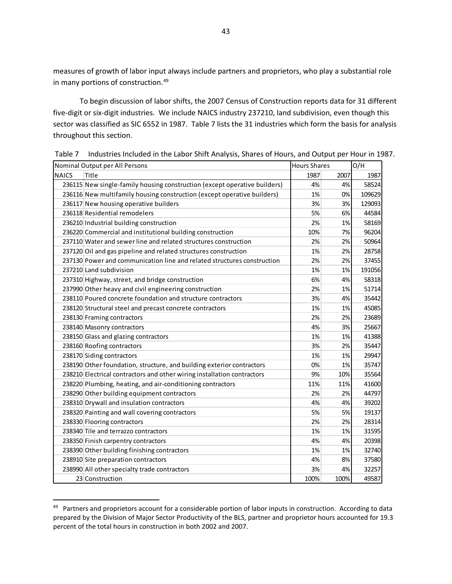measures of growth of labor input always include partners and proprietors, who play a substantial role in many portions of construction.<sup>[49](#page-43-0)</sup>

To begin discussion of labor shifts, the 2007 Census of Construction reports data for 31 different five-digit or six-digit industries. We include NAICS industry 237210, land subdivision, even though this sector was classified as SIC 6552 in 1987. Table 7 lists the 31 industries which form the basis for analysis throughout this section.

|              | Nominal Output per All Persons                                            | <b>Hours Shares</b> |      | O/H    |
|--------------|---------------------------------------------------------------------------|---------------------|------|--------|
| <b>NAICS</b> | Title                                                                     | 1987                | 2007 | 1987   |
|              | 236115 New single-family housing construction (except operative builders) | 4%                  | 4%   | 58524  |
|              | 236116 New multifamily housing construction (except operative builders)   | 1%                  | 0%   | 109629 |
|              | 236117 New housing operative builders                                     | 3%                  | 3%   | 129093 |
|              | 236118 Residential remodelers                                             | 5%                  | 6%   | 44584  |
|              | 236210 Industrial building construction                                   | 2%                  | 1%   | 58169  |
|              | 236220 Commercial and institutional building construction                 | 10%                 | 7%   | 96204  |
|              | 237110 Water and sewer line and related structures construction           | 2%                  | 2%   | 50964  |
|              | 237120 Oil and gas pipeline and related structures construction           | 1%                  | 2%   | 28758  |
|              | 237130 Power and communication line and related structures construction   | 2%                  | 2%   | 37455  |
|              | 237210 Land subdivision                                                   | 1%                  | 1%   | 191056 |
|              | 237310 Highway, street, and bridge construction                           | 6%                  | 4%   | 58318  |
|              | 237990 Other heavy and civil engineering construction                     | 2%                  | 1%   | 51714  |
|              | 238110 Poured concrete foundation and structure contractors               | 3%                  | 4%   | 35442  |
|              | 238120 Structural steel and precast concrete contractors                  | 1%                  | 1%   | 45085  |
|              | 238130 Framing contractors                                                | 2%                  | 2%   | 23689  |
|              | 238140 Masonry contractors                                                | 4%                  | 3%   | 25667  |
|              | 238150 Glass and glazing contractors                                      | 1%                  | 1%   | 41388  |
|              | 238160 Roofing contractors                                                | 3%                  | 2%   | 35447  |
|              | 238170 Siding contractors                                                 | 1%                  | 1%   | 29947  |
|              | 238190 Other foundation, structure, and building exterior contractors     | 0%                  | 1%   | 35747  |
|              | 238210 Electrical contractors and other wiring installation contractors   | 9%                  | 10%  | 35564  |
|              | 238220 Plumbing, heating, and air-conditioning contractors                | 11%                 | 11%  | 41600  |
|              | 238290 Other building equipment contractors                               | 2%                  | 2%   | 44797  |
|              | 238310 Drywall and insulation contractors                                 | 4%                  | 4%   | 39202  |
|              | 238320 Painting and wall covering contractors                             | 5%                  | 5%   | 19137  |
|              | 238330 Flooring contractors                                               | 2%                  | 2%   | 28314  |
|              | 238340 Tile and terrazzo contractors                                      | 1%                  | 1%   | 31595  |
|              | 238350 Finish carpentry contractors                                       | 4%                  | 4%   | 20398  |
|              | 238390 Other building finishing contractors                               | 1%                  | 1%   | 32740  |
|              | 238910 Site preparation contractors                                       | 4%                  | 8%   | 37580  |
|              | 238990 All other specialty trade contractors                              | 3%                  | 4%   | 32257  |
|              | 23 Construction                                                           | 100%                | 100% | 49587  |

Table 7 Industries Included in the Labor Shift Analysis, Shares of Hours, and Output per Hour in 1987.

l

<span id="page-43-0"></span><sup>&</sup>lt;sup>49</sup> Partners and proprietors account for a considerable portion of labor inputs in construction. According to data prepared by the Division of Major Sector Productivity of the BLS, partner and proprietor hours accounted for 19.3 percent of the total hours in construction in both 2002 and 2007.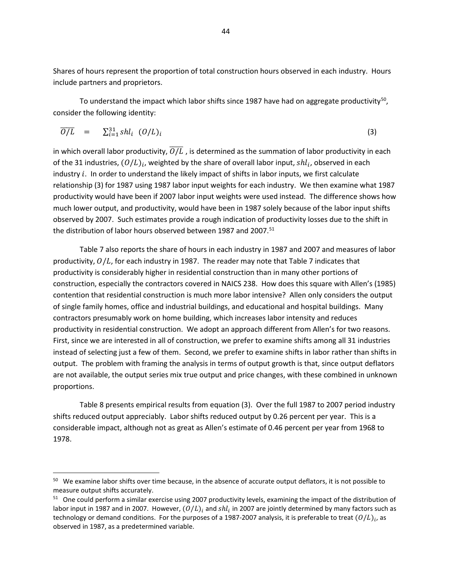Shares of hours represent the proportion of total construction hours observed in each industry. Hours include partners and proprietors.

To understand the impact which labor shifts since 1987 have had on aggregate productivity<sup>[50](#page-44-0)</sup>, consider the following identity:

$$
\overline{O/L} = \sum_{i=1}^{31} shl_i \ (O/L)_i \tag{3}
$$

in which overall labor productivity,  $O/L$  , is determined as the summation of labor productivity in each of the 31 industries,  $(O/L)_i$ , weighted by the share of overall labor input,  $shl_i$ , observed in each industry  $i$ . In order to understand the likely impact of shifts in labor inputs, we first calculate relationship (3) for 1987 using 1987 labor input weights for each industry. We then examine what 1987 productivity would have been if 2007 labor input weights were used instead. The difference shows how much lower output, and productivity, would have been in 1987 solely because of the labor input shifts observed by 2007. Such estimates provide a rough indication of productivity losses due to the shift in the distribution of labor hours observed between 1987 and 2007.<sup>51</sup>

Table 7 also reports the share of hours in each industry in 1987 and 2007 and measures of labor productivity,  $O/L$ , for each industry in 1987. The reader may note that Table 7 indicates that productivity is considerably higher in residential construction than in many other portions of construction, especially the contractors covered in NAICS 238. How does this square with Allen's (1985) contention that residential construction is much more labor intensive? Allen only considers the output of single family homes, office and industrial buildings, and educational and hospital buildings. Many contractors presumably work on home building, which increases labor intensity and reduces productivity in residential construction. We adopt an approach different from Allen's for two reasons. First, since we are interested in all of construction, we prefer to examine shifts among all 31 industries instead of selecting just a few of them. Second, we prefer to examine shifts in labor rather than shifts in output. The problem with framing the analysis in terms of output growth is that, since output deflators are not available, the output series mix true output and price changes, with these combined in unknown proportions.

Table 8 presents empirical results from equation (3). Over the full 1987 to 2007 period industry shifts reduced output appreciably. Labor shifts reduced output by 0.26 percent per year. This is a considerable impact, although not as great as Allen's estimate of 0.46 percent per year from 1968 to 1978.

<span id="page-44-0"></span><sup>&</sup>lt;sup>50</sup> We examine labor shifts over time because, in the absence of accurate output deflators, it is not possible to measure output shifts accurately.

<span id="page-44-1"></span><sup>&</sup>lt;sup>51</sup> One could perform a similar exercise using 2007 productivity levels, examining the impact of the distribution of labor input in 1987 and in 2007. However,  $(O/L)_i$  and shl<sub>i</sub> in 2007 are jointly determined by many factors such as technology or demand conditions. For the purposes of a 1987-2007 analysis, it is preferable to treat  $(O/L)_{i}$ , as observed in 1987, as a predetermined variable.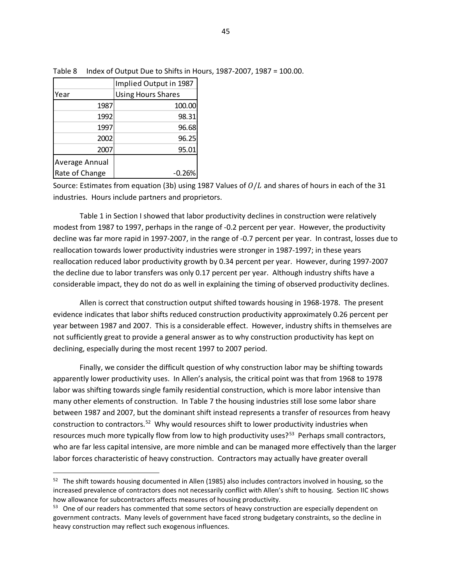|                | Implied Output in 1987    |  |  |
|----------------|---------------------------|--|--|
| Year           | <b>Using Hours Shares</b> |  |  |
| 1987           | 100.00                    |  |  |
| 1992           | 98.31                     |  |  |
| 1997           | 96.68                     |  |  |
| 2002           | 96.25                     |  |  |
| 2007           | 95.01                     |  |  |
| Average Annual |                           |  |  |
| Rate of Change | $-0.26%$                  |  |  |

 $\overline{\phantom{a}}$ 

Table 8 Index of Output Due to Shifts in Hours, 1987-2007, 1987 = 100.00.

Source: Estimates from equation (3b) using 1987 Values of  $O/L$  and shares of hours in each of the 31 industries. Hours include partners and proprietors.

Table 1 in Section I showed that labor productivity declines in construction were relatively modest from 1987 to 1997, perhaps in the range of -0.2 percent per year. However, the productivity decline was far more rapid in 1997-2007, in the range of -0.7 percent per year. In contrast, losses due to reallocation towards lower productivity industries were stronger in 1987-1997; in these years reallocation reduced labor productivity growth by 0.34 percent per year. However, during 1997-2007 the decline due to labor transfers was only 0.17 percent per year. Although industry shifts have a considerable impact, they do not do as well in explaining the timing of observed productivity declines.

Allen is correct that construction output shifted towards housing in 1968-1978. The present evidence indicates that labor shifts reduced construction productivity approximately 0.26 percent per year between 1987 and 2007. This is a considerable effect. However, industry shifts in themselves are not sufficiently great to provide a general answer as to why construction productivity has kept on declining, especially during the most recent 1997 to 2007 period.

Finally, we consider the difficult question of why construction labor may be shifting towards apparently lower productivity uses. In Allen's analysis, the critical point was that from 1968 to 1978 labor was shifting towards single family residential construction, which is more labor intensive than many other elements of construction. In Table 7 the housing industries still lose some labor share between 1987 and 2007, but the dominant shift instead represents a transfer of resources from heavy construction to contractors.<sup>[52](#page-45-0)</sup> Why would resources shift to lower productivity industries when resources much more typically flow from low to high productivity uses?<sup>53</sup> Perhaps small contractors, who are far less capital intensive, are more nimble and can be managed more effectively than the larger labor forces characteristic of heavy construction. Contractors may actually have greater overall

<span id="page-45-0"></span> $52$  The shift towards housing documented in Allen (1985) also includes contractors involved in housing, so the increased prevalence of contractors does not necessarily conflict with Allen's shift to housing. Section IIC shows how allowance for subcontractors affects measures of housing productivity.

<span id="page-45-1"></span><sup>&</sup>lt;sup>53</sup> One of our readers has commented that some sectors of heavy construction are especially dependent on government contracts. Many levels of government have faced strong budgetary constraints, so the decline in heavy construction may reflect such exogenous influences.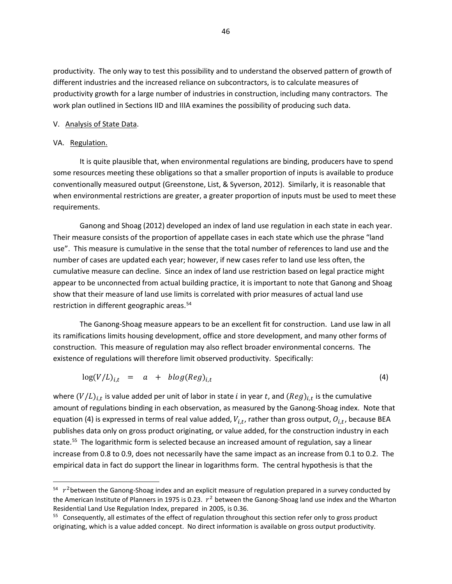productivity. The only way to test this possibility and to understand the observed pattern of growth of different industries and the increased reliance on subcontractors, is to calculate measures of productivity growth for a large number of industries in construction, including many contractors. The work plan outlined in Sections IID and IIIA examines the possibility of producing such data.

### V. Analysis of State Data.

# VA. Regulation.

 $\overline{\phantom{a}}$ 

It is quite plausible that, when environmental regulations are binding, producers have to spend some resources meeting these obligations so that a smaller proportion of inputs is available to produce conventionally measured output (Greenstone, List, & Syverson, 2012). Similarly, it is reasonable that when environmental restrictions are greater, a greater proportion of inputs must be used to meet these requirements.

Ganong and Shoag (2012) developed an index of land use regulation in each state in each year. Their measure consists of the proportion of appellate cases in each state which use the phrase "land use". This measure is cumulative in the sense that the total number of references to land use and the number of cases are updated each year; however, if new cases refer to land use less often, the cumulative measure can decline. Since an index of land use restriction based on legal practice might appear to be unconnected from actual building practice, it is important to note that Ganong and Shoag show that their measure of land use limits is correlated with prior measures of actual land use restriction in different geographic areas.<sup>54</sup>

The Ganong-Shoag measure appears to be an excellent fit for construction. Land use law in all its ramifications limits housing development, office and store development, and many other forms of construction. This measure of regulation may also reflect broader environmental concerns. The existence of regulations will therefore limit observed productivity. Specifically:

$$
\log(V/L)_{i,t} = a + blog(Reg)_{i,t} \tag{4}
$$

where  $(V/L)_{i,t}$  is value added per unit of labor in state *i* in year t, and  $(Reg)_{i,t}$  is the cumulative amount of regulations binding in each observation, as measured by the Ganong-Shoag index. Note that equation (4) is expressed in terms of real value added,  $V_{i,t}$ , rather than gross output,  $O_{i,t}$ , because BEA publishes data only on gross product originating, or value added, for the construction industry in each state.<sup>55</sup> The logarithmic form is selected because an increased amount of regulation, say a linear increase from 0.8 to 0.9, does not necessarily have the same impact as an increase from 0.1 to 0.2. The empirical data in fact do support the linear in logarithms form. The central hypothesis is that the

<span id="page-46-0"></span> $54 r^2$  between the Ganong-Shoag index and an explicit measure of regulation prepared in a survey conducted by the American Institute of Planners in 1975 is 0.23.  $r^2$  between the Ganong-Shoag land use index and the Wharton Residential Land Use Regulation Index, prepared in 2005, is 0.36.

<span id="page-46-1"></span><sup>&</sup>lt;sup>55</sup> Consequently, all estimates of the effect of regulation throughout this section refer only to gross product originating, which is a value added concept. No direct information is available on gross output productivity.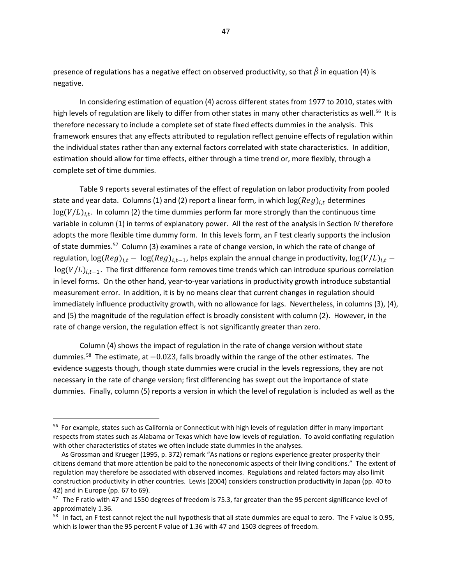presence of regulations has a negative effect on observed productivity, so that  $\hat{\beta}$  in equation (4) is negative.

In considering estimation of equation (4) across different states from 1977 to 2010, states with high levels of regulation are likely to differ from other states in many other characteristics as well.<sup>[56](#page-47-0)</sup> It is therefore necessary to include a complete set of state fixed effects dummies in the analysis. This framework ensures that any effects attributed to regulation reflect genuine effects of regulation within the individual states rather than any external factors correlated with state characteristics. In addition, estimation should allow for time effects, either through a time trend or, more flexibly, through a complete set of time dummies.

Table 9 reports several estimates of the effect of regulation on labor productivity from pooled state and year data. Columns (1) and (2) report a linear form, in which  $log (Reg)_{i,t}$  determines  $log(V/L)<sub>i</sub>$ . In column (2) the time dummies perform far more strongly than the continuous time variable in column (1) in terms of explanatory power. All the rest of the analysis in Section IV therefore adopts the more flexible time dummy form. In this levels form, an F test clearly supports the inclusion of state dummies.<sup>[57](#page-47-1)</sup> Column (3) examines a rate of change version, in which the rate of change of regulation,  $\log (Reg)_{i,t} - \log (Reg)_{i,t-1}$ , helps explain the annual change in productivity,  $\log (V/L)_{i,t}$  –  $log(V/L)_{i,t-1}$ . The first difference form removes time trends which can introduce spurious correlation in level forms. On the other hand, year-to-year variations in productivity growth introduce substantial measurement error. In addition, it is by no means clear that current changes in regulation should immediately influence productivity growth, with no allowance for lags. Nevertheless, in columns (3), (4), and (5) the magnitude of the regulation effect is broadly consistent with column (2). However, in the rate of change version, the regulation effect is not significantly greater than zero.

Column (4) shows the impact of regulation in the rate of change version without state dummies.<sup>58</sup> The estimate, at -0.023, falls broadly within the range of the other estimates. The evidence suggests though, though state dummies were crucial in the levels regressions, they are not necessary in the rate of change version; first differencing has swept out the importance of state dummies. Finally, column (5) reports a version in which the level of regulation is included as well as the

l

<span id="page-47-0"></span><sup>&</sup>lt;sup>56</sup> For example, states such as California or Connecticut with high levels of regulation differ in many important respects from states such as Alabama or Texas which have low levels of regulation. To avoid conflating regulation with other characteristics of states we often include state dummies in the analyses.

As Grossman and Krueger (1995, p. 372) remark "As nations or regions experience greater prosperity their citizens demand that more attention be paid to the noneconomic aspects of their living conditions." The extent of regulation may therefore be associated with observed incomes. Regulations and related factors may also limit construction productivity in other countries. Lewis (2004) considers construction productivity in Japan (pp. 40 to 42) and in Europe (pp. 67 to 69).

<span id="page-47-1"></span><sup>&</sup>lt;sup>57</sup> The F ratio with 47 and 1550 degrees of freedom is 75.3, far greater than the 95 percent significance level of approximately 1.36.

<span id="page-47-2"></span> $58$  In fact, an F test cannot reject the null hypothesis that all state dummies are equal to zero. The F value is 0.95, which is lower than the 95 percent F value of 1.36 with 47 and 1503 degrees of freedom.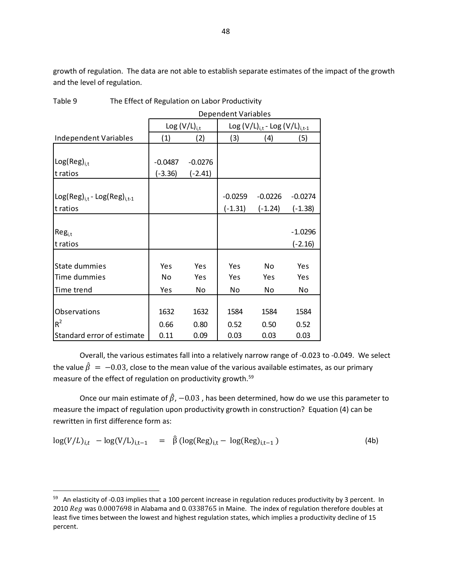growth of regulation. The data are not able to establish separate estimates of the impact of the growth and the level of regulation.

|                                       | <b>Dependent Variables</b> |                   |           |                                         |           |  |
|---------------------------------------|----------------------------|-------------------|-----------|-----------------------------------------|-----------|--|
|                                       |                            | Log $(V/L)_{i,t}$ |           | Log $(V/L)_{i,t}$ - Log $(V/L)_{i,t-1}$ |           |  |
| <b>Independent Variables</b>          | (1)                        | (2)               | (3)       | (4)                                     | (5)       |  |
|                                       |                            |                   |           |                                         |           |  |
| $Log(Reg)_{i,t}$                      | $-0.0487$                  | $-0.0276$         |           |                                         |           |  |
| t ratios                              | $(-3.36)$                  | $(-2.41)$         |           |                                         |           |  |
|                                       |                            |                   |           |                                         |           |  |
| $Log(Reg)_{i,t}$ - $Log(Reg)_{i,t-1}$ |                            |                   | $-0.0259$ | $-0.0226$                               | $-0.0274$ |  |
| t ratios                              |                            |                   | $(-1.31)$ | $(-1.24)$                               | $(-1.38)$ |  |
|                                       |                            |                   |           |                                         |           |  |
| $Reg_{i,t}$                           |                            |                   |           |                                         | $-1.0296$ |  |
| t ratios                              |                            |                   |           |                                         | $(-2.16)$ |  |
|                                       |                            |                   |           |                                         |           |  |
| State dummies                         | Yes                        | Yes               | Yes       | N <sub>o</sub>                          | Yes       |  |
| Time dummies                          | No                         | Yes               | Yes       | Yes                                     | Yes       |  |
| Time trend                            | Yes                        | No                | No        | No                                      | No        |  |
|                                       |                            |                   |           |                                         |           |  |
| Observations                          | 1632                       | 1632              | 1584      | 1584                                    | 1584      |  |
| $R^2$                                 | 0.66                       | 0.80              | 0.52      | 0.50                                    | 0.52      |  |
| Standard error of estimate            | 0.11                       | 0.09              | 0.03      | 0.03                                    | 0.03      |  |

Table 9 The Effect of Regulation on Labor Productivity

Overall, the various estimates fall into a relatively narrow range of -0.023 to -0.049. We select the value  $\hat{\beta} = -0.03$ , close to the mean value of the various available estimates, as our primary measure of the effect of regulation on productivity growth. [59](#page-48-0)

Once our main estimate of  $\hat{\beta}$ , -0.03, has been determined, how do we use this parameter to measure the impact of regulation upon productivity growth in construction? Equation (4) can be rewritten in first difference form as:

$$
\log(V/L)_{i,t} - \log(V/L)_{i,t-1} = \hat{\beta} (\log(\text{Reg})_{i,t} - \log(\text{Reg})_{i,t-1})
$$
 (4b)

<span id="page-48-0"></span><sup>&</sup>lt;sup>59</sup> An elasticity of -0.03 implies that a 100 percent increase in regulation reduces productivity by 3 percent. In 2010  $Reg$  was 0.0007698 in Alabama and 0.0338765 in Maine. The index of regulation therefore doubles at least five times between the lowest and highest regulation states, which implies a productivity decline of 15 percent.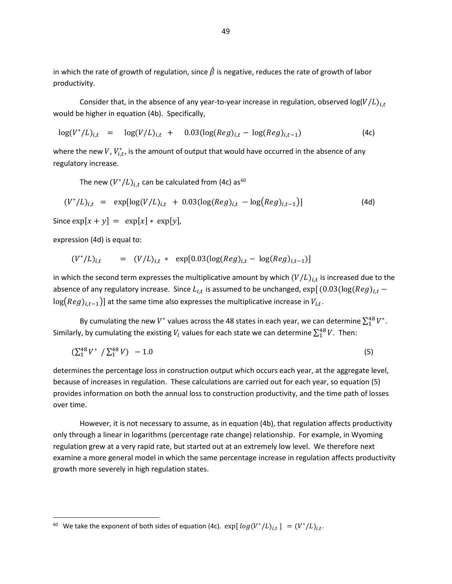in which the rate of growth of regulation, since  $\hat{\beta}$  is negative, reduces the rate of growth of labor productivity.

Consider that, in the absence of any year-to-year increase in regulation, observed  $log(V/L)_{i}$ would be higher in equation (4b). Specifically,

$$
\log(V^*/L)_{i,t} = \log(V/L)_{i,t} + 0.03(\log(Reg)_{i,t} - \log(Reg)_{i,t-1})
$$
 (4c)

where the new  $V$ ,  $V_{i,t}^*$ , is the amount of output that would have occurred in the absence of any regulatory increase.

The new  $(V^*/L)_{i,t}$  can be calculated from (4c) as<sup>[60](#page-49-0)</sup>

$$
(V^*/L)_{i,t} = \exp[\log(V/L)_{i,t} + 0.03(\log(Reg)_{i,t} - \log(Reg)_{i,t-1})]
$$
\n(4d)

Since  $\exp[x + y] = \exp[x] * \exp[y],$ 

expression (4d) is equal to:

 $\overline{\phantom{a}}$ 

$$
(V^*/L)_{i,t} = (V/L)_{i,t} * \exp[0.03(\log(Reg)_{i,t} - \log(Reg)_{i,t-1})]
$$

in which the second term expresses the multiplicative amount by which  $(V/L)_{i,t}$  is increased due to the absence of any regulatory increase. Since  $L_{i,t}$  is assumed to be unchanged,  $\exp[(0.03(\log (Reg)_{i,t}$  –  $\log (Reg)_{i.t-1}$ ) at the same time also expresses the multiplicative increase in  $V_{i.t}$ .

By cumulating the new  $V^*$  values across the 48 states in each year, we can determine  $\sum_{i=1}^{48} V^*$ . Similarly, by cumulating the existing  $V_i$  values for each state we can determine  $\sum_1^{48} V$ . Then:

$$
\left(\sum_{1}^{48}V^*\right)\left(\sum_{1}^{48}V\right) - 1.0\tag{5}
$$

determines the percentage loss in construction output which occurs each year, at the aggregate level, because of increases in regulation. These calculations are carried out for each year, so equation (5) provides information on both the annual loss to construction productivity, and the time path of losses over time.

However, it is not necessary to assume, as in equation (4b), that regulation affects productivity only through a linear in logarithms (percentage rate change) relationship. For example, in Wyoming regulation grew at a very rapid rate, but started out at an extremely low level. We therefore next examine a more general model in which the same percentage increase in regulation affects productivity growth more severely in high regulation states.

<span id="page-49-0"></span><sup>&</sup>lt;sup>60</sup> We take the exponent of both sides of equation (4c).  $\exp[log(V^*/L)_{i,t}] = (V^*/L)_{i,t}$ .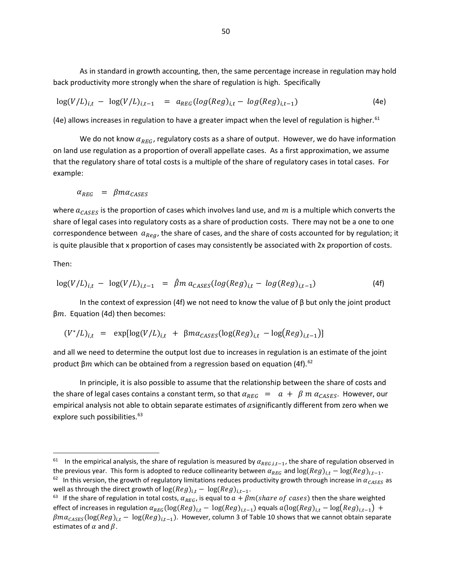As in standard in growth accounting, then, the same percentage increase in regulation may hold back productivity more strongly when the share of regulation is high. Specifically

$$
\log(V/L)_{i,t} - \log(V/L)_{i,t-1} = a_{REG}(log(Reg)_{i,t} - log(Reg)_{i,t-1})
$$
\n(4e)

(4e) allows increases in regulation to have a greater impact when the level of regulation is higher.  $61$ 

We do not know  $\alpha_{REG}$ , regulatory costs as a share of output. However, we do have information on land use regulation as a proportion of overall appellate cases. As a first approximation, we assume that the regulatory share of total costs is a multiple of the share of regulatory cases in total cases. For example:

$$
\alpha_{REG} = \beta m \alpha_{CASES}
$$

where  $a_{CASES}$  is the proportion of cases which involves land use, and m is a multiple which converts the share of legal cases into regulatory costs as a share of production costs. There may not be a one to one correspondence between  $a_{\text{Re}g}$ , the share of cases, and the share of costs accounted for by regulation; it is quite plausible that x proportion of cases may consistently be associated with 2x proportion of costs.

Then:

 $\overline{\phantom{a}}$ 

$$
\log(V/L)_{i,t} - \log(V/L)_{i,t-1} = \hat{\beta} m a_{CASES} (\log(Reg)_{i,t} - \log(Reg)_{i,t-1})
$$
 (4f)

In the context of expression (4f) we not need to know the value of  $\beta$  but only the joint product  $βm$ . Equation (4d) then becomes:

$$
(V^*/L)_{i,t} = \exp[\log(V/L)_{i,t} + \beta m \alpha_{CASES} (\log(Reg)_{i,t} - \log(Reg)_{i,t-1})]
$$

and all we need to determine the output lost due to increases in regulation is an estimate of the joint product β*m* which can be obtained from a regression based on equation (4f).<sup>[62](#page-50-1)</sup>

In principle, it is also possible to assume that the relationship between the share of costs and the share of legal cases contains a constant term, so that  $\alpha_{REG} = a + \beta m \alpha_{CASES}$ . However, our empirical analysis not able to obtain separate estimates of  $\alpha$ significantly different from zero when we explore such possibilities.<sup>63</sup>

<span id="page-50-1"></span><span id="page-50-0"></span><sup>&</sup>lt;sup>61</sup> In the empirical analysis, the share of regulation is measured by  $\alpha_{REG,i,t-1}$ , the share of regulation observed in the previous year. This form is adopted to reduce collinearity between  $\alpha_{REG}$  and  $\log(Reg)_{i,t} - \log(Reg)_{i,t-1}$ .<br><sup>62</sup> In this version, the growth of regulatory limitations reduces productivity growth through increase in  $\alpha_{CAS$ 

<span id="page-50-2"></span><sup>&</sup>lt;sup>63</sup> If the share of regulation in total costs,  $\alpha_{REG}$ , is equal to  $a + \beta m (share of cases)$  then the share weighted effect of increases in regulation  $\alpha_{REG}(\log (Reg)_{i,t} - \log (Reg)_{i,t-1})$  equals  $a(\log (Reg)_{i,t} - \log (Reg)_{i,t-1}) +$  $\beta$ m $\alpha_{CASES}$ (log(Reg)<sub>i,t</sub> – log(Reg)<sub>i,t-1</sub>). However, column 3 of Table 10 shows that we cannot obtain separate estimates of  $\alpha$  and  $\beta$ .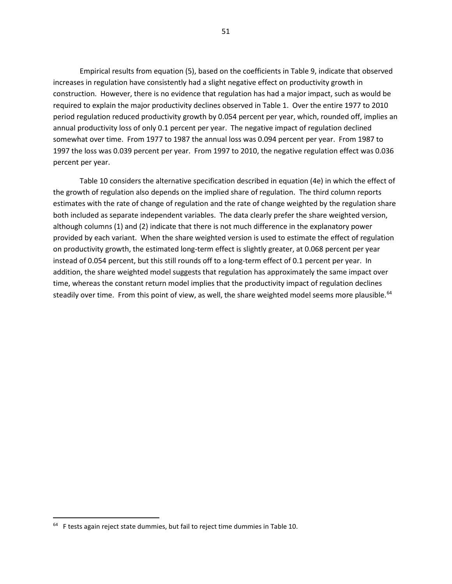Empirical results from equation (5), based on the coefficients in Table 9, indicate that observed increases in regulation have consistently had a slight negative effect on productivity growth in construction. However, there is no evidence that regulation has had a major impact, such as would be required to explain the major productivity declines observed in Table 1. Over the entire 1977 to 2010 period regulation reduced productivity growth by 0.054 percent per year, which, rounded off, implies an annual productivity loss of only 0.1 percent per year. The negative impact of regulation declined somewhat over time. From 1977 to 1987 the annual loss was 0.094 percent per year. From 1987 to 1997 the loss was 0.039 percent per year. From 1997 to 2010, the negative regulation effect was 0.036 percent per year.

Table 10 considers the alternative specification described in equation (4e) in which the effect of the growth of regulation also depends on the implied share of regulation. The third column reports estimates with the rate of change of regulation and the rate of change weighted by the regulation share both included as separate independent variables. The data clearly prefer the share weighted version, although columns (1) and (2) indicate that there is not much difference in the explanatory power provided by each variant. When the share weighted version is used to estimate the effect of regulation on productivity growth, the estimated long-term effect is slightly greater, at 0.068 percent per year instead of 0.054 percent, but this still rounds off to a long-term effect of 0.1 percent per year. In addition, the share weighted model suggests that regulation has approximately the same impact over time, whereas the constant return model implies that the productivity impact of regulation declines steadily over time. From this point of view, as well, the share weighted model seems more plausible.<sup>[64](#page-51-0)</sup>

l

<span id="page-51-0"></span> $64$  F tests again reject state dummies, but fail to reject time dummies in Table 10.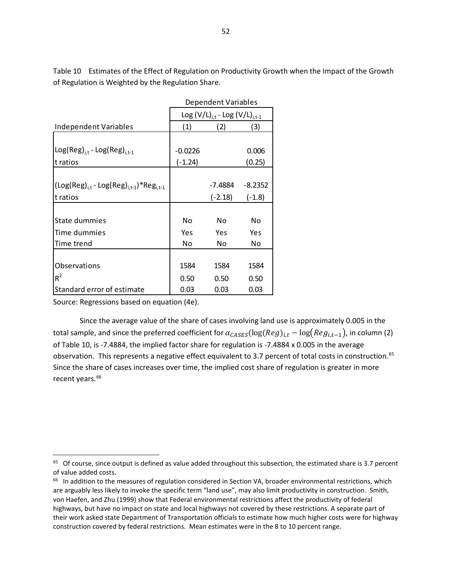Table 10 Estimates of the Effect of Regulation on Productivity Growth when the Impact of the Growth of Regulation is Weighted by the Regulation Share.

|                                                                                                             | Dependent Variables                     |           |           |  |  |
|-------------------------------------------------------------------------------------------------------------|-----------------------------------------|-----------|-----------|--|--|
|                                                                                                             | Log $(V/L)_{i,t}$ - Log $(V/L)_{i,t-1}$ |           |           |  |  |
| Independent Variables                                                                                       | (1)                                     | (2)       | (3)       |  |  |
|                                                                                                             |                                         |           |           |  |  |
| $Log(Reg)_{i,t}$ - $Log(Reg)_{i,t-1}$                                                                       | $-0.0226$                               |           | 0.006     |  |  |
| t ratios                                                                                                    | $(-1.24)$                               |           | (0.25)    |  |  |
|                                                                                                             |                                         |           |           |  |  |
| $\left(\textsf{Log}(\textsf{Reg})_{i,t} - \textsf{Log}(\textsf{Reg})_{i,t-1}\right) * \textsf{Reg}_{i,t-1}$ |                                         | -7.4884   | $-8.2352$ |  |  |
| t ratios                                                                                                    |                                         | $(-2.18)$ | $(-1.8)$  |  |  |
|                                                                                                             |                                         |           |           |  |  |
| State dummies                                                                                               | No.                                     | No        | No.       |  |  |
| Time dummies                                                                                                | Yes                                     | Yes       | Yes       |  |  |
| Time trend                                                                                                  | No.                                     | No.       | No.       |  |  |
|                                                                                                             |                                         |           |           |  |  |
| Observations                                                                                                | 1584                                    | 1584      | 1584      |  |  |
| $R^2$                                                                                                       | 0.50                                    | 0.50      | 0.50      |  |  |
| Standard error of estimate                                                                                  | 0.03                                    | 0.03      | 0.03      |  |  |

Source: Regressions based on equation (4e).

l

Since the average value of the share of cases involving land use is approximately 0.005 in the total sample, and since the preferred coefficient for  $\alpha_{CASES}(\log (Reg)_{i,t} - \log (Reg_{i,t-1})$ , in column (2) of Table 10, is -7.4884, the implied factor share for regulation is -7.4884 x 0.005 in the average observation. This represents a negative effect equivalent to 3.7 percent of total costs in construction.<sup>[65](#page-52-0)</sup> Since the share of cases increases over time, the implied cost share of regulation is greater in more recent years.<sup>[66](#page-52-1)</sup>

<span id="page-52-0"></span> $65$  Of course, since output is defined as value added throughout this subsection, the estimated share is 3.7 percent of value added costs.

<span id="page-52-1"></span><sup>&</sup>lt;sup>66</sup> In addition to the measures of regulation considered in Section VA, broader environmental restrictions, which are arguably less likely to invoke the specific term "land use", may also limit productivity in construction. Smith, von Haefen, and Zhu (1999) show that Federal environmental restrictions affect the productivity of federal highways, but have no impact on state and local highways not covered by these restrictions. A separate part of their work asked state Department of Transportation officials to estimate how much higher costs were for highway construction covered by federal restrictions. Mean estimates were in the 8 to 10 percent range.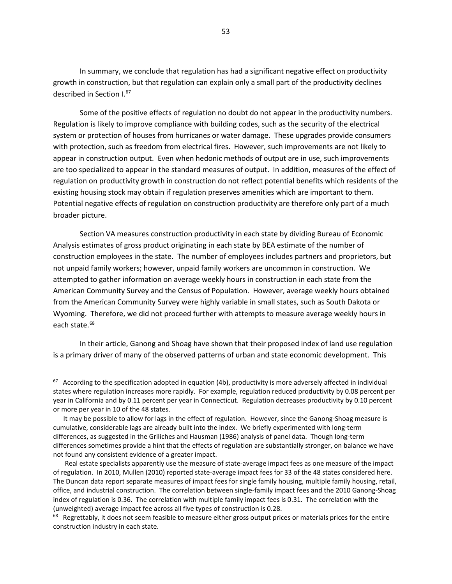In summary, we conclude that regulation has had a significant negative effect on productivity growth in construction, but that regulation can explain only a small part of the productivity declines described in Section I. [67](#page-53-0)

Some of the positive effects of regulation no doubt do not appear in the productivity numbers. Regulation is likely to improve compliance with building codes, such as the security of the electrical system or protection of houses from hurricanes or water damage. These upgrades provide consumers with protection, such as freedom from electrical fires. However, such improvements are not likely to appear in construction output. Even when hedonic methods of output are in use, such improvements are too specialized to appear in the standard measures of output. In addition, measures of the effect of regulation on productivity growth in construction do not reflect potential benefits which residents of the existing housing stock may obtain if regulation preserves amenities which are important to them. Potential negative effects of regulation on construction productivity are therefore only part of a much broader picture.

Section VA measures construction productivity in each state by dividing Bureau of Economic Analysis estimates of gross product originating in each state by BEA estimate of the number of construction employees in the state. The number of employees includes partners and proprietors, but not unpaid family workers; however, unpaid family workers are uncommon in construction. We attempted to gather information on average weekly hours in construction in each state from the American Community Survey and the Census of Population. However, average weekly hours obtained from the American Community Survey were highly variable in small states, such as South Dakota or Wyoming. Therefore, we did not proceed further with attempts to measure average weekly hours in each state.<sup>[68](#page-53-1)</sup>

In their article, Ganong and Shoag have shown that their proposed index of land use regulation is a primary driver of many of the observed patterns of urban and state economic development. This

<span id="page-53-0"></span> $67$  According to the specification adopted in equation (4b), productivity is more adversely affected in individual states where regulation increases more rapidly. For example, regulation reduced productivity by 0.08 percent per year in California and by 0.11 percent per year in Connecticut. Regulation decreases productivity by 0.10 percent or more per year in 10 of the 48 states.

It may be possible to allow for lags in the effect of regulation. However, since the Ganong-Shoag measure is cumulative, considerable lags are already built into the index. We briefly experimented with long-term differences, as suggested in the Griliches and Hausman (1986) analysis of panel data. Though long-term differences sometimes provide a hint that the effects of regulation are substantially stronger, on balance we have not found any consistent evidence of a greater impact.

Real estate specialists apparently use the measure of state-average impact fees as one measure of the impact of regulation. In 2010, Mullen (2010) reported state-average impact fees for 33 of the 48 states considered here. The Duncan data report separate measures of impact fees for single family housing, multiple family housing, retail, office, and industrial construction. The correlation between single-family impact fees and the 2010 Ganong-Shoag index of regulation is 0.36. The correlation with multiple family impact fees is 0.31. The correlation with the (unweighted) average impact fee across all five types of construction is 0.28.<br><sup>68</sup> Regrettably, it does not seem feasible to measure either gross output prices or materials prices for the entire

<span id="page-53-1"></span>construction industry in each state.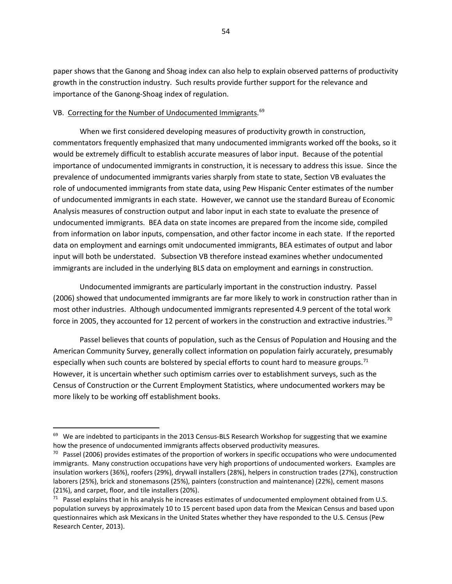paper shows that the Ganong and Shoag index can also help to explain observed patterns of productivity growth in the construction industry. Such results provide further support for the relevance and importance of the Ganong-Shoag index of regulation.

# VB. Correcting for the Number of Undocumented Immigrants.<sup>[69](#page-54-0)</sup>

 $\overline{\phantom{a}}$ 

When we first considered developing measures of productivity growth in construction, commentators frequently emphasized that many undocumented immigrants worked off the books, so it would be extremely difficult to establish accurate measures of labor input. Because of the potential importance of undocumented immigrants in construction, it is necessary to address this issue. Since the prevalence of undocumented immigrants varies sharply from state to state, Section VB evaluates the role of undocumented immigrants from state data, using Pew Hispanic Center estimates of the number of undocumented immigrants in each state. However, we cannot use the standard Bureau of Economic Analysis measures of construction output and labor input in each state to evaluate the presence of undocumented immigrants. BEA data on state incomes are prepared from the income side, compiled from information on labor inputs, compensation, and other factor income in each state. If the reported data on employment and earnings omit undocumented immigrants, BEA estimates of output and labor input will both be understated. Subsection VB therefore instead examines whether undocumented immigrants are included in the underlying BLS data on employment and earnings in construction.

Undocumented immigrants are particularly important in the construction industry. Passel (2006) showed that undocumented immigrants are far more likely to work in construction rather than in most other industries. Although undocumented immigrants represented 4.9 percent of the total work force in 2005, they accounted for 12 percent of workers in the construction and extractive industries.<sup>[70](#page-54-1)</sup>

Passel believes that counts of population, such as the Census of Population and Housing and the American Community Survey, generally collect information on population fairly accurately, presumably especially when such counts are bolstered by special efforts to count hard to measure groups.<sup>[71](#page-54-2)</sup> However, it is uncertain whether such optimism carries over to establishment surveys, such as the Census of Construction or the Current Employment Statistics, where undocumented workers may be more likely to be working off establishment books.

<span id="page-54-0"></span> $69$  We are indebted to participants in the 2013 Census-BLS Research Workshop for suggesting that we examine how the presence of undocumented immigrants affects observed productivity measures.

<span id="page-54-1"></span> $70$  Passel (2006) provides estimates of the proportion of workers in specific occupations who were undocumented immigrants. Many construction occupations have very high proportions of undocumented workers. Examples are insulation workers (36%), roofers (29%), drywall installers (28%), helpers in construction trades (27%), construction laborers (25%), brick and stonemasons (25%), painters (construction and maintenance) (22%), cement masons (21%), and carpet, floor, and tile installers (20%).

<span id="page-54-2"></span> $71$  Passel explains that in his analysis he increases estimates of undocumented employment obtained from U.S. population surveys by approximately 10 to 15 percent based upon data from the Mexican Census and based upon questionnaires which ask Mexicans in the United States whether they have responded to the U.S. Census (Pew Research Center, 2013).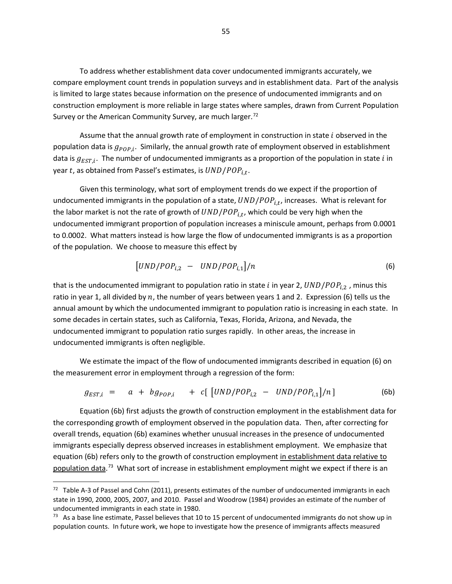To address whether establishment data cover undocumented immigrants accurately, we compare employment count trends in population surveys and in establishment data. Part of the analysis is limited to large states because information on the presence of undocumented immigrants and on construction employment is more reliable in large states where samples, drawn from Current Population Survey or the American Community Survey, are much larger.<sup>[72](#page-55-0)</sup>

Assume that the annual growth rate of employment in construction in state  $i$  observed in the population data is  $g_{pop,i}$ . Similarly, the annual growth rate of employment observed in establishment data is  $g_{EST,i}$ . The number of undocumented immigrants as a proportion of the population in state *i* in year t, as obtained from Passel's estimates, is  $UND/POP_{i.t.}$ .

Given this terminology, what sort of employment trends do we expect if the proportion of undocumented immigrants in the population of a state,  $UND/POP_{i,t}$ , increases. What is relevant for the labor market is not the rate of growth of  $UND/POP_{i.t.}$ , which could be very high when the undocumented immigrant proportion of population increases a miniscule amount, perhaps from 0.0001 to 0.0002. What matters instead is how large the flow of undocumented immigrants is as a proportion of the population. We choose to measure this effect by

$$
\left[UND/POP_{i,2} - UND/POP_{i,1} \right] / n \tag{6}
$$

that is the undocumented immigrant to population ratio in state *i* in year 2,  $UND/POP_{i,2}$ , minus this ratio in year 1, all divided by n, the number of years between years 1 and 2. Expression (6) tells us the annual amount by which the undocumented immigrant to population ratio is increasing in each state. In some decades in certain states, such as California, Texas, Florida, Arizona, and Nevada, the undocumented immigrant to population ratio surges rapidly. In other areas, the increase in undocumented immigrants is often negligible.

We estimate the impact of the flow of undocumented immigrants described in equation (6) on the measurement error in employment through a regression of the form:

$$
g_{EST,i} = a + bg_{POP,i} + c[ [UND/POP_{i,2} - UND/POP_{i,1} ]/n ] \qquad (6b)
$$

Equation (6b) first adjusts the growth of construction employment in the establishment data for the corresponding growth of employment observed in the population data. Then, after correcting for overall trends, equation (6b) examines whether unusual increases in the presence of undocumented immigrants especially depress observed increases in establishment employment. We emphasize that equation (6b) refers only to the growth of construction employment in establishment data relative to population data.<sup>[73](#page-55-1)</sup> What sort of increase in establishment employment might we expect if there is an

<span id="page-55-0"></span> $72$  Table A-3 of Passel and Cohn (2011), presents estimates of the number of undocumented immigrants in each state in 1990, 2000, 2005, 2007, and 2010. Passel and Woodrow (1984) provides an estimate of the number of undocumented immigrants in each state in 1980.

<span id="page-55-1"></span> $73$  As a base line estimate, Passel believes that 10 to 15 percent of undocumented immigrants do not show up in population counts. In future work, we hope to investigate how the presence of immigrants affects measured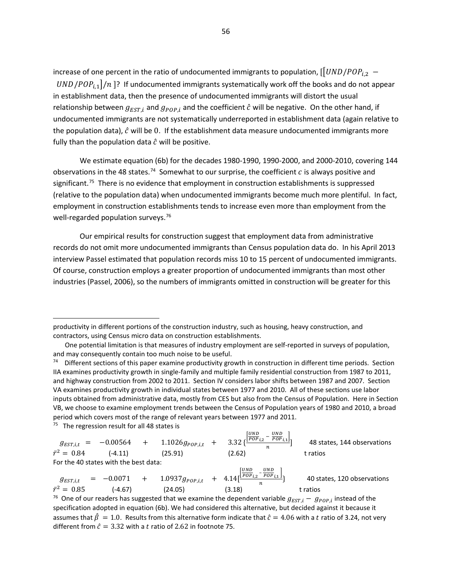increase of one percent in the ratio of undocumented immigrants to population,  $[[UND/POP_{i,2} -]$  $UND/POP_{i,1}$ / $n$ ]? If undocumented immigrants systematically work off the books and do not appear in establishment data, then the presence of undocumented immigrants will distort the usual relationship between  $g_{EST,i}$  and  $g_{POP,i}$  and the coefficient  $\hat{c}$  will be negative. On the other hand, if undocumented immigrants are not systematically underreported in establishment data (again relative to the population data),  $\hat{c}$  will be 0. If the establishment data measure undocumented immigrants more fully than the population data  $\hat{c}$  will be positive.

We estimate equation (6b) for the decades 1980-1990, 1990-2000, and 2000-2010, covering 144 observations in the 48 states.<sup>74</sup> Somewhat to our surprise, the coefficient  $c$  is always positive and significant.<sup>75</sup> There is no evidence that employment in construction establishments is suppressed (relative to the population data) when undocumented immigrants become much more plentiful. In fact, employment in construction establishments tends to increase even more than employment from the well-regarded population surveys.<sup>76</sup>

Our empirical results for construction suggest that employment data from administrative records do not omit more undocumented immigrants than Census population data do. In his April 2013 interview Passel estimated that population records miss 10 to 15 percent of undocumented immigrants. Of course, construction employs a greater proportion of undocumented immigrants than most other industries (Passel, 2006), so the numbers of immigrants omitted in construction will be greater for this

<span id="page-56-1"></span> $75$  The regression result for all 48 states is

 $\overline{\phantom{a}}$ 

 $g_{EST,i,t}$  = -0.00564 + 1.1026 $g_{pop,i,t}$  + 3.32 { $\frac{\left|\frac{UND}{POP_{i,2}} - \frac{UND}{POP_{i,1}}\right|}{n}$ 48 states, 144 observations<br>t ratios  $\bar{r}^2 = 0.84$  (-4.11) (25.91) (2.62) t ratios For the 40 states with the best data:  $g_{EST,i,t}$  = -0.0071 + 1.0937  $g_{pop,i,t}$  + 4.14  $\left[\frac{[ND]}{pop_{i,2} - \frac{OND}{pop_{i,1}}\right]$ 40 states, 120 observations<br>t ratios  $\bar{r}^2 = 0.85$  (-4.67) (24.05) (3.18) t ratios tratios t ratios tend of the dependent variable  $g_{EST,i} - g_{POP,i}$  instead of the

<span id="page-56-2"></span>specification adopted in equation (6b). We had considered this alternative, but decided against it because it assumes that  $\hat{\beta} = 1.0$ . Results from this alternative form indicate that  $\hat{c} = 4.06$  with a t ratio of 3.24, not very different from  $\hat{c} = 3.32$  with a t ratio of 2.62 in footnote 75.

productivity in different portions of the construction industry, such as housing, heavy construction, and contractors, using Census micro data on construction establishments.

One potential limitation is that measures of industry employment are self-reported in surveys of population, and may consequently contain too much noise to be useful.

<span id="page-56-0"></span><sup>&</sup>lt;sup>74</sup> Different sections of this paper examine productivity growth in construction in different time periods. Section IIA examines productivity growth in single-family and multiple family residential construction from 1987 to 2011, and highway construction from 2002 to 2011. Section IV considers labor shifts between 1987 and 2007. Section VA examines productivity growth in individual states between 1977 and 2010. All of these sections use labor inputs obtained from administrative data, mostly from CES but also from the Census of Population. Here in Section VB, we choose to examine employment trends between the Census of Population years of 1980 and 2010, a broad period which covers most of the range of relevant years between 1977 and 2011.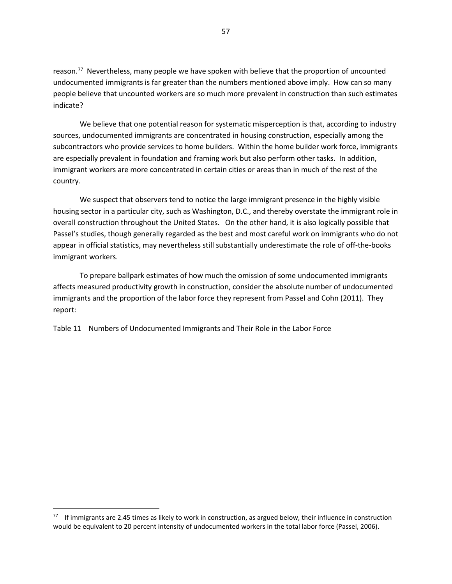reason.<sup>77</sup> Nevertheless, many people we have spoken with believe that the proportion of uncounted undocumented immigrants is far greater than the numbers mentioned above imply. How can so many people believe that uncounted workers are so much more prevalent in construction than such estimates indicate?

We believe that one potential reason for systematic misperception is that, according to industry sources, undocumented immigrants are concentrated in housing construction, especially among the subcontractors who provide services to home builders. Within the home builder work force, immigrants are especially prevalent in foundation and framing work but also perform other tasks. In addition, immigrant workers are more concentrated in certain cities or areas than in much of the rest of the country.

We suspect that observers tend to notice the large immigrant presence in the highly visible housing sector in a particular city, such as Washington, D.C., and thereby overstate the immigrant role in overall construction throughout the United States. On the other hand, it is also logically possible that Passel's studies, though generally regarded as the best and most careful work on immigrants who do not appear in official statistics, may nevertheless still substantially underestimate the role of off-the-books immigrant workers.

To prepare ballpark estimates of how much the omission of some undocumented immigrants affects measured productivity growth in construction, consider the absolute number of undocumented immigrants and the proportion of the labor force they represent from Passel and Cohn (2011). They report:

Table 11 Numbers of Undocumented Immigrants and Their Role in the Labor Force

<span id="page-57-0"></span> $77$  If immigrants are 2.45 times as likely to work in construction, as argued below, their influence in construction would be equivalent to 20 percent intensity of undocumented workers in the total labor force (Passel, 2006).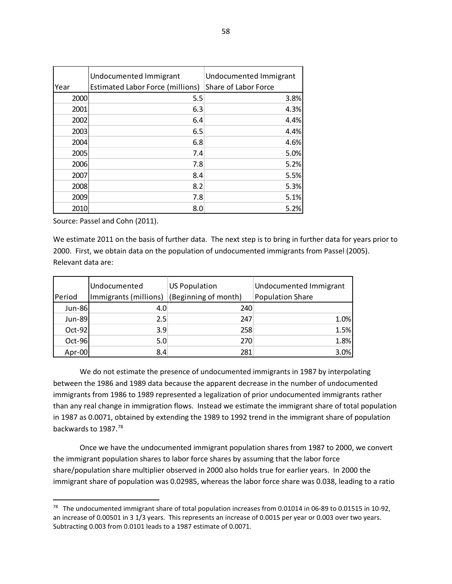|      | Undocumented Immigrant           | Undocumented Immigrant |
|------|----------------------------------|------------------------|
| Year | Estimated Labor Force (millions) | Share of Labor Force   |
| 2000 | 5.5                              | 3.8%                   |
| 2001 | 6.3                              | 4.3%                   |
| 2002 | 6.4                              | 4.4%                   |
| 2003 | 6.5                              | 4.4%                   |
| 2004 | 6.8                              | 4.6%                   |
| 2005 | 7.4                              | 5.0%                   |
| 2006 | 7.8                              | 5.2%                   |
| 2007 | 8.4                              | 5.5%                   |
| 2008 | 8.2                              | 5.3%                   |
| 2009 | 7.8                              | 5.1%                   |
| 2010 | 8.0                              | 5.2%                   |

Source: Passel and Cohn (2011).

l

We estimate 2011 on the basis of further data. The next step is to bring in further data for years prior to 2000. First, we obtain data on the population of undocumented immigrants from Passel (2005). Relevant data are:

|               | Undocumented          | <b>US Population</b> | Undocumented Immigrant  |
|---------------|-----------------------|----------------------|-------------------------|
| Period        | Immigrants (millions) | (Beginning of month) | <b>Population Share</b> |
| <b>Jun-86</b> | 4.0                   | 240                  |                         |
| Jun-89        | 2.5                   | 247                  | 1.0%                    |
| Oct-92        | 3.9                   | 258                  | 1.5%                    |
| Oct-96        | 5.0                   | 270                  | 1.8%                    |
| Apr-00        | 8.4                   | 281                  | 3.0%                    |

We do not estimate the presence of undocumented immigrants in 1987 by interpolating between the 1986 and 1989 data because the apparent decrease in the number of undocumented immigrants from 1986 to 1989 represented a legalization of prior undocumented immigrants rather than any real change in immigration flows. Instead we estimate the immigrant share of total population in 1987 as 0.0071, obtained by extending the 1989 to 1992 trend in the immigrant share of population backwards to 1987.[78](#page-58-0)

Once we have the undocumented immigrant population shares from 1987 to 2000, we convert the immigrant population shares to labor force shares by assuming that the labor force share/population share multiplier observed in 2000 also holds true for earlier years. In 2000 the immigrant share of population was 0.02985, whereas the labor force share was 0.038, leading to a ratio

<span id="page-58-0"></span><sup>78</sup> The undocumented immigrant share of total population increases from 0.01014 in 06-89 to 0.01515 in 10-92, an increase of 0.00501 in 3 1/3 years. This represents an increase of 0.0015 per year or 0.003 over two years. Subtracting 0.003 from 0.0101 leads to a 1987 estimate of 0.0071.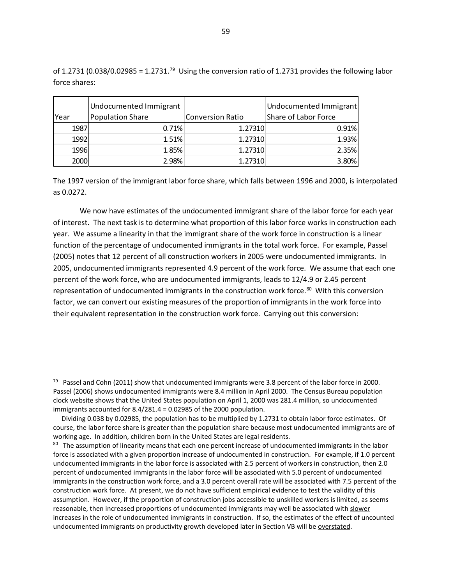|      | Undocumented Immigrant |                         | Undocumented Immigrant |
|------|------------------------|-------------------------|------------------------|
| Year | Population Share       | <b>Conversion Ratio</b> | Share of Labor Force   |
| 1987 | 0.71%                  | 1.27310                 | 0.91%                  |
| 1992 | 1.51%                  | 1.27310                 | 1.93%                  |

1996 1.85% 1.27310 2.35% 2000 2.98% 1.27310 3.80%

of 1.2731 (0.038/0.02985 = 1.2731.<sup>[79](#page-59-0)</sup> Using the conversion ratio of 1.2731 provides the following labor force shares:

The 1997 version of the immigrant labor force share, which falls between 1996 and 2000, is interpolated as 0.0272.

We now have estimates of the undocumented immigrant share of the labor force for each year of interest. The next task is to determine what proportion of this labor force works in construction each year. We assume a linearity in that the immigrant share of the work force in construction is a linear function of the percentage of undocumented immigrants in the total work force. For example, Passel (2005) notes that 12 percent of all construction workers in 2005 were undocumented immigrants. In 2005, undocumented immigrants represented 4.9 percent of the work force. We assume that each one percent of the work force, who are undocumented immigrants, leads to 12/4.9 or 2.45 percent representation of undocumented immigrants in the construction work force.<sup>[80](#page-59-1)</sup> With this conversion factor, we can convert our existing measures of the proportion of immigrants in the work force into their equivalent representation in the construction work force. Carrying out this conversion:

<span id="page-59-0"></span><sup>&</sup>lt;sup>79</sup> Passel and Cohn (2011) show that undocumented immigrants were 3.8 percent of the labor force in 2000. Passel (2006) shows undocumented immigrants were 8.4 million in April 2000. The Census Bureau population clock website shows that the United States population on April 1, 2000 was 281.4 million, so undocumented immigrants accounted for 8.4/281.4 = 0.02985 of the 2000 population.

Dividing 0.038 by 0.02985, the population has to be multiplied by 1.2731 to obtain labor force estimates. Of course, the labor force share is greater than the population share because most undocumented immigrants are of working age. In addition, children born in the United States are legal residents.

<span id="page-59-1"></span><sup>&</sup>lt;sup>80</sup> The assumption of linearity means that each one percent increase of undocumented immigrants in the labor force is associated with a given proportion increase of undocumented in construction. For example, if 1.0 percent undocumented immigrants in the labor force is associated with 2.5 percent of workers in construction, then 2.0 percent of undocumented immigrants in the labor force will be associated with 5.0 percent of undocumented immigrants in the construction work force, and a 3.0 percent overall rate will be associated with 7.5 percent of the construction work force. At present, we do not have sufficient empirical evidence to test the validity of this assumption. However, if the proportion of construction jobs accessible to unskilled workers is limited, as seems reasonable, then increased proportions of undocumented immigrants may well be associated with slower increases in the role of undocumented immigrants in construction. If so, the estimates of the effect of uncounted undocumented immigrants on productivity growth developed later in Section VB will be overstated.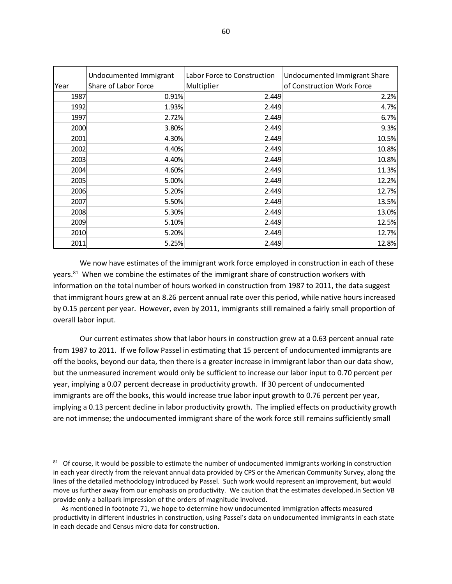|      | Undocumented Immigrant | Labor Force to Construction | Undocumented Immigrant Share |
|------|------------------------|-----------------------------|------------------------------|
| Year | Share of Labor Force   | Multiplier                  | of Construction Work Force   |
| 1987 | 0.91%                  | 2.449                       | 2.2%                         |
| 1992 | 1.93%                  | 2.449                       | 4.7%                         |
| 1997 | 2.72%                  | 2.449                       | 6.7%                         |
| 2000 | 3.80%                  | 2.449                       | 9.3%                         |
| 2001 | 4.30%                  | 2.449                       | 10.5%                        |
| 2002 | 4.40%                  | 2.449                       | 10.8%                        |
| 2003 | 4.40%                  | 2.449                       | 10.8%                        |
| 2004 | 4.60%                  | 2.449                       | 11.3%                        |
| 2005 | 5.00%                  | 2.449                       | 12.2%                        |
| 2006 | 5.20%                  | 2.449                       | 12.7%                        |
| 2007 | 5.50%                  | 2.449                       | 13.5%                        |
| 2008 | 5.30%                  | 2.449                       | 13.0%                        |
| 2009 | 5.10%                  | 2.449                       | 12.5%                        |
| 2010 | 5.20%                  | 2.449                       | 12.7%                        |
| 2011 | 5.25%                  | 2.449                       | 12.8%                        |

We now have estimates of the immigrant work force employed in construction in each of these years. $81$  When we combine the estimates of the immigrant share of construction workers with information on the total number of hours worked in construction from 1987 to 2011, the data suggest that immigrant hours grew at an 8.26 percent annual rate over this period, while native hours increased by 0.15 percent per year. However, even by 2011, immigrants still remained a fairly small proportion of overall labor input.

Our current estimates show that labor hours in construction grew at a 0.63 percent annual rate from 1987 to 2011. If we follow Passel in estimating that 15 percent of undocumented immigrants are off the books, beyond our data, then there is a greater increase in immigrant labor than our data show, but the unmeasured increment would only be sufficient to increase our labor input to 0.70 percent per year, implying a 0.07 percent decrease in productivity growth. If 30 percent of undocumented immigrants are off the books, this would increase true labor input growth to 0.76 percent per year, implying a 0.13 percent decline in labor productivity growth. The implied effects on productivity growth are not immense; the undocumented immigrant share of the work force still remains sufficiently small

l

<span id="page-60-0"></span><sup>&</sup>lt;sup>81</sup> Of course, it would be possible to estimate the number of undocumented immigrants working in construction in each year directly from the relevant annual data provided by CPS or the American Community Survey, along the lines of the detailed methodology introduced by Passel. Such work would represent an improvement, but would move us further away from our emphasis on productivity. We caution that the estimates developed.in Section VB provide only a ballpark impression of the orders of magnitude involved.

As mentioned in footnote 71, we hope to determine how undocumented immigration affects measured productivity in different industries in construction, using Passel's data on undocumented immigrants in each state in each decade and Census micro data for construction.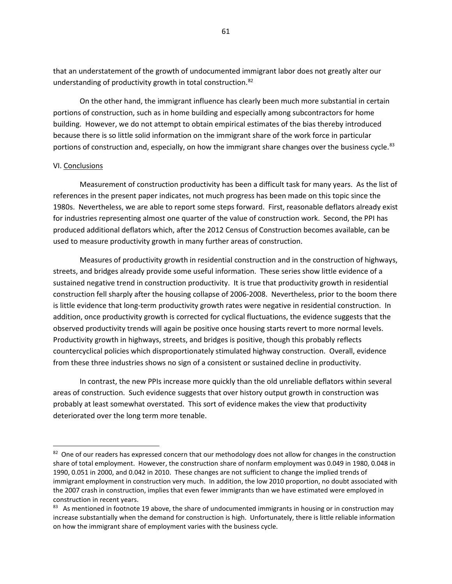that an understatement of the growth of undocumented immigrant labor does not greatly alter our understanding of productivity growth in total construction.<sup>[82](#page-61-0)</sup>

On the other hand, the immigrant influence has clearly been much more substantial in certain portions of construction, such as in home building and especially among subcontractors for home building. However, we do not attempt to obtain empirical estimates of the bias thereby introduced because there is so little solid information on the immigrant share of the work force in particular portions of construction and, especially, on how the immigrant share changes over the business cycle.<sup>83</sup>

### VI. Conclusions

 $\overline{\phantom{a}}$ 

Measurement of construction productivity has been a difficult task for many years. As the list of references in the present paper indicates, not much progress has been made on this topic since the 1980s. Nevertheless, we are able to report some steps forward. First, reasonable deflators already exist for industries representing almost one quarter of the value of construction work. Second, the PPI has produced additional deflators which, after the 2012 Census of Construction becomes available, can be used to measure productivity growth in many further areas of construction.

Measures of productivity growth in residential construction and in the construction of highways, streets, and bridges already provide some useful information. These series show little evidence of a sustained negative trend in construction productivity. It is true that productivity growth in residential construction fell sharply after the housing collapse of 2006-2008. Nevertheless, prior to the boom there is little evidence that long-term productivity growth rates were negative in residential construction. In addition, once productivity growth is corrected for cyclical fluctuations, the evidence suggests that the observed productivity trends will again be positive once housing starts revert to more normal levels. Productivity growth in highways, streets, and bridges is positive, though this probably reflects countercyclical policies which disproportionately stimulated highway construction. Overall, evidence from these three industries shows no sign of a consistent or sustained decline in productivity.

In contrast, the new PPIs increase more quickly than the old unreliable deflators within several areas of construction. Such evidence suggests that over history output growth in construction was probably at least somewhat overstated. This sort of evidence makes the view that productivity deteriorated over the long term more tenable.

<span id="page-61-0"></span><sup>82</sup> One of our readers has expressed concern that our methodology does not allow for changes in the construction share of total employment. However, the construction share of nonfarm employment was 0.049 in 1980, 0.048 in 1990, 0.051 in 2000, and 0.042 in 2010. These changes are not sufficient to change the implied trends of immigrant employment in construction very much. In addition, the low 2010 proportion, no doubt associated with the 2007 crash in construction, implies that even fewer immigrants than we have estimated were employed in construction in recent years.

<span id="page-61-1"></span><sup>83</sup> As mentioned in footnote 19 above, the share of undocumented immigrants in housing or in construction may increase substantially when the demand for construction is high. Unfortunately, there is little reliable information on how the immigrant share of employment varies with the business cycle.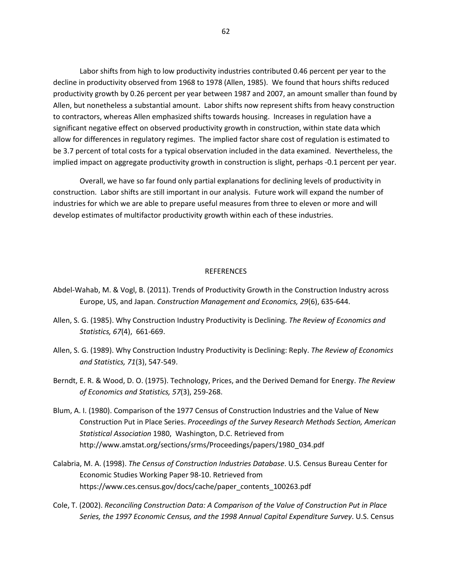Labor shifts from high to low productivity industries contributed 0.46 percent per year to the decline in productivity observed from 1968 to 1978 (Allen, 1985). We found that hours shifts reduced productivity growth by 0.26 percent per year between 1987 and 2007, an amount smaller than found by Allen, but nonetheless a substantial amount. Labor shifts now represent shifts from heavy construction to contractors, whereas Allen emphasized shifts towards housing. Increases in regulation have a significant negative effect on observed productivity growth in construction, within state data which allow for differences in regulatory regimes. The implied factor share cost of regulation is estimated to be 3.7 percent of total costs for a typical observation included in the data examined. Nevertheless, the implied impact on aggregate productivity growth in construction is slight, perhaps -0.1 percent per year.

Overall, we have so far found only partial explanations for declining levels of productivity in construction. Labor shifts are still important in our analysis. Future work will expand the number of industries for which we are able to prepare useful measures from three to eleven or more and will develop estimates of multifactor productivity growth within each of these industries.

### REFERENCES

- Abdel-Wahab, M. & Vogl, B. (2011). Trends of Productivity Growth in the Construction Industry across Europe, US, and Japan. *Construction Management and Economics, 29*(6), 635-644.
- Allen, S. G. (1985). Why Construction Industry Productivity is Declining. *The Review of Economics and Statistics, 67*(4), 661-669.
- Allen, S. G. (1989). Why Construction Industry Productivity is Declining: Reply. *The Review of Economics and Statistics, 71*(3), 547-549.
- Berndt, E. R. & Wood, D. O. (1975). Technology, Prices, and the Derived Demand for Energy. *The Review of Economics and Statistics, 57*(3), 259-268.
- Blum, A. I. (1980). Comparison of the 1977 Census of Construction Industries and the Value of New Construction Put in Place Series. *Proceedings of the Survey Research Methods Section, American Statistical Association* 1980, Washington, D.C. Retrieved from http://www.amstat.org/sections/srms/Proceedings/papers/1980\_034.pdf
- Calabria, M. A. (1998). *The Census of Construction Industries Database*. U.S. Census Bureau Center for Economic Studies Working Paper 98-10. Retrieved from https://www.ces.census.gov/docs/cache/paper\_contents\_100263.pdf
- Cole, T. (2002). *Reconciling Construction Data: A Comparison of the Value of Construction Put in Place Series, the 1997 Economic Census, and the 1998 Annual Capital Expenditure Survey*. U.S. Census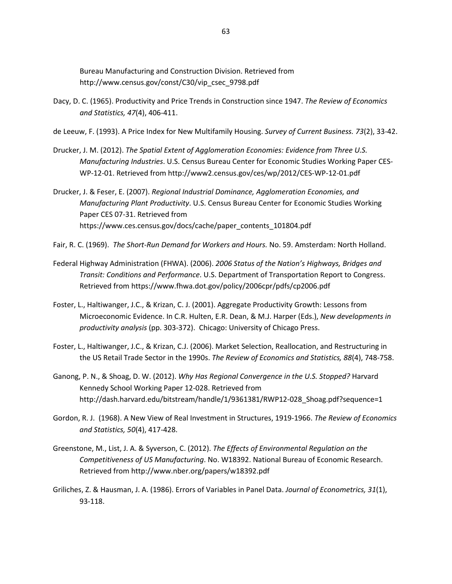Bureau Manufacturing and Construction Division. Retrieved from http://www.census.gov/const/C30/vip\_csec\_9798.pdf

- Dacy, D. C. (1965). Productivity and Price Trends in Construction since 1947. *The Review of Economics and Statistics, 47*(4), 406-411.
- de Leeuw, F. (1993). A Price Index for New Multifamily Housing. *Survey of Current Business. 73*(2), 33-42.
- Drucker, J. M. (2012). *The Spatial Extent of Agglomeration Economies: Evidence from Three U.S. Manufacturing Industries*. U.S. Census Bureau Center for Economic Studies Working Paper CES-WP-12-01. Retrieved from http://www2.census.gov/ces/wp/2012/CES-WP-12-01.pdf
- Drucker, J. & Feser, E. (2007). *Regional Industrial Dominance, Agglomeration Economies, and Manufacturing Plant Productivity*. U.S. Census Bureau Center for Economic Studies Working Paper CES 07-31. Retrieved from https://www.ces.census.gov/docs/cache/paper\_contents\_101804.pdf
- Fair, R. C. (1969). *The Short-Run Demand for Workers and Hours.* No. 59. Amsterdam: North Holland.
- Federal Highway Administration (FHWA). (2006). *2006 Status of the Nation's Highways, Bridges and Transit: Conditions and Performance*. U.S. Department of Transportation Report to Congress. Retrieved from https://www.fhwa.dot.gov/policy/2006cpr/pdfs/cp2006.pdf
- Foster, L., Haltiwanger, J.C., & Krizan, C. J. (2001). Aggregate Productivity Growth: Lessons from Microeconomic Evidence. In C.R. Hulten, E.R. Dean, & M.J. Harper (Eds.), *New developments in productivity analysis* (pp. 303-372). Chicago: University of Chicago Press.
- Foster, L., Haltiwanger, J.C., & Krizan, C.J. (2006). Market Selection, Reallocation, and Restructuring in the US Retail Trade Sector in the 1990s. *The Review of Economics and Statistics, 88*(4), 748-758.
- Ganong, P. N., & Shoag, D. W. (2012). *Why Has Regional Convergence in the U.S. Stopped?* Harvard Kennedy School Working Paper 12-028. Retrieved from http://dash.harvard.edu/bitstream/handle/1/9361381/RWP12-028\_Shoag.pdf?sequence=1
- Gordon, R. J. (1968). A New View of Real Investment in Structures, 1919-1966. *The Review of Economics and Statistics, 50*(4), 417-428.
- Greenstone, M., List, J. A. & Syverson, C. (2012). *The Effects of Environmental Regulation on the Competitiveness of US Manufacturing*. No. W18392. National Bureau of Economic Research. Retrieved from http://www.nber.org/papers/w18392.pdf
- Griliches, Z. & Hausman, J. A. (1986). Errors of Variables in Panel Data. *Journal of Econometrics, 31*(1), 93-118.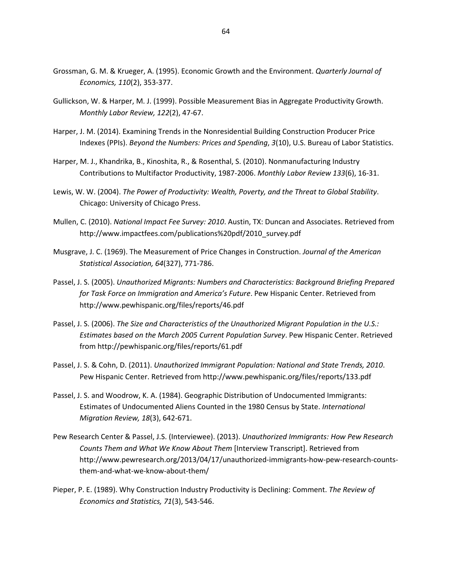- Grossman, G. M. & Krueger, A. (1995). Economic Growth and the Environment. *Quarterly Journal of Economics, 110*(2), 353-377.
- Gullickson, W. & Harper, M. J. (1999). Possible Measurement Bias in Aggregate Productivity Growth. *Monthly Labor Review, 122*(2), 47-67.
- Harper, J. M. (2014). Examining Trends in the Nonresidential Building Construction Producer Price Indexes (PPIs). *Beyond the Numbers: Prices and Spending*, *3*(10), U.S. Bureau of Labor Statistics.
- Harper, M. J., Khandrika, B., Kinoshita, R., & Rosenthal, S. (2010). Nonmanufacturing Industry Contributions to Multifactor Productivity, 1987-2006. *Monthly Labor Review 133*(6), 16-31.
- Lewis, W. W. (2004). *The Power of Productivity: Wealth, Poverty, and the Threat to Global Stability*. Chicago: University of Chicago Press.
- Mullen, C. (2010). *National Impact Fee Survey: 2010*. Austin, TX: Duncan and Associates. Retrieved from http://www.impactfees.com/publications%20pdf/2010\_survey.pdf
- Musgrave, J. C. (1969). The Measurement of Price Changes in Construction. *Journal of the American Statistical Association, 64*(327), 771-786.
- Passel, J. S. (2005). *Unauthorized Migrants: Numbers and Characteristics: Background Briefing Prepared for Task Force on Immigration and America's Future*. Pew Hispanic Center. Retrieved from http://www.pewhispanic.org/files/reports/46.pdf
- Passel, J. S. (2006). *The Size and Characteristics of the Unauthorized Migrant Population in the U.S.: Estimates based on the March 2005 Current Population Survey*. Pew Hispanic Center. Retrieved from http://pewhispanic.org/files/reports/61.pdf
- Passel, J. S. & Cohn, D. (2011). *Unauthorized Immigrant Population: National and State Trends, 2010*. Pew Hispanic Center. Retrieved from http://www.pewhispanic.org/files/reports/133.pdf
- Passel, J. S. and Woodrow, K. A. (1984). Geographic Distribution of Undocumented Immigrants: Estimates of Undocumented Aliens Counted in the 1980 Census by State. *International Migration Review, 18*(3), 642-671.
- Pew Research Center & Passel, J.S. (Interviewee). (2013). *Unauthorized Immigrants: How Pew Research Counts Them and What We Know About Them* [Interview Transcript]. Retrieved from http://www.pewresearch.org/2013/04/17/unauthorized-immigrants-how-pew-research-countsthem-and-what-we-know-about-them/
- Pieper, P. E. (1989). Why Construction Industry Productivity is Declining: Comment. *The Review of Economics and Statistics, 71*(3), 543-546.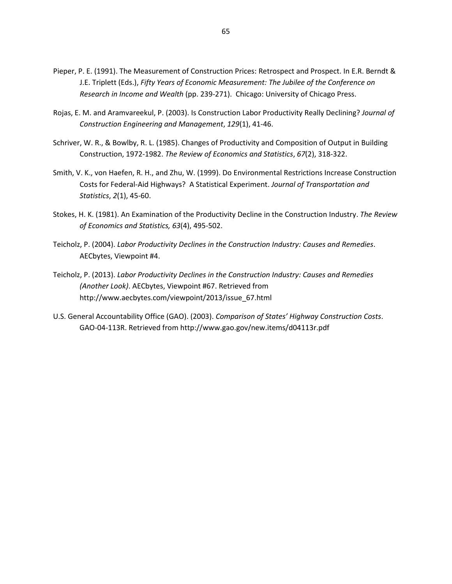- Pieper, P. E. (1991). The Measurement of Construction Prices: Retrospect and Prospect. In E.R. Berndt & J.E. Triplett (Eds.), *Fifty Years of Economic Measurement: The Jubilee of the Conference on Research in Income and Wealth* (pp. 239-271). Chicago: University of Chicago Press.
- Rojas, E. M. and Aramvareekul, P. (2003). Is Construction Labor Productivity Really Declining? *Journal of Construction Engineering and Management*, *129*(1), 41-46.
- Schriver, W. R., & Bowlby, R. L. (1985). Changes of Productivity and Composition of Output in Building Construction, 1972-1982. *The Review of Economics and Statistics*, *67*(2), 318-322.
- Smith, V. K., von Haefen, R. H., and Zhu, W. (1999). Do Environmental Restrictions Increase Construction Costs for Federal-Aid Highways? A Statistical Experiment. *Journal of Transportation and Statistics*, *2*(1), 45-60.
- Stokes, H. K. (1981). An Examination of the Productivity Decline in the Construction Industry. *The Review of Economics and Statistics, 63*(4), 495-502.
- Teicholz, P. (2004). *Labor Productivity Declines in the Construction Industry: Causes and Remedies*. AECbytes, Viewpoint #4.
- Teicholz, P. (2013). *Labor Productivity Declines in the Construction Industry: Causes and Remedies (Another Look)*. AECbytes, Viewpoint #67. Retrieved from http://www.aecbytes.com/viewpoint/2013/issue\_67.html
- U.S. General Accountability Office (GAO). (2003). *Comparison of States' Highway Construction Costs*. GAO-04-113R. Retrieved from http://www.gao.gov/new.items/d04113r.pdf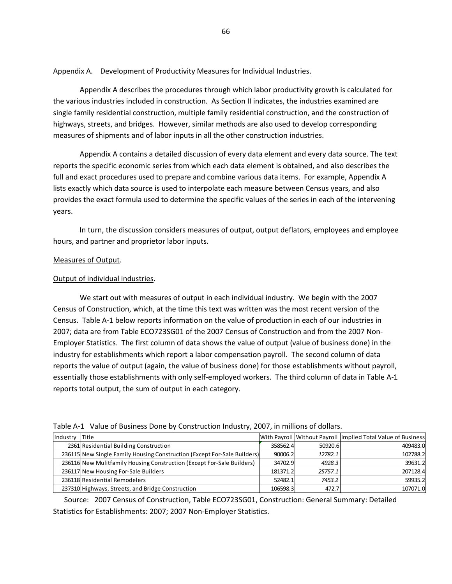### Appendix A. Development of Productivity Measures for Individual Industries.

Appendix A describes the procedures through which labor productivity growth is calculated for the various industries included in construction. As Section II indicates, the industries examined are single family residential construction, multiple family residential construction, and the construction of highways, streets, and bridges. However, similar methods are also used to develop corresponding measures of shipments and of labor inputs in all the other construction industries.

Appendix A contains a detailed discussion of every data element and every data source. The text reports the specific economic series from which each data element is obtained, and also describes the full and exact procedures used to prepare and combine various data items. For example, Appendix A lists exactly which data source is used to interpolate each measure between Census years, and also provides the exact formula used to determine the specific values of the series in each of the intervening years.

In turn, the discussion considers measures of output, output deflators, employees and employee hours, and partner and proprietor labor inputs.

## Measures of Output.

## Output of individual industries.

We start out with measures of output in each individual industry. We begin with the 2007 Census of Construction, which, at the time this text was written was the most recent version of the Census. Table A-1 below reports information on the value of production in each of our industries in 2007; data are from Table ECO723SG01 of the 2007 Census of Construction and from the 2007 Non-Employer Statistics. The first column of data shows the value of output (value of business done) in the industry for establishments which report a labor compensation payroll. The second column of data reports the value of output (again, the value of business done) for those establishments without payroll, essentially those establishments with only self-employed workers. The third column of data in Table A-1 reports total output, the sum of output in each category.

| <b>I</b> Industry | <b>Title</b>                                                             |          |         | With Payroll Without Payroll Implied Total Value of Business |  |  |
|-------------------|--------------------------------------------------------------------------|----------|---------|--------------------------------------------------------------|--|--|
|                   | 2361 Residential Building Construction                                   | 358562.4 | 50920.6 | 409483.0                                                     |  |  |
|                   | 236115 New Single Family Housing Construction (Except For-Sale Builders) | 90006.2  | 12782.1 | 102788.2                                                     |  |  |
|                   | 236116 New Mulitfamily Housing Construction (Except For-Sale Builders)   | 34702.9  | 4928.3  | 39631.2                                                      |  |  |
|                   | 236117 New Housing For-Sale Builders                                     | 181371.2 | 25757.1 | 207128.4                                                     |  |  |
|                   | 236118 Residential Remodelers                                            | 52482.1  | 7453.2  | 59935.2                                                      |  |  |
|                   | 237310 Highways, Streets, and Bridge Construction                        | 106598.3 | 472.7   | 107071.0                                                     |  |  |

Table A-1 Value of Business Done by Construction Industry, 2007, in millions of dollars.

 Source: 2007 Census of Construction, Table ECO723SG01, Construction: General Summary: Detailed Statistics for Establishments: 2007; 2007 Non-Employer Statistics.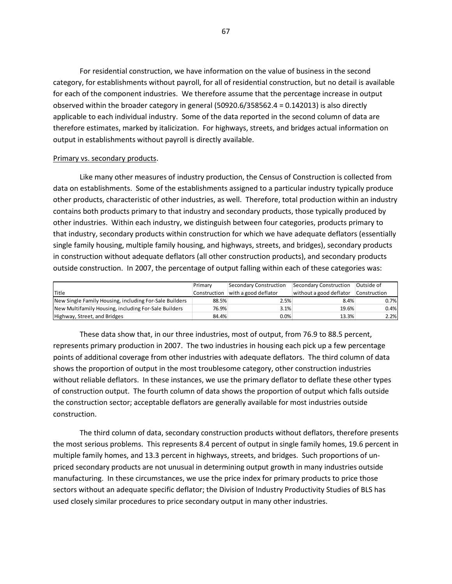For residential construction, we have information on the value of business in the second category, for establishments without payroll, for all of residential construction, but no detail is available for each of the component industries. We therefore assume that the percentage increase in output observed within the broader category in general (50920.6/358562.4 = 0.142013) is also directly applicable to each individual industry. Some of the data reported in the second column of data are therefore estimates, marked by italicization. For highways, streets, and bridges actual information on output in establishments without payroll is directly available.

#### Primary vs. secondary products.

Like many other measures of industry production, the Census of Construction is collected from data on establishments. Some of the establishments assigned to a particular industry typically produce other products, characteristic of other industries, as well. Therefore, total production within an industry contains both products primary to that industry and secondary products, those typically produced by other industries. Within each industry, we distinguish between four categories, products primary to that industry, secondary products within construction for which we have adequate deflators (essentially single family housing, multiple family housing, and highways, streets, and bridges), secondary products in construction without adequate deflators (all other construction products), and secondary products outside construction. In 2007, the percentage of output falling within each of these categories was:

|                                                        | Primary      | Secondary Construction | Secondary Construction  | Outside of   |
|--------------------------------------------------------|--------------|------------------------|-------------------------|--------------|
| <b>I</b> Title                                         | Construction | with a good deflator   | without a good deflator | Construction |
| New Single Family Housing, including For-Sale Builders | 88.5%        | 2.5%                   | 8.4%                    | 0.7%         |
| New Multifamily Housing, including For-Sale Builders   | 76.9%        | 3.1%                   | 19.6%                   | 0.4%         |
| Highway, Street, and Bridges                           | 84.4%        | 0.0%                   | 13.3%                   | 2.2%         |

These data show that, in our three industries, most of output, from 76.9 to 88.5 percent, represents primary production in 2007. The two industries in housing each pick up a few percentage points of additional coverage from other industries with adequate deflators. The third column of data shows the proportion of output in the most troublesome category, other construction industries without reliable deflators. In these instances, we use the primary deflator to deflate these other types of construction output. The fourth column of data shows the proportion of output which falls outside the construction sector; acceptable deflators are generally available for most industries outside construction.

The third column of data, secondary construction products without deflators, therefore presents the most serious problems. This represents 8.4 percent of output in single family homes, 19.6 percent in multiple family homes, and 13.3 percent in highways, streets, and bridges. Such proportions of unpriced secondary products are not unusual in determining output growth in many industries outside manufacturing. In these circumstances, we use the price index for primary products to price those sectors without an adequate specific deflator; the Division of Industry Productivity Studies of BLS has used closely similar procedures to price secondary output in many other industries.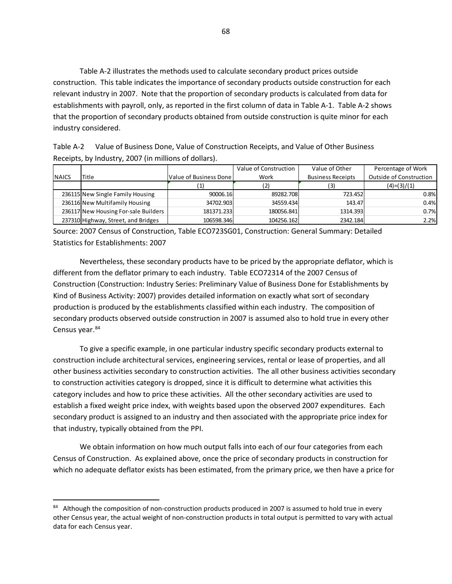Table A-2 illustrates the methods used to calculate secondary product prices outside construction. This table indicates the importance of secondary products outside construction for each relevant industry in 2007. Note that the proportion of secondary products is calculated from data for establishments with payroll, only, as reported in the first column of data in Table A-1. Table A-2 shows that the proportion of secondary products obtained from outside construction is quite minor for each industry considered.

| Table A-2 | Value of Business Done, Value of Construction Receipts, and Value of Other Business |
|-----------|-------------------------------------------------------------------------------------|
|           | Receipts, by Industry, 2007 (in millions of dollars).                               |

|               |                                      |                          | Value of Construction | Value of Other           | Percentage of Work      |
|---------------|--------------------------------------|--------------------------|-----------------------|--------------------------|-------------------------|
| <b>INAICS</b> | Title                                | Value of Business Done I | Work                  | <b>Business Receipts</b> | Outside of Construction |
|               |                                      |                          |                       | 3)                       | $(4)=(3)/(1)$           |
|               | 236115 New Single Family Housing     | 90006.16                 | 89282.708             | 723.452                  | 0.8%                    |
|               | 236116 New Multifamily Housing       | 34702.903                | 34559.434             | 143.47                   | 0.4%                    |
|               | 236117 New Housing For-sale Builders | 181371.233               | 180056.841            | 1314.393                 | 0.7%                    |
|               | 237310 Highway, Street, and Bridges  | 106598.346               | 104256.162            | 2342.184                 | 2.2%                    |

Source: 2007 Census of Construction, Table ECO723SG01, Construction: General Summary: Detailed Statistics for Establishments: 2007

Nevertheless, these secondary products have to be priced by the appropriate deflator, which is different from the deflator primary to each industry. Table ECO72314 of the 2007 Census of Construction (Construction: Industry Series: Preliminary Value of Business Done for Establishments by Kind of Business Activity: 2007) provides detailed information on exactly what sort of secondary production is produced by the establishments classified within each industry. The composition of secondary products observed outside construction in 2007 is assumed also to hold true in every other Census year.<sup>84</sup>

To give a specific example, in one particular industry specific secondary products external to construction include architectural services, engineering services, rental or lease of properties, and all other business activities secondary to construction activities. The all other business activities secondary to construction activities category is dropped, since it is difficult to determine what activities this category includes and how to price these activities. All the other secondary activities are used to establish a fixed weight price index, with weights based upon the observed 2007 expenditures. Each secondary product is assigned to an industry and then associated with the appropriate price index for that industry, typically obtained from the PPI.

We obtain information on how much output falls into each of our four categories from each Census of Construction. As explained above, once the price of secondary products in construction for which no adequate deflator exists has been estimated, from the primary price, we then have a price for

l

<span id="page-68-0"></span><sup>84</sup> Although the composition of non-construction products produced in 2007 is assumed to hold true in every other Census year, the actual weight of non-construction products in total output is permitted to vary with actual data for each Census year.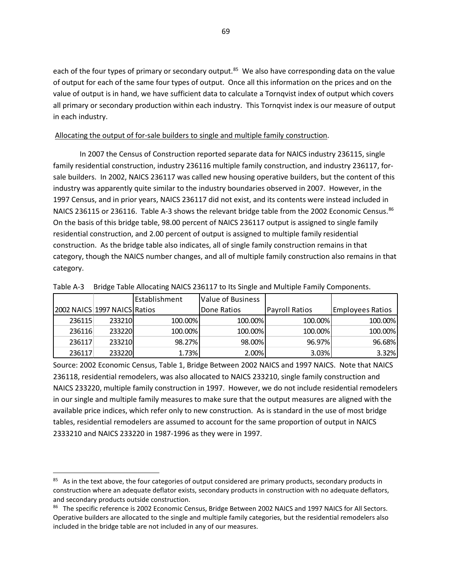each of the four types of primary or secondary output.<sup>[85](#page-69-0)</sup> We also have corresponding data on the value of output for each of the same four types of output. Once all this information on the prices and on the value of output is in hand, we have sufficient data to calculate a Tornqvist index of output which covers all primary or secondary production within each industry. This Tornqvist index is our measure of output in each industry.

## Allocating the output of for-sale builders to single and multiple family construction.

In 2007 the Census of Construction reported separate data for NAICS industry 236115, single family residential construction, industry 236116 multiple family construction, and industry 236117, forsale builders. In 2002, NAICS 236117 was called new housing operative builders, but the content of this industry was apparently quite similar to the industry boundaries observed in 2007. However, in the 1997 Census, and in prior years, NAICS 236117 did not exist, and its contents were instead included in NAICS 236115 or 236116. Table A-3 shows the relevant bridge table from the 2002 Economic Census.<sup>86</sup> On the basis of this bridge table, 98.00 percent of NAICS 236117 output is assigned to single family residential construction, and 2.00 percent of output is assigned to multiple family residential construction. As the bridge table also indicates, all of single family construction remains in that category, though the NAICS number changes, and all of multiple family construction also remains in that category.

|                              |        | l Establishment | <b>IValue of Business</b> |                |                  |
|------------------------------|--------|-----------------|---------------------------|----------------|------------------|
| 2002 NAICS 1997 NAICS Ratios |        |                 | <b>IDone Ratios</b>       | Payroll Ratios | Emplovees Ratios |
| 236115                       | 233210 | 100.00%         | 100.00%                   | 100.00%        | 100.00%          |
| 236116                       | 233220 | 100.00%         | 100.00%                   | 100.00%        | 100.00%          |
| 236117                       | 233210 | 98.27%          | 98.00%                    | 96.97%         | 96.68%           |
| 236117                       | 233220 | 1.73%           | 2.00%                     | 3.03%          | 3.32%            |

Table A-3 Bridge Table Allocating NAICS 236117 to Its Single and Multiple Family Components.

Source: 2002 Economic Census, Table 1, Bridge Between 2002 NAICS and 1997 NAICS. Note that NAICS 236118, residential remodelers, was also allocated to NAICS 233210, single family construction and NAICS 233220, multiple family construction in 1997. However, we do not include residential remodelers in our single and multiple family measures to make sure that the output measures are aligned with the available price indices, which refer only to new construction. As is standard in the use of most bridge tables, residential remodelers are assumed to account for the same proportion of output in NAICS 2333210 and NAICS 233220 in 1987-1996 as they were in 1997.

<span id="page-69-0"></span><sup>&</sup>lt;sup>85</sup> As in the text above, the four categories of output considered are primary products, secondary products in construction where an adequate deflator exists, secondary products in construction with no adequate deflators, and secondary products outside construction.

<span id="page-69-1"></span><sup>86</sup> The specific reference is 2002 Economic Census, Bridge Between 2002 NAICS and 1997 NAICS for All Sectors. Operative builders are allocated to the single and multiple family categories, but the residential remodelers also included in the bridge table are not included in any of our measures.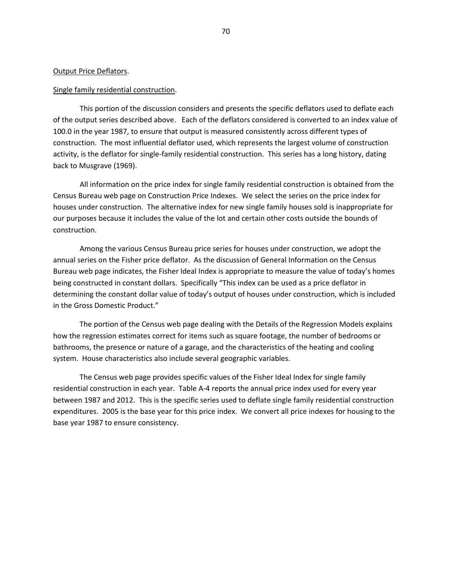#### Output Price Deflators.

#### Single family residential construction.

This portion of the discussion considers and presents the specific deflators used to deflate each of the output series described above. Each of the deflators considered is converted to an index value of 100.0 in the year 1987, to ensure that output is measured consistently across different types of construction. The most influential deflator used, which represents the largest volume of construction activity, is the deflator for single-family residential construction. This series has a long history, dating back to Musgrave (1969).

All information on the price index for single family residential construction is obtained from the Census Bureau web page on Construction Price Indexes. We select the series on the price index for houses under construction. The alternative index for new single family houses sold is inappropriate for our purposes because it includes the value of the lot and certain other costs outside the bounds of construction.

Among the various Census Bureau price series for houses under construction, we adopt the annual series on the Fisher price deflator. As the discussion of General Information on the Census Bureau web page indicates, the Fisher Ideal Index is appropriate to measure the value of today's homes being constructed in constant dollars. Specifically "This index can be used as a price deflator in determining the constant dollar value of today's output of houses under construction, which is included in the Gross Domestic Product."

The portion of the Census web page dealing with the Details of the Regression Models explains how the regression estimates correct for items such as square footage, the number of bedrooms or bathrooms, the presence or nature of a garage, and the characteristics of the heating and cooling system. House characteristics also include several geographic variables.

The Census web page provides specific values of the Fisher Ideal Index for single family residential construction in each year. Table A-4 reports the annual price index used for every year between 1987 and 2012. This is the specific series used to deflate single family residential construction expenditures. 2005 is the base year for this price index. We convert all price indexes for housing to the base year 1987 to ensure consistency.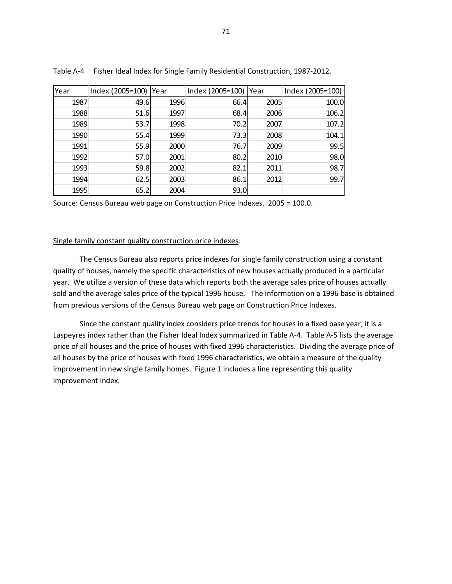| Year | Index (2005=100)   Year |      | Index (2005=100) | <b>Year</b> | Index (2005=100) |
|------|-------------------------|------|------------------|-------------|------------------|
| 1987 | 49.6                    | 1996 | 66.4             | 2005        | 100.0            |
| 1988 | 51.6                    | 1997 | 68.4             | 2006        | 106.2            |
| 1989 | 53.7                    | 1998 | 70.2             | 2007        | 107.2            |
| 1990 | 55.4                    | 1999 | 73.3             | 2008        | 104.1            |
| 1991 | 55.9                    | 2000 | 76.7             | 2009        | 99.5             |
| 1992 | 57.0                    | 2001 | 80.2             | 2010        | 98.0             |
| 1993 | 59.8                    | 2002 | 82.1             | 2011        | 98.7             |
| 1994 | 62.5                    | 2003 | 86.1             | 2012        | 99.7             |
| 1995 | 65.2                    | 2004 | 93.0             |             |                  |

Table A-4 Fisher Ideal Index for Single Family Residential Construction, 1987-2012.

Source: Census Bureau web page on Construction Price Indexes. 2005 = 100.0.

### Single family constant quality construction price indexes.

The Census Bureau also reports price indexes for single family construction using a constant quality of houses, namely the specific characteristics of new houses actually produced in a particular year. We utilize a version of these data which reports both the average sales price of houses actually sold and the average sales price of the typical 1996 house. The information on a 1996 base is obtained from previous versions of the Census Bureau web page on Construction Price Indexes.

Since the constant quality index considers price trends for houses in a fixed base year, it is a Laspeyres index rather than the Fisher Ideal Index summarized in Table A-4. Table A-5 lists the average price of all houses and the price of houses with fixed 1996 characteristics. Dividing the average price of all houses by the price of houses with fixed 1996 characteristics, we obtain a measure of the quality improvement in new single family homes. Figure 1 includes a line representing this quality improvement index.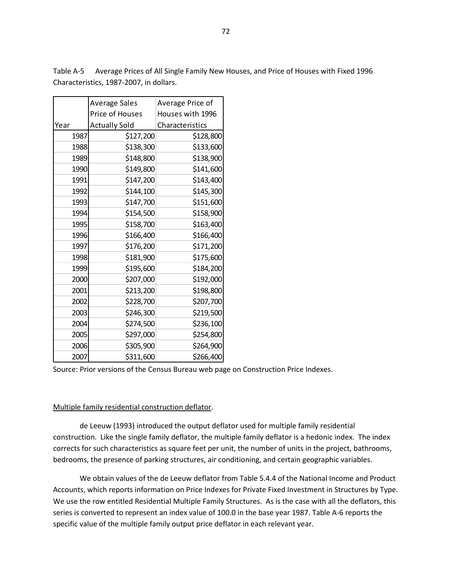72

Table A-5 Average Prices of All Single Family New Houses, and Price of Houses with Fixed 1996 Characteristics, 1987-2007, in dollars.

|      | <b>Average Sales</b> | Average Price of |  |  |
|------|----------------------|------------------|--|--|
|      | Price of Houses      | Houses with 1996 |  |  |
| Year | <b>Actually Sold</b> | Characteristics  |  |  |
| 1987 | \$127,200            | \$128,800        |  |  |
| 1988 | \$138,300            | \$133,600        |  |  |
| 1989 | \$148,800            | \$138,900        |  |  |
| 1990 | \$149,800            | \$141,600        |  |  |
| 1991 | \$147,200            | \$143,400        |  |  |
| 1992 | \$144,100            | \$145,300        |  |  |
| 1993 | \$147,700            | \$151,600        |  |  |
| 1994 | \$154,500            | \$158,900        |  |  |
| 1995 | \$158,700            | \$163,400        |  |  |
| 1996 | \$166,400            | \$166,400        |  |  |
| 1997 | \$176,200            | \$171,200        |  |  |
| 1998 | \$181,900            | \$175,600        |  |  |
| 1999 | \$195,600            | \$184,200        |  |  |
| 2000 | \$207,000            | \$192,000        |  |  |
| 2001 | \$213,200            | \$198,800        |  |  |
| 2002 | \$228,700            | \$207,700        |  |  |
| 2003 | \$246,300            | \$219,500        |  |  |
| 2004 | \$274,500            | \$236,100        |  |  |
| 2005 | \$297,000            | \$254,800        |  |  |
| 2006 | \$305,900            | \$264,900        |  |  |
| 2007 | \$311,600            | \$266,400        |  |  |

Source: Prior versions of the Census Bureau web page on Construction Price Indexes.

# Multiple family residential construction deflator.

de Leeuw (1993) introduced the output deflator used for multiple family residential construction. Like the single family deflator, the multiple family deflator is a hedonic index. The index corrects for such characteristics as square feet per unit, the number of units in the project, bathrooms, bedrooms, the presence of parking structures, air conditioning, and certain geographic variables.

We obtain values of the de Leeuw deflator from Table 5.4.4 of the National Income and Product Accounts, which reports information on Price Indexes for Private Fixed Investment in Structures by Type. We use the row entitled Residential Multiple Family Structures. As is the case with all the deflators, this series is converted to represent an index value of 100.0 in the base year 1987. Table A-6 reports the specific value of the multiple family output price deflator in each relevant year.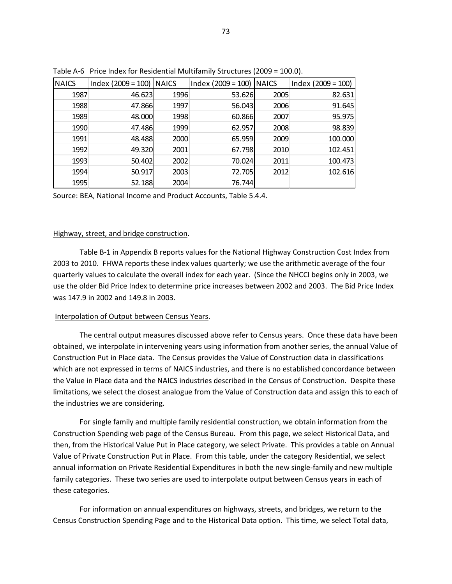| <b>NAICS</b> | $Index (2009 = 100)$ NAICS |      | $Index (2009 = 100)$ | <b>NAICS</b> | $Index (2009 = 100)$ |
|--------------|----------------------------|------|----------------------|--------------|----------------------|
| 1987         | 46.623                     | 1996 | 53.626               | 2005         | 82.631               |
| 1988         | 47.866                     | 1997 | 56.043               | 2006         | 91.645               |
| 1989         | 48.000                     | 1998 | 60.866               | 2007         | 95.975               |
| 1990         | 47.486                     | 1999 | 62.957               | 2008         | 98.839               |
| 1991         | 48.488                     | 2000 | 65.959               | 2009         | 100.000              |
| 1992         | 49.320                     | 2001 | 67.798               | 2010         | 102.451              |
| 1993         | 50.402                     | 2002 | 70.024               | 2011         | 100.473              |
| 1994         | 50.917                     | 2003 | 72.705               | 2012         | 102.616              |
| 1995         | 52.188                     | 2004 | 76.744               |              |                      |

Table A-6 Price Index for Residential Multifamily Structures (2009 = 100.0).

Source: BEA, National Income and Product Accounts, Table 5.4.4.

#### Highway, street, and bridge construction.

Table B-1 in Appendix B reports values for the National Highway Construction Cost Index from 2003 to 2010. FHWA reports these index values quarterly; we use the arithmetic average of the four quarterly values to calculate the overall index for each year. (Since the NHCCI begins only in 2003, we use the older Bid Price Index to determine price increases between 2002 and 2003. The Bid Price Index was 147.9 in 2002 and 149.8 in 2003.

#### Interpolation of Output between Census Years.

The central output measures discussed above refer to Census years. Once these data have been obtained, we interpolate in intervening years using information from another series, the annual Value of Construction Put in Place data. The Census provides the Value of Construction data in classifications which are not expressed in terms of NAICS industries, and there is no established concordance between the Value in Place data and the NAICS industries described in the Census of Construction. Despite these limitations, we select the closest analogue from the Value of Construction data and assign this to each of the industries we are considering.

For single family and multiple family residential construction, we obtain information from the Construction Spending web page of the Census Bureau. From this page, we select Historical Data, and then, from the Historical Value Put in Place category, we select Private. This provides a table on Annual Value of Private Construction Put in Place. From this table, under the category Residential, we select annual information on Private Residential Expenditures in both the new single-family and new multiple family categories. These two series are used to interpolate output between Census years in each of these categories.

For information on annual expenditures on highways, streets, and bridges, we return to the Census Construction Spending Page and to the Historical Data option. This time, we select Total data,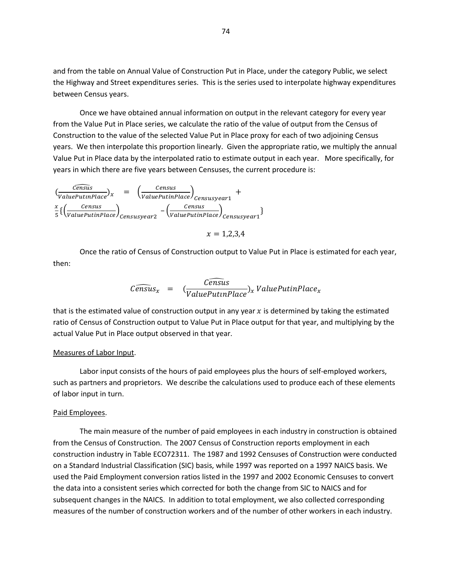and from the table on Annual Value of Construction Put in Place, under the category Public, we select the Highway and Street expenditures series. This is the series used to interpolate highway expenditures between Census years.

Once we have obtained annual information on output in the relevant category for every year from the Value Put in Place series, we calculate the ratio of the value of output from the Census of Construction to the value of the selected Value Put in Place proxy for each of two adjoining Census years. We then interpolate this proportion linearly. Given the appropriate ratio, we multiply the annual Value Put in Place data by the interpolated ratio to estimate output in each year. More specifically, for years in which there are five years between Censuses, the current procedure is:

$$
\left(\frac{Census}{ValuePutinPlace}\right)_x = \left(\frac{Census}{ValuePutinPlace}\right)_{Censusyear1} + \frac{x}{5}\left\{\left(\frac{Census}{ValuePutinPlace}\right)_{Censusyear2} - \left(\frac{Census}{ValuePutinPlace}\right)_{Censusyear1}\right\}
$$
\n
$$
x = 1.2.3.4
$$

Once the ratio of Census of Construction output to Value Put in Place is estimated for each year, then:

$$
\widehat{Census}_x = \widehat{Census}_x
$$
\n
$$
\widehat{ValuePut in Place}_x ValuePutting
$$

that is the estimated value of construction output in any year  $x$  is determined by taking the estimated ratio of Census of Construction output to Value Put in Place output for that year, and multiplying by the actual Value Put in Place output observed in that year.

#### Measures of Labor Input.

Labor input consists of the hours of paid employees plus the hours of self-employed workers, such as partners and proprietors. We describe the calculations used to produce each of these elements of labor input in turn.

### Paid Employees.

The main measure of the number of paid employees in each industry in construction is obtained from the Census of Construction. The 2007 Census of Construction reports employment in each construction industry in Table ECO72311. The 1987 and 1992 Censuses of Construction were conducted on a Standard Industrial Classification (SIC) basis, while 1997 was reported on a 1997 NAICS basis. We used the Paid Employment conversion ratios listed in the 1997 and 2002 Economic Censuses to convert the data into a consistent series which corrected for both the change from SIC to NAICS and for subsequent changes in the NAICS. In addition to total employment, we also collected corresponding measures of the number of construction workers and of the number of other workers in each industry.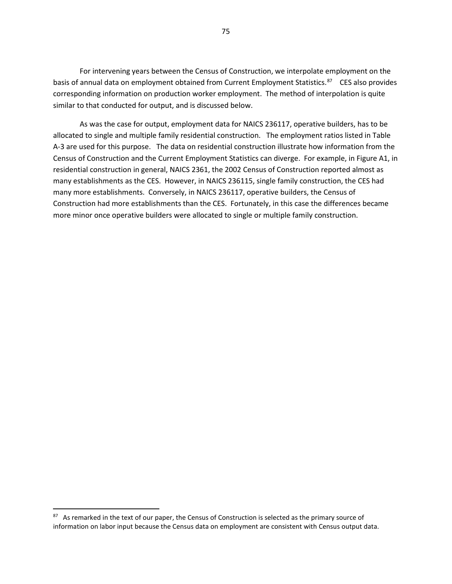For intervening years between the Census of Construction, we interpolate employment on the basis of annual data on employment obtained from Current Employment Statistics.<sup>[87](#page-75-0)</sup> CES also provides corresponding information on production worker employment. The method of interpolation is quite similar to that conducted for output, and is discussed below.

As was the case for output, employment data for NAICS 236117, operative builders, has to be allocated to single and multiple family residential construction. The employment ratios listed in Table A-3 are used for this purpose. The data on residential construction illustrate how information from the Census of Construction and the Current Employment Statistics can diverge. For example, in Figure A1, in residential construction in general, NAICS 2361, the 2002 Census of Construction reported almost as many establishments as the CES. However, in NAICS 236115, single family construction, the CES had many more establishments. Conversely, in NAICS 236117, operative builders, the Census of Construction had more establishments than the CES. Fortunately, in this case the differences became more minor once operative builders were allocated to single or multiple family construction.

 $\overline{\phantom{a}}$ 

<span id="page-75-0"></span><sup>&</sup>lt;sup>87</sup> As remarked in the text of our paper, the Census of Construction is selected as the primary source of information on labor input because the Census data on employment are consistent with Census output data.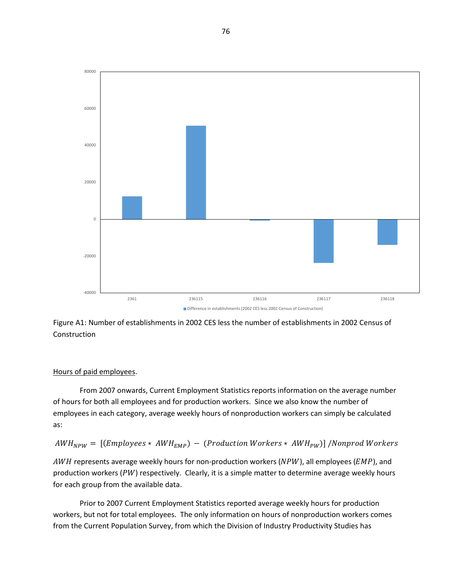

Figure A1: Number of establishments in 2002 CES less the number of establishments in 2002 Census of Construction

#### Hours of paid employees.

From 2007 onwards, Current Employment Statistics reports information on the average number of hours for both all employees and for production workers. Since we also know the number of employees in each category, average weekly hours of nonproduction workers can simply be calculated as:

$$
AWH_{NPW} = [(Employees * AWH_{EMP}) - (Production\,\nWorkers * AWH_{PW})]/Nonprod\,\nWorkers
$$

 $AWH$  represents average weekly hours for non-production workers ( $NPW$ ), all employees ( $EMP$ ), and production workers ( $PW$ ) respectively. Clearly, it is a simple matter to determine average weekly hours for each group from the available data.

Prior to 2007 Current Employment Statistics reported average weekly hours for production workers, but not for total employees. The only information on hours of nonproduction workers comes from the Current Population Survey, from which the Division of Industry Productivity Studies has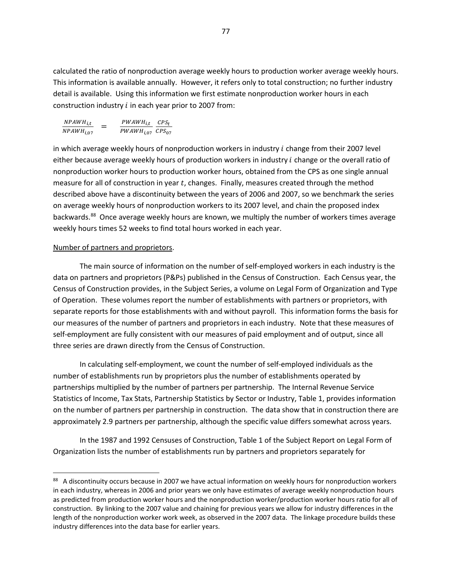calculated the ratio of nonproduction average weekly hours to production worker average weekly hours. This information is available annually. However, it refers only to total construction; no further industry detail is available. Using this information we first estimate nonproduction worker hours in each construction industry  $i$  in each year prior to 2007 from:

$$
\frac{NPAWH_{i,t}}{NPAWH_{i,07}} = \frac{PWAWH_{i,t}}{PWAWH_{i,07}} \frac{CPS_t}{CPS_{07}}
$$

in which average weekly hours of nonproduction workers in industry *i* change from their 2007 level either because average weekly hours of production workers in industry *i* change or the overall ratio of nonproduction worker hours to production worker hours, obtained from the CPS as one single annual measure for all of construction in year t, changes. Finally, measures created through the method described above have a discontinuity between the years of 2006 and 2007, so we benchmark the series on average weekly hours of nonproduction workers to its 2007 level, and chain the proposed index backwards.<sup>88</sup> Once average weekly hours are known, we multiply the number of workers times average weekly hours times 52 weeks to find total hours worked in each year.

## Number of partners and proprietors.

 $\overline{\phantom{a}}$ 

The main source of information on the number of self-employed workers in each industry is the data on partners and proprietors (P&Ps) published in the Census of Construction. Each Census year, the Census of Construction provides, in the Subject Series, a volume on Legal Form of Organization and Type of Operation. These volumes report the number of establishments with partners or proprietors, with separate reports for those establishments with and without payroll. This information forms the basis for our measures of the number of partners and proprietors in each industry. Note that these measures of self-employment are fully consistent with our measures of paid employment and of output, since all three series are drawn directly from the Census of Construction.

In calculating self-employment, we count the number of self-employed individuals as the number of establishments run by proprietors plus the number of establishments operated by partnerships multiplied by the number of partners per partnership. The Internal Revenue Service Statistics of Income, Tax Stats, Partnership Statistics by Sector or Industry, Table 1, provides information on the number of partners per partnership in construction. The data show that in construction there are approximately 2.9 partners per partnership, although the specific value differs somewhat across years.

In the 1987 and 1992 Censuses of Construction, Table 1 of the Subject Report on Legal Form of Organization lists the number of establishments run by partners and proprietors separately for

<span id="page-77-0"></span><sup>88</sup> A discontinuity occurs because in 2007 we have actual information on weekly hours for nonproduction workers in each industry, whereas in 2006 and prior years we only have estimates of average weekly nonproduction hours as predicted from production worker hours and the nonproduction worker/production worker hours ratio for all of construction. By linking to the 2007 value and chaining for previous years we allow for industry differences in the length of the nonproduction worker work week, as observed in the 2007 data. The linkage procedure builds these industry differences into the data base for earlier years.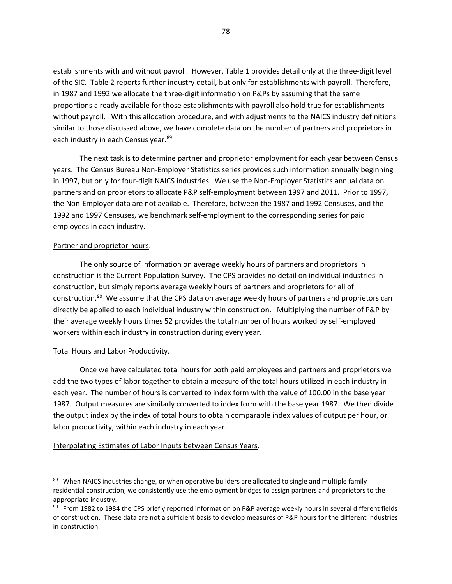establishments with and without payroll. However, Table 1 provides detail only at the three-digit level of the SIC. Table 2 reports further industry detail, but only for establishments with payroll. Therefore, in 1987 and 1992 we allocate the three-digit information on P&Ps by assuming that the same proportions already available for those establishments with payroll also hold true for establishments without payroll. With this allocation procedure, and with adjustments to the NAICS industry definitions similar to those discussed above, we have complete data on the number of partners and proprietors in each industry in each Census year.<sup>[89](#page-78-0)</sup>

The next task is to determine partner and proprietor employment for each year between Census years. The Census Bureau Non-Employer Statistics series provides such information annually beginning in 1997, but only for four-digit NAICS industries. We use the Non-Employer Statistics annual data on partners and on proprietors to allocate P&P self-employment between 1997 and 2011. Prior to 1997, the Non-Employer data are not available. Therefore, between the 1987 and 1992 Censuses, and the 1992 and 1997 Censuses, we benchmark self-employment to the corresponding series for paid employees in each industry.

#### Partner and proprietor hours.

The only source of information on average weekly hours of partners and proprietors in construction is the Current Population Survey. The CPS provides no detail on individual industries in construction, but simply reports average weekly hours of partners and proprietors for all of construction.<sup>[90](#page-78-1)</sup> We assume that the CPS data on average weekly hours of partners and proprietors can directly be applied to each individual industry within construction. Multiplying the number of P&P by their average weekly hours times 52 provides the total number of hours worked by self-employed workers within each industry in construction during every year.

## Total Hours and Labor Productivity.

 $\overline{\phantom{a}}$ 

Once we have calculated total hours for both paid employees and partners and proprietors we add the two types of labor together to obtain a measure of the total hours utilized in each industry in each year. The number of hours is converted to index form with the value of 100.00 in the base year 1987. Output measures are similarly converted to index form with the base year 1987. We then divide the output index by the index of total hours to obtain comparable index values of output per hour, or labor productivity, within each industry in each year.

#### Interpolating Estimates of Labor Inputs between Census Years.

<span id="page-78-0"></span><sup>89</sup> When NAICS industries change, or when operative builders are allocated to single and multiple family residential construction, we consistently use the employment bridges to assign partners and proprietors to the appropriate industry.

<span id="page-78-1"></span> $90$  From 1982 to 1984 the CPS briefly reported information on P&P average weekly hours in several different fields of construction. These data are not a sufficient basis to develop measures of P&P hours for the different industries in construction.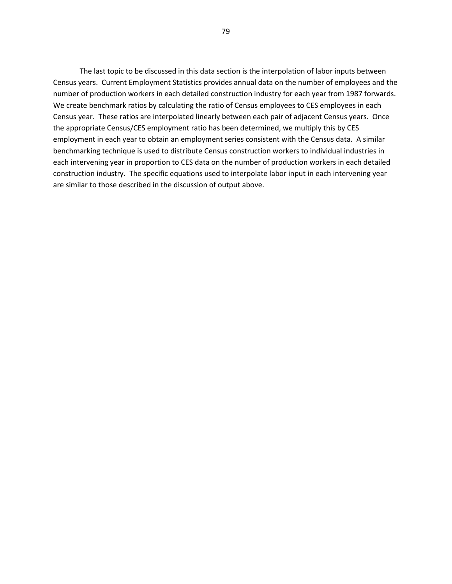The last topic to be discussed in this data section is the interpolation of labor inputs between Census years. Current Employment Statistics provides annual data on the number of employees and the number of production workers in each detailed construction industry for each year from 1987 forwards. We create benchmark ratios by calculating the ratio of Census employees to CES employees in each Census year. These ratios are interpolated linearly between each pair of adjacent Census years. Once the appropriate Census/CES employment ratio has been determined, we multiply this by CES employment in each year to obtain an employment series consistent with the Census data. A similar benchmarking technique is used to distribute Census construction workers to individual industries in each intervening year in proportion to CES data on the number of production workers in each detailed construction industry. The specific equations used to interpolate labor input in each intervening year are similar to those described in the discussion of output above.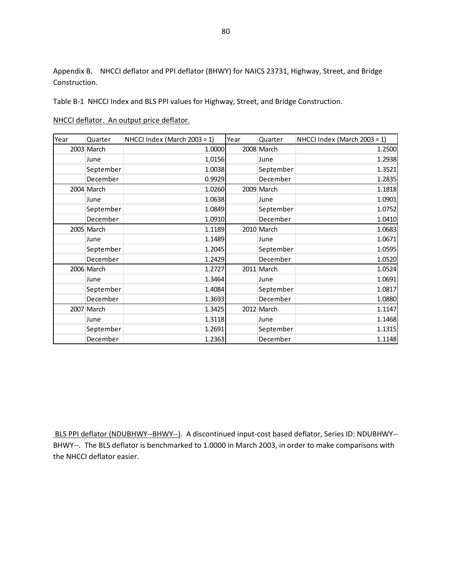Appendix B. NHCCI deflator and PPI deflator (BHWY) for NAICS 23731, Highway, Street, and Bridge Construction.

Table B-1 NHCCI Index and BLS PPI values for Highway, Street, and Bridge Construction.

### NHCCI deflator. An output price deflator.

| Year | Quarter    | NHCCI Index (March 2003 = 1) | Year | Quarter    | NHCCI Index (March 2003 = 1) |
|------|------------|------------------------------|------|------------|------------------------------|
|      | 2003 March | 1.0000                       |      | 2008 March | 1.2500                       |
|      | June       | 1.0156                       |      | June       | 1.2938                       |
|      | September  | 1.0038                       |      | September  | 1.3521                       |
|      | December   | 0.9929                       |      | December   | 1.2835                       |
|      | 2004 March | 1.0260                       |      | 2009 March | 1.1818                       |
|      | June       | 1.0638                       |      | June       | 1.0901                       |
|      | September  | 1.0849                       |      | September  | 1.0752                       |
|      | December   | 1.0910                       |      | December   | 1.0410                       |
|      | 2005 March | 1.1189                       |      | 2010 March | 1.0683                       |
|      | June       | 1.1489                       |      | June       | 1.0671                       |
|      | September  | 1.2045                       |      | September  | 1.0595                       |
|      | December   | 1.2429                       |      | December   | 1.0520                       |
|      | 2006 March | 1.2727                       |      | 2011 March | 1.0524                       |
|      | June       | 1.3464                       |      | June       | 1.0691                       |
|      | September  | 1.4084                       |      | September  | 1.0817                       |
|      | December   | 1.3693                       |      | December   | 1.0880                       |
|      | 2007 March | 1.3425                       |      | 2012 March | 1.1147                       |
|      | June       | 1.3118                       |      | June       | 1.1468                       |
|      | September  | 1.2691                       |      | September  | 1.1315                       |
|      | December   | 1.2363                       |      | December   | 1.1148                       |

BLS PPI deflator (NDUBHWY--BHWY--). A discontinued input-cost based deflator, Series ID: NDUBHWY-- BHWY--. The BLS deflator is benchmarked to 1.0000 in March 2003, in order to make comparisons with the NHCCI deflator easier.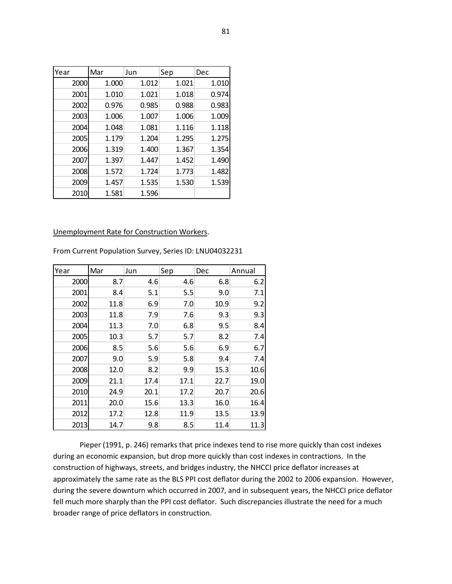| Year | Mar   | Jun   | Sep   | Dec   |
|------|-------|-------|-------|-------|
| 2000 | 1.000 | 1.012 | 1.021 | 1.010 |
| 2001 | 1.010 | 1.021 | 1.018 | 0.974 |
| 2002 | 0.976 | 0.985 | 0.988 | 0.983 |
| 2003 | 1.006 | 1.007 | 1.006 | 1.009 |
| 2004 | 1.048 | 1.081 | 1.116 | 1.118 |
| 2005 | 1.179 | 1.204 | 1.295 | 1.275 |
| 2006 | 1.319 | 1.400 | 1.367 | 1.354 |
| 2007 | 1.397 | 1.447 | 1.452 | 1.490 |
| 2008 | 1.572 | 1.724 | 1.773 | 1.482 |
| 2009 | 1.457 | 1.535 | 1.530 | 1.539 |
| 2010 | 1.581 | 1.596 |       |       |

#### Unemployment Rate for Construction Workers.

From Current Population Survey, Series ID: LNU04032231

| Year | Mar  | Jun  | Sep  | Dec  | Annual |
|------|------|------|------|------|--------|
| 2000 | 8.7  | 4.6  | 4.6  | 6.8  | 6.2    |
| 2001 | 8.4  | 5.1  | 5.5  | 9.0  | 7.1    |
| 2002 | 11.8 | 6.9  | 7.0  | 10.9 | 9.2    |
| 2003 | 11.8 | 7.9  | 7.6  | 9.3  | 9.3    |
| 2004 | 11.3 | 7.0  | 6.8  | 9.5  | 8.4    |
| 2005 | 10.3 | 5.7  | 5.7  | 8.2  | 7.4    |
| 2006 | 8.5  | 5.6  | 5.6  | 6.9  | 6.7    |
| 2007 | 9.0  | 5.9  | 5.8  | 9.4  | 7.4    |
| 2008 | 12.0 | 8.2  | 9.9  | 15.3 | 10.6   |
| 2009 | 21.1 | 17.4 | 17.1 | 22.7 | 19.0   |
| 2010 | 24.9 | 20.1 | 17.2 | 20.7 | 20.6   |
| 2011 | 20.0 | 15.6 | 13.3 | 16.0 | 16.4   |
| 2012 | 17.2 | 12.8 | 11.9 | 13.5 | 13.9   |
| 2013 | 14.7 | 9.8  | 8.5  | 11.4 | 11.3   |

Pieper (1991, p. 246) remarks that price indexes tend to rise more quickly than cost indexes during an economic expansion, but drop more quickly than cost indexes in contractions. In the construction of highways, streets, and bridges industry, the NHCCI price deflator increases at approximately the same rate as the BLS PPI cost deflator during the 2002 to 2006 expansion. However, during the severe downturn which occurred in 2007, and in subsequent years, the NHCCI price deflator fell much more sharply than the PPI cost deflator. Such discrepancies illustrate the need for a much broader range of price deflators in construction.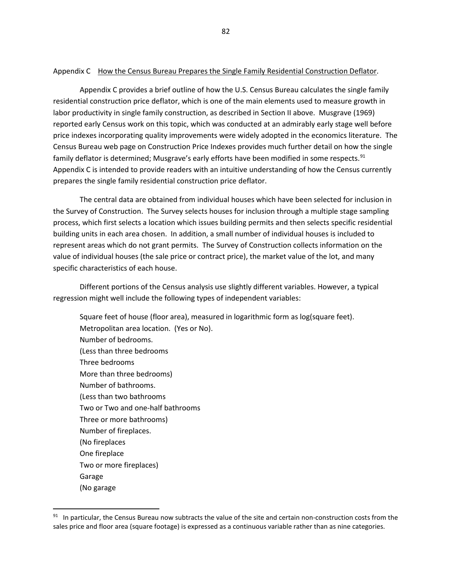#### Appendix C How the Census Bureau Prepares the Single Family Residential Construction Deflator.

Appendix C provides a brief outline of how the U.S. Census Bureau calculates the single family residential construction price deflator, which is one of the main elements used to measure growth in labor productivity in single family construction, as described in Section II above. Musgrave (1969) reported early Census work on this topic, which was conducted at an admirably early stage well before price indexes incorporating quality improvements were widely adopted in the economics literature. The Census Bureau web page on Construction Price Indexes provides much further detail on how the single family deflator is determined; Musgrave's early efforts have been modified in some respects.<sup>[91](#page-82-0)</sup> Appendix C is intended to provide readers with an intuitive understanding of how the Census currently prepares the single family residential construction price deflator.

The central data are obtained from individual houses which have been selected for inclusion in the Survey of Construction. The Survey selects houses for inclusion through a multiple stage sampling process, which first selects a location which issues building permits and then selects specific residential building units in each area chosen. In addition, a small number of individual houses is included to represent areas which do not grant permits. The Survey of Construction collects information on the value of individual houses (the sale price or contract price), the market value of the lot, and many specific characteristics of each house.

Different portions of the Census analysis use slightly different variables. However, a typical regression might well include the following types of independent variables:

Square feet of house (floor area), measured in logarithmic form as log(square feet). Metropolitan area location. (Yes or No). Number of bedrooms. (Less than three bedrooms Three bedrooms More than three bedrooms) Number of bathrooms. (Less than two bathrooms Two or Two and one-half bathrooms Three or more bathrooms) Number of fireplaces. (No fireplaces One fireplace Two or more fireplaces) Garage (No garage

 $\overline{\phantom{a}}$ 

<span id="page-82-0"></span> $91$  In particular, the Census Bureau now subtracts the value of the site and certain non-construction costs from the sales price and floor area (square footage) is expressed as a continuous variable rather than as nine categories.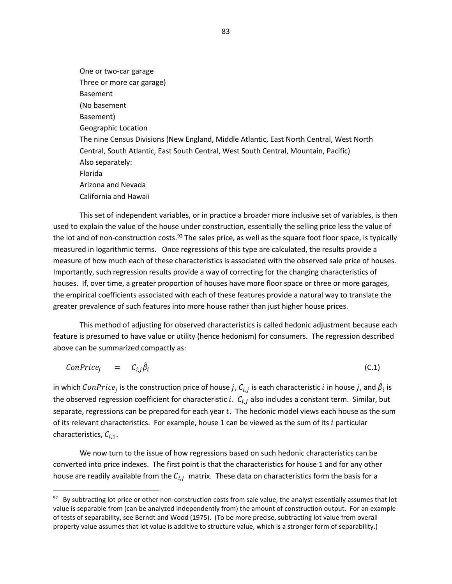One or two-car garage Three or more car garage) Basement (No basement Basement) Geographic Location The nine Census Divisions (New England, Middle Atlantic, East North Central, West North Central, South Atlantic, East South Central, West South Central, Mountain, Pacific) Also separately: Florida Arizona and Nevada California and Hawaii

This set of independent variables, or in practice a broader more inclusive set of variables, is then used to explain the value of the house under construction, essentially the selling price less the value of the lot and of non-construction costs.<sup>92</sup> The sales price, as well as the square foot floor space, is typically measured in logarithmic terms. Once regressions of this type are calculated, the results provide a measure of how much each of these characteristics is associated with the observed sale price of houses. Importantly, such regression results provide a way of correcting for the changing characteristics of houses. If, over time, a greater proportion of houses have more floor space or three or more garages, the empirical coefficients associated with each of these features provide a natural way to translate the greater prevalence of such features into more house rather than just higher house prices.

This method of adjusting for observed characteristics is called hedonic adjustment because each feature is presumed to have value or utility (hence hedonism) for consumers. The regression described above can be summarized compactly as:

$$
ConPrice_j = C_{i,j}\hat{\beta}_i \tag{C.1}
$$

in which  $ConPrice_j$  is the construction price of house  $j$  ,  $\mathcal{C}_{i,j}$  is each characteristic  $i$  in house  $j$  ,and  $\beta_i$  is the observed regression coefficient for characteristic i.  $C_{i,j}$  also includes a constant term. Similar, but separate, regressions can be prepared for each year  $t$ . The hedonic model views each house as the sum of its relevant characteristics. For example, house 1 can be viewed as the sum of its  $i$  particular characteristics,  $C_{i,1}$ .

We now turn to the issue of how regressions based on such hedonic characteristics can be converted into price indexes. The first point is that the characteristics for house 1 and for any other house are readily available from the  $C_{i,j}$  matrix. These data on characteristics form the basis for a

 $\overline{\phantom{a}}$ 

<span id="page-83-0"></span> $92$  By subtracting lot price or other non-construction costs from sale value, the analyst essentially assumes that lot value is separable from (can be analyzed independently from) the amount of construction output. For an example of tests of separability, see Berndt and Wood (1975). (To be more precise, subtracting lot value from overall property value assumes that lot value is additive to structure value, which is a stronger form of separability.)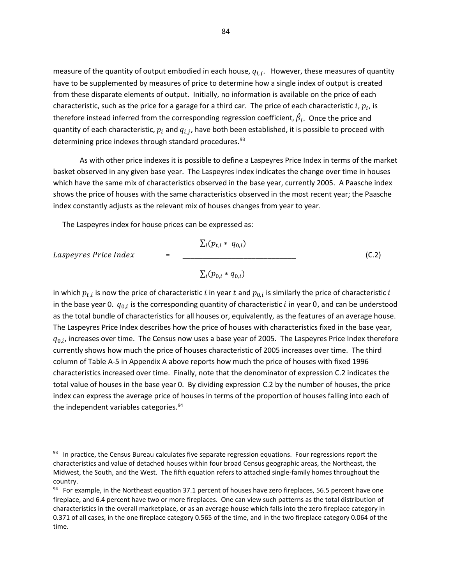measure of the quantity of output embodied in each house,  $q_{i,i}$ . However, these measures of quantity have to be supplemented by measures of price to determine how a single index of output is created from these disparate elements of output. Initially, no information is available on the price of each characteristic, such as the price for a garage for a third car. The price of each characteristic i,  $p_i$ , is therefore instead inferred from the corresponding regression coefficient,  $\beta_i$ . Once the price and quantity of each characteristic,  $p_i$  and  $q_{i,j}$ , have both been established, it is possible to proceed with determining price indexes through standard procedures.<sup>[93](#page-84-0)</sup>

As with other price indexes it is possible to define a Laspeyres Price Index in terms of the market basket observed in any given base year. The Laspeyres index indicates the change over time in houses which have the same mix of characteristics observed in the base year, currently 2005. A Paasche index shows the price of houses with the same characteristics observed in the most recent year; the Paasche index constantly adjusts as the relevant mix of houses changes from year to year.

The Laspeyres index for house prices can be expressed as:

$$
speyres Price Index =
$$

 $\overline{\phantom{a}}$ 

 $\sum_i (p_{t,i} * q_{0,i})$  = \_\_\_\_\_\_\_\_\_\_\_\_\_\_\_\_\_\_\_\_\_\_\_\_\_\_\_\_ (C.2)  $\sum_{i} (p_{0,i} * q_{0,i})$ 

in which  $p_{t,i}$  is now the price of characteristic  $i$  in year  $t$  and  $p_{0,i}$  is similarly the price of characteristic  $i$ in the base year 0.  $q_{0,i}$  is the corresponding quantity of characteristic *i* in year 0, and can be understood as the total bundle of characteristics for all houses or, equivalently, as the features of an average house. The Laspeyres Price Index describes how the price of houses with characteristics fixed in the base year,  $q_{0,i}$ , increases over time. The Census now uses a base year of 2005. The Laspeyres Price Index therefore currently shows how much the price of houses characteristic of 2005 increases over time. The third column of Table A-5 in Appendix A above reports how much the price of houses with fixed 1996 characteristics increased over time. Finally, note that the denominator of expression C.2 indicates the total value of houses in the base year 0. By dividing expression C.2 by the number of houses, the price index can express the average price of houses in terms of the proportion of houses falling into each of the independent variables categories.<sup>[94](#page-84-1)</sup>

<span id="page-84-0"></span><sup>93</sup> In practice, the Census Bureau calculates five separate regression equations. Four regressions report the characteristics and value of detached houses within four broad Census geographic areas, the Northeast, the Midwest, the South, and the West. The fifth equation refers to attached single-family homes throughout the country.

<span id="page-84-1"></span><sup>94</sup> For example, in the Northeast equation 37.1 percent of houses have zero fireplaces, 56.5 percent have one fireplace, and 6.4 percent have two or more fireplaces. One can view such patterns as the total distribution of characteristics in the overall marketplace, or as an average house which falls into the zero fireplace category in 0.371 of all cases, in the one fireplace category 0.565 of the time, and in the two fireplace category 0.064 of the time.